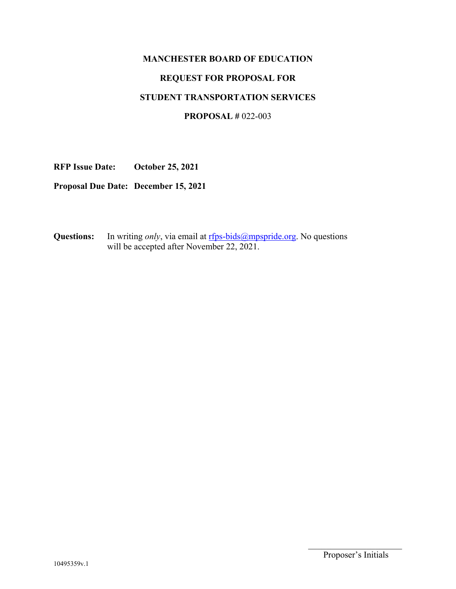## **MANCHESTER BOARD OF EDUCATION**

## **REQUEST FOR PROPOSAL FOR**

#### **STUDENT TRANSPORTATION SERVICES**

## **PROPOSAL #** 022-003

**RFP Issue Date: October 25, 2021** 

**Proposal Due Date: December 15, 2021** 

**Questions:** In writing *only*, via email at rfps-bids@mpspride.org. No questions will be accepted after November 22, 2021.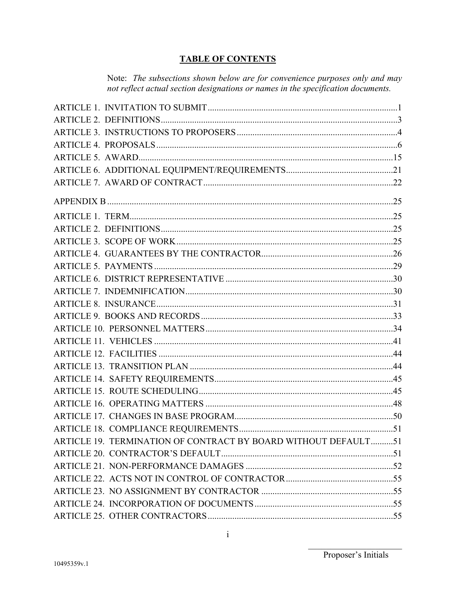# **TABLE OF CONTENTS**

Note: The subsections shown below are for convenience purposes only and may not reflect actual section designations or names in the specification documents.

| ARTICLE 19. TERMINATION OF CONTRACT BY BOARD WITHOUT DEFAULT51 |  |
|----------------------------------------------------------------|--|
|                                                                |  |
|                                                                |  |
|                                                                |  |
|                                                                |  |
|                                                                |  |
|                                                                |  |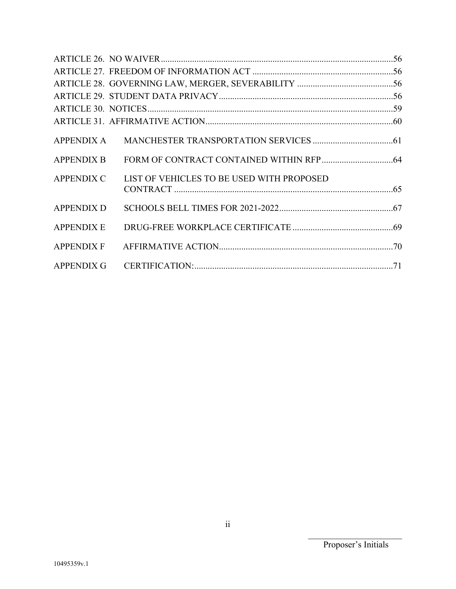| <b>APPENDIX A</b> |                                           |  |
|-------------------|-------------------------------------------|--|
| <b>APPENDIX B</b> |                                           |  |
| <b>APPENDIX C</b> | LIST OF VEHICLES TO BE USED WITH PROPOSED |  |
| <b>APPENDIX D</b> |                                           |  |
| <b>APPENDIX E</b> |                                           |  |
| <b>APPENDIX F</b> |                                           |  |
|                   |                                           |  |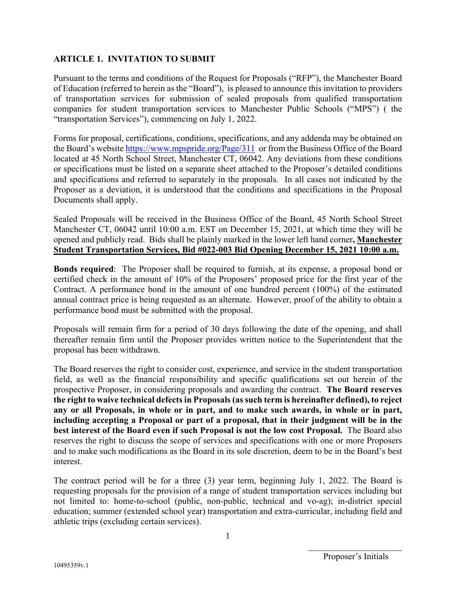## **ARTICLE 1. INVITATION TO SUBMIT**

Pursuant to the terms and conditions of the Request for Proposals ("RFP"), the Manchester Board of Education (referred to herein as the "Board"), is pleased to announce this invitation to providers of transportation services for submission of sealed proposals from qualified transportation companies for student transportation services to Manchester Public Schools ("MPS") ( the "transportation Services"), commencing on July 1, 2022.

Forms for proposal, certifications, conditions, specifications, and any addenda may be obtained on the Board's website https://www.mpspride.org/Page/311 or from the Business Office of the Board located at 45 North School Street, Manchester CT, 06042. Any deviations from these conditions or specifications must be listed on a separate sheet attached to the Proposer's detailed conditions and specifications and referred to separately in the proposals. In all cases not indicated by the Proposer as a deviation, it is understood that the conditions and specifications in the Proposal Documents shall apply.

Sealed Proposals will be received in the Business Office of the Board, 45 North School Street Manchester CT, 06042 until 10:00 a.m. EST on December 15, 2021, at which time they will be opened and publicly read. Bids shall be plainly marked in the lower left hand corner**, Manchester Student Transportation Services, Bid #022-003 Bid Opening December 15, 2021 10:00 a.m.** 

**Bonds required**: The Proposer shall be required to furnish, at its expense, a proposal bond or certified check in the amount of 10% of the Proposers' proposed price for the first year of the Contract. A performance bond in the amount of one hundred percent (100%) of the estimated annual contract price is being requested as an alternate. However, proof of the ability to obtain a performance bond must be submitted with the proposal.

Proposals will remain firm for a period of 30 days following the date of the opening, and shall thereafter remain firm until the Proposer provides written notice to the Superintendent that the proposal has been withdrawn.

The Board reserves the right to consider cost, experience, and service in the student transportation field, as well as the financial responsibility and specific qualifications set out herein of the prospective Proposer, in considering proposals and awarding the contract. **The Board reserves the right to waive technical defects in Proposals (as such term is hereinafter defined), to reject any or all Proposals, in whole or in part, and to make such awards, in whole or in part, including accepting a Proposal or part of a proposal, that in their judgment will be in the best interest of the Board even if such Proposal is not the low cost Proposal.** The Board also reserves the right to discuss the scope of services and specifications with one or more Proposers and to make such modifications as the Board in its sole discretion, deem to be in the Board's best interest.

The contract period will be for a three (3) year term, beginning July 1, 2022. The Board is requesting proposals for the provision of a range of student transportation services including but not limited to: home-to-school (public, non-public, technical and vo-ag); in-district special education; summer (extended school year) transportation and extra-curricular, including field and athletic trips (excluding certain services).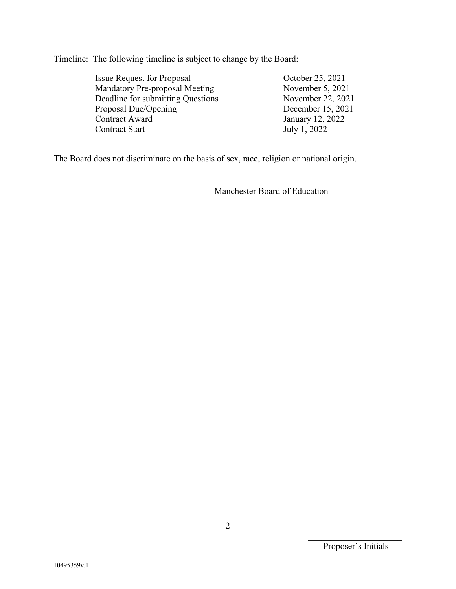Timeline: The following timeline is subject to change by the Board:

| <b>Issue Request for Proposal</b>     | October 25, 2021  |
|---------------------------------------|-------------------|
| <b>Mandatory Pre-proposal Meeting</b> | November 5, 2021  |
| Deadline for submitting Questions     | November 22, 2021 |
| Proposal Due/Opening                  | December 15, 2021 |
| Contract Award                        | January 12, 2022  |
| Contract Start                        | July 1, 2022      |
|                                       |                   |

The Board does not discriminate on the basis of sex, race, religion or national origin.

Manchester Board of Education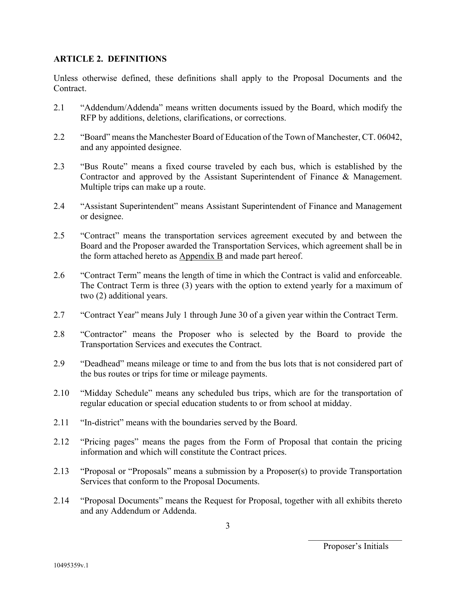### **ARTICLE 2. DEFINITIONS**

Unless otherwise defined, these definitions shall apply to the Proposal Documents and the Contract.

- 2.1 "Addendum/Addenda" means written documents issued by the Board, which modify the RFP by additions, deletions, clarifications, or corrections.
- 2.2 "Board" means the Manchester Board of Education of the Town of Manchester, CT. 06042, and any appointed designee.
- 2.3 "Bus Route" means a fixed course traveled by each bus, which is established by the Contractor and approved by the Assistant Superintendent of Finance & Management. Multiple trips can make up a route.
- 2.4 "Assistant Superintendent" means Assistant Superintendent of Finance and Management or designee.
- 2.5 "Contract" means the transportation services agreement executed by and between the Board and the Proposer awarded the Transportation Services, which agreement shall be in the form attached hereto as  $\Delta p$  and made part hereof.
- 2.6 "Contract Term" means the length of time in which the Contract is valid and enforceable. The Contract Term is three (3) years with the option to extend yearly for a maximum of two (2) additional years.
- 2.7 "Contract Year" means July 1 through June 30 of a given year within the Contract Term.
- 2.8 "Contractor" means the Proposer who is selected by the Board to provide the Transportation Services and executes the Contract.
- 2.9 "Deadhead" means mileage or time to and from the bus lots that is not considered part of the bus routes or trips for time or mileage payments.
- 2.10 "Midday Schedule" means any scheduled bus trips, which are for the transportation of regular education or special education students to or from school at midday.
- 2.11 "In-district" means with the boundaries served by the Board.
- 2.12 "Pricing pages" means the pages from the Form of Proposal that contain the pricing information and which will constitute the Contract prices.
- 2.13 "Proposal or "Proposals" means a submission by a Proposer(s) to provide Transportation Services that conform to the Proposal Documents.
- 2.14 "Proposal Documents" means the Request for Proposal, together with all exhibits thereto and any Addendum or Addenda.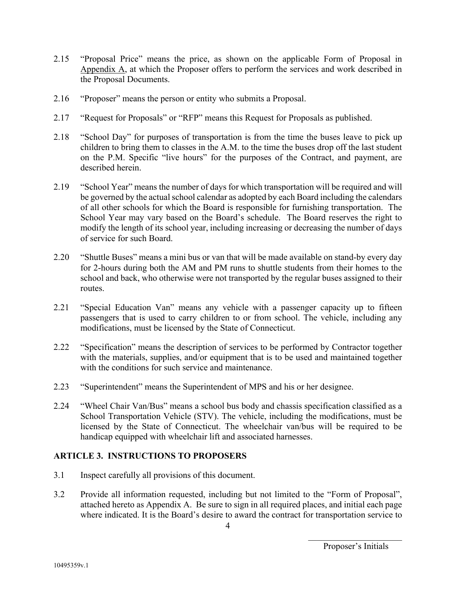- 2.15 "Proposal Price" means the price, as shown on the applicable Form of Proposal in Appendix A, at which the Proposer offers to perform the services and work described in the Proposal Documents.
- 2.16 "Proposer" means the person or entity who submits a Proposal.
- 2.17 "Request for Proposals" or "RFP" means this Request for Proposals as published.
- 2.18 "School Day" for purposes of transportation is from the time the buses leave to pick up children to bring them to classes in the A.M. to the time the buses drop off the last student on the P.M. Specific "live hours" for the purposes of the Contract, and payment, are described herein.
- 2.19 "School Year" means the number of days for which transportation will be required and will be governed by the actual school calendar as adopted by each Board including the calendars of all other schools for which the Board is responsible for furnishing transportation. The School Year may vary based on the Board's schedule. The Board reserves the right to modify the length of its school year, including increasing or decreasing the number of days of service for such Board.
- 2.20 "Shuttle Buses" means a mini bus or van that will be made available on stand-by every day for 2-hours during both the AM and PM runs to shuttle students from their homes to the school and back, who otherwise were not transported by the regular buses assigned to their routes.
- 2.21 "Special Education Van" means any vehicle with a passenger capacity up to fifteen passengers that is used to carry children to or from school. The vehicle, including any modifications, must be licensed by the State of Connecticut.
- 2.22 "Specification" means the description of services to be performed by Contractor together with the materials, supplies, and/or equipment that is to be used and maintained together with the conditions for such service and maintenance.
- 2.23 "Superintendent" means the Superintendent of MPS and his or her designee.
- 2.24 "Wheel Chair Van/Bus" means a school bus body and chassis specification classified as a School Transportation Vehicle (STV). The vehicle, including the modifications, must be licensed by the State of Connecticut. The wheelchair van/bus will be required to be handicap equipped with wheelchair lift and associated harnesses.

## **ARTICLE 3. INSTRUCTIONS TO PROPOSERS**

- 3.1 Inspect carefully all provisions of this document.
- 3.2 Provide all information requested, including but not limited to the "Form of Proposal", attached hereto as Appendix A. Be sure to sign in all required places, and initial each page where indicated. It is the Board's desire to award the contract for transportation service to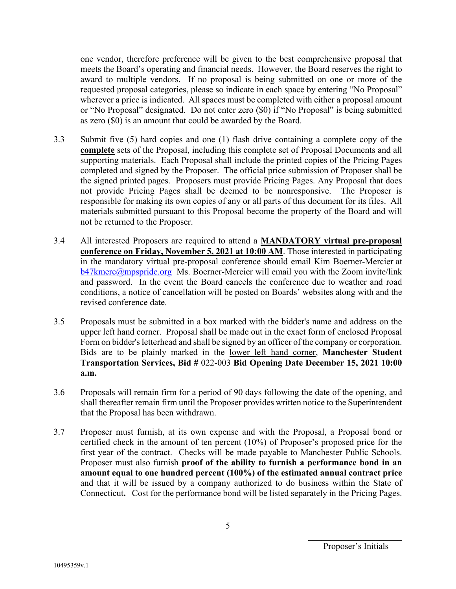one vendor, therefore preference will be given to the best comprehensive proposal that meets the Board's operating and financial needs. However, the Board reserves the right to award to multiple vendors. If no proposal is being submitted on one or more of the requested proposal categories, please so indicate in each space by entering "No Proposal" wherever a price is indicated. All spaces must be completed with either a proposal amount or "No Proposal" designated. Do not enter zero (\$0) if "No Proposal" is being submitted as zero (\$0) is an amount that could be awarded by the Board.

- 3.3 Submit five (5) hard copies and one (1) flash drive containing a complete copy of the **complete** sets of the Proposal, including this complete set of Proposal Documents and all supporting materials. Each Proposal shall include the printed copies of the Pricing Pages completed and signed by the Proposer. The official price submission of Proposer shall be the signed printed pages. Proposers must provide Pricing Pages. Any Proposal that does not provide Pricing Pages shall be deemed to be nonresponsive. The Proposer is responsible for making its own copies of any or all parts of this document for its files. All materials submitted pursuant to this Proposal become the property of the Board and will not be returned to the Proposer.
- 3.4 All interested Proposers are required to attend a **MANDATORY virtual pre-proposal conference on Friday, November 5, 2021 at 10:00 AM**. Those interested in participating in the mandatory virtual pre-proposal conference should email Kim Boerner-Mercier at b47kmerc@mpspride.org Ms. Boerner-Mercier will email you with the Zoom invite/link and password. In the event the Board cancels the conference due to weather and road conditions, a notice of cancellation will be posted on Boards' websites along with and the revised conference date.
- 3.5 Proposals must be submitted in a box marked with the bidder's name and address on the upper left hand corner. Proposal shall be made out in the exact form of enclosed Proposal Form on bidder's letterhead and shall be signed by an officer of the company or corporation. Bids are to be plainly marked in the lower left hand corner, **Manchester Student Transportation Services, Bid #** 022-003 **Bid Opening Date December 15, 2021 10:00 a.m.**
- 3.6 Proposals will remain firm for a period of 90 days following the date of the opening, and shall thereafter remain firm until the Proposer provides written notice to the Superintendent that the Proposal has been withdrawn.
- 3.7 Proposer must furnish, at its own expense and with the Proposal, a Proposal bond or certified check in the amount of ten percent (10%) of Proposer's proposed price for the first year of the contract. Checks will be made payable to Manchester Public Schools. Proposer must also furnish **proof of the ability to furnish a performance bond in an amount equal to one hundred percent (100%) of the estimated annual contract price** and that it will be issued by a company authorized to do business within the State of Connecticut**.** Cost for the performance bond will be listed separately in the Pricing Pages.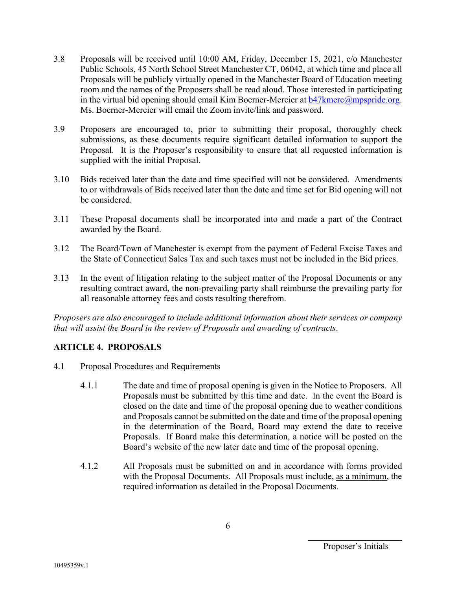- 3.8 Proposals will be received until 10:00 AM, Friday, December 15, 2021, c/o Manchester Public Schools, 45 North School Street Manchester CT, 06042, at which time and place all Proposals will be publicly virtually opened in the Manchester Board of Education meeting room and the names of the Proposers shall be read aloud. Those interested in participating in the virtual bid opening should email Kim Boerner-Mercier at  $b47$ kmerc $@$ mpspride.org. Ms. Boerner-Mercier will email the Zoom invite/link and password.
- 3.9 Proposers are encouraged to, prior to submitting their proposal, thoroughly check submissions, as these documents require significant detailed information to support the Proposal. It is the Proposer's responsibility to ensure that all requested information is supplied with the initial Proposal.
- 3.10 Bids received later than the date and time specified will not be considered. Amendments to or withdrawals of Bids received later than the date and time set for Bid opening will not be considered.
- 3.11 These Proposal documents shall be incorporated into and made a part of the Contract awarded by the Board.
- 3.12 The Board/Town of Manchester is exempt from the payment of Federal Excise Taxes and the State of Connecticut Sales Tax and such taxes must not be included in the Bid prices.
- 3.13 In the event of litigation relating to the subject matter of the Proposal Documents or any resulting contract award, the non-prevailing party shall reimburse the prevailing party for all reasonable attorney fees and costs resulting therefrom.

*Proposers are also encouraged to include additional information about their services or company that will assist the Board in the review of Proposals and awarding of contracts*.

## **ARTICLE 4. PROPOSALS**

- 4.1 Proposal Procedures and Requirements
	- 4.1.1 The date and time of proposal opening is given in the Notice to Proposers. All Proposals must be submitted by this time and date. In the event the Board is closed on the date and time of the proposal opening due to weather conditions and Proposals cannot be submitted on the date and time of the proposal opening in the determination of the Board, Board may extend the date to receive Proposals. If Board make this determination, a notice will be posted on the Board's website of the new later date and time of the proposal opening.
	- 4.1.2 All Proposals must be submitted on and in accordance with forms provided with the Proposal Documents. All Proposals must include, as a minimum, the required information as detailed in the Proposal Documents.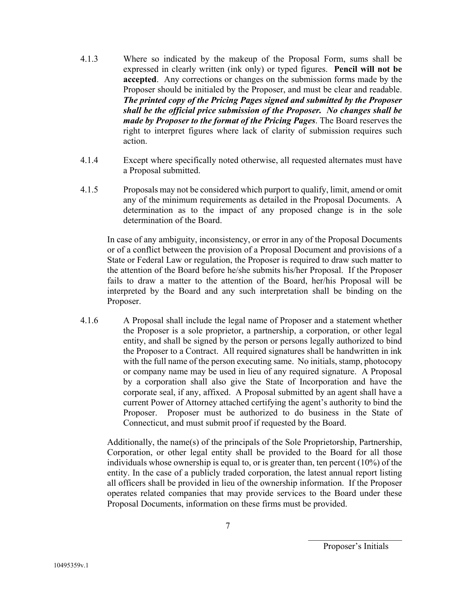- 4.1.3 Where so indicated by the makeup of the Proposal Form, sums shall be expressed in clearly written (ink only) or typed figures. **Pencil will not be accepted**. Any corrections or changes on the submission forms made by the Proposer should be initialed by the Proposer, and must be clear and readable. *The printed copy of the Pricing Pages signed and submitted by the Proposer shall be the official price submission of the Proposer. No changes shall be made by Proposer to the format of the Pricing Pages*. The Board reserves the right to interpret figures where lack of clarity of submission requires such action.
- 4.1.4 Except where specifically noted otherwise, all requested alternates must have a Proposal submitted.
- 4.1.5 Proposals may not be considered which purport to qualify, limit, amend or omit any of the minimum requirements as detailed in the Proposal Documents. A determination as to the impact of any proposed change is in the sole determination of the Board.

In case of any ambiguity, inconsistency, or error in any of the Proposal Documents or of a conflict between the provision of a Proposal Document and provisions of a State or Federal Law or regulation, the Proposer is required to draw such matter to the attention of the Board before he/she submits his/her Proposal. If the Proposer fails to draw a matter to the attention of the Board, her/his Proposal will be interpreted by the Board and any such interpretation shall be binding on the Proposer.

4.1.6 A Proposal shall include the legal name of Proposer and a statement whether the Proposer is a sole proprietor, a partnership, a corporation, or other legal entity, and shall be signed by the person or persons legally authorized to bind the Proposer to a Contract. All required signatures shall be handwritten in ink with the full name of the person executing same. No initials, stamp, photocopy or company name may be used in lieu of any required signature. A Proposal by a corporation shall also give the State of Incorporation and have the corporate seal, if any, affixed. A Proposal submitted by an agent shall have a current Power of Attorney attached certifying the agent's authority to bind the Proposer. Proposer must be authorized to do business in the State of Connecticut, and must submit proof if requested by the Board.

Additionally, the name(s) of the principals of the Sole Proprietorship, Partnership, Corporation, or other legal entity shall be provided to the Board for all those individuals whose ownership is equal to, or is greater than, ten percent (10%) of the entity. In the case of a publicly traded corporation, the latest annual report listing all officers shall be provided in lieu of the ownership information. If the Proposer operates related companies that may provide services to the Board under these Proposal Documents, information on these firms must be provided.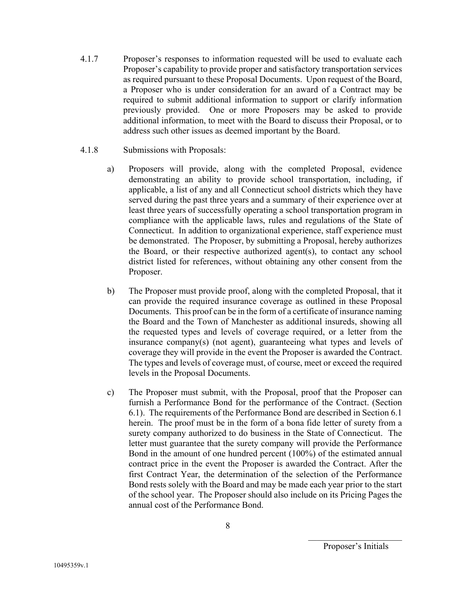- 4.1.7 Proposer's responses to information requested will be used to evaluate each Proposer's capability to provide proper and satisfactory transportation services as required pursuant to these Proposal Documents. Upon request of the Board, a Proposer who is under consideration for an award of a Contract may be required to submit additional information to support or clarify information previously provided. One or more Proposers may be asked to provide additional information, to meet with the Board to discuss their Proposal, or to address such other issues as deemed important by the Board.
- 4.1.8 Submissions with Proposals:
	- a) Proposers will provide, along with the completed Proposal, evidence demonstrating an ability to provide school transportation, including, if applicable, a list of any and all Connecticut school districts which they have served during the past three years and a summary of their experience over at least three years of successfully operating a school transportation program in compliance with the applicable laws, rules and regulations of the State of Connecticut. In addition to organizational experience, staff experience must be demonstrated. The Proposer, by submitting a Proposal, hereby authorizes the Board, or their respective authorized agent(s), to contact any school district listed for references, without obtaining any other consent from the Proposer.
	- b) The Proposer must provide proof, along with the completed Proposal, that it can provide the required insurance coverage as outlined in these Proposal Documents. This proof can be in the form of a certificate of insurance naming the Board and the Town of Manchester as additional insureds, showing all the requested types and levels of coverage required, or a letter from the insurance company(s) (not agent), guaranteeing what types and levels of coverage they will provide in the event the Proposer is awarded the Contract. The types and levels of coverage must, of course, meet or exceed the required levels in the Proposal Documents.
	- c) The Proposer must submit, with the Proposal, proof that the Proposer can furnish a Performance Bond for the performance of the Contract. (Section 6.1). The requirements of the Performance Bond are described in Section 6.1 herein. The proof must be in the form of a bona fide letter of surety from a surety company authorized to do business in the State of Connecticut. The letter must guarantee that the surety company will provide the Performance Bond in the amount of one hundred percent (100%) of the estimated annual contract price in the event the Proposer is awarded the Contract. After the first Contract Year, the determination of the selection of the Performance Bond rests solely with the Board and may be made each year prior to the start of the school year. The Proposer should also include on its Pricing Pages the annual cost of the Performance Bond.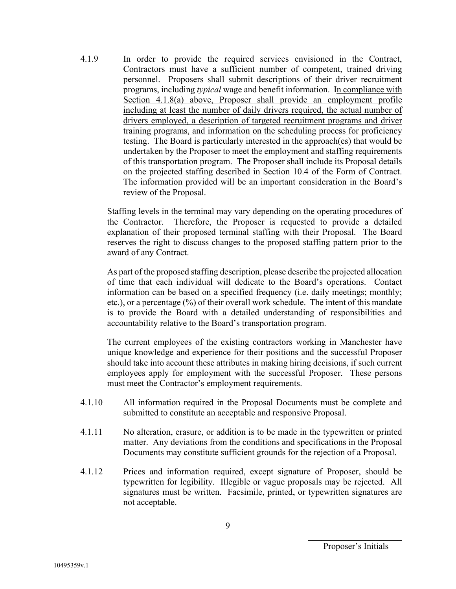4.1.9 In order to provide the required services envisioned in the Contract, Contractors must have a sufficient number of competent, trained driving personnel. Proposers shall submit descriptions of their driver recruitment programs, including *typical* wage and benefit information. In compliance with Section 4.1.8(a) above, Proposer shall provide an employment profile including at least the number of daily drivers required, the actual number of drivers employed, a description of targeted recruitment programs and driver training programs, and information on the scheduling process for proficiency testing. The Board is particularly interested in the approach(es) that would be undertaken by the Proposer to meet the employment and staffing requirements of this transportation program. The Proposer shall include its Proposal details on the projected staffing described in Section 10.4 of the Form of Contract. The information provided will be an important consideration in the Board's review of the Proposal.

Staffing levels in the terminal may vary depending on the operating procedures of the Contractor. Therefore, the Proposer is requested to provide a detailed explanation of their proposed terminal staffing with their Proposal. The Board reserves the right to discuss changes to the proposed staffing pattern prior to the award of any Contract.

As part of the proposed staffing description, please describe the projected allocation of time that each individual will dedicate to the Board's operations. Contact information can be based on a specified frequency (i.e. daily meetings; monthly; etc.), or a percentage (%) of their overall work schedule. The intent of this mandate is to provide the Board with a detailed understanding of responsibilities and accountability relative to the Board's transportation program.

The current employees of the existing contractors working in Manchester have unique knowledge and experience for their positions and the successful Proposer should take into account these attributes in making hiring decisions, if such current employees apply for employment with the successful Proposer. These persons must meet the Contractor's employment requirements.

- 4.1.10 All information required in the Proposal Documents must be complete and submitted to constitute an acceptable and responsive Proposal.
- 4.1.11 No alteration, erasure, or addition is to be made in the typewritten or printed matter. Any deviations from the conditions and specifications in the Proposal Documents may constitute sufficient grounds for the rejection of a Proposal.
- 4.1.12 Prices and information required, except signature of Proposer, should be typewritten for legibility. Illegible or vague proposals may be rejected. All signatures must be written. Facsimile, printed, or typewritten signatures are not acceptable.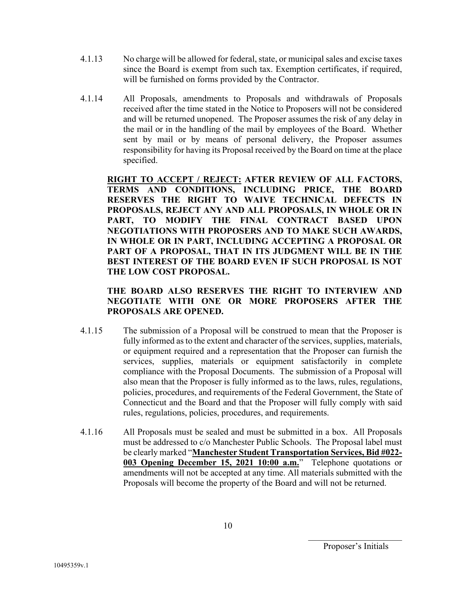- 4.1.13 No charge will be allowed for federal, state, or municipal sales and excise taxes since the Board is exempt from such tax. Exemption certificates, if required, will be furnished on forms provided by the Contractor.
- 4.1.14 All Proposals, amendments to Proposals and withdrawals of Proposals received after the time stated in the Notice to Proposers will not be considered and will be returned unopened. The Proposer assumes the risk of any delay in the mail or in the handling of the mail by employees of the Board. Whether sent by mail or by means of personal delivery, the Proposer assumes responsibility for having its Proposal received by the Board on time at the place specified.

**RIGHT TO ACCEPT / REJECT: AFTER REVIEW OF ALL FACTORS, TERMS AND CONDITIONS, INCLUDING PRICE, THE BOARD RESERVES THE RIGHT TO WAIVE TECHNICAL DEFECTS IN PROPOSALS, REJECT ANY AND ALL PROPOSALS, IN WHOLE OR IN PART, TO MODIFY THE FINAL CONTRACT BASED UPON NEGOTIATIONS WITH PROPOSERS AND TO MAKE SUCH AWARDS, IN WHOLE OR IN PART, INCLUDING ACCEPTING A PROPOSAL OR PART OF A PROPOSAL, THAT IN ITS JUDGMENT WILL BE IN THE BEST INTEREST OF THE BOARD EVEN IF SUCH PROPOSAL IS NOT THE LOW COST PROPOSAL.** 

## **THE BOARD ALSO RESERVES THE RIGHT TO INTERVIEW AND NEGOTIATE WITH ONE OR MORE PROPOSERS AFTER THE PROPOSALS ARE OPENED.**

- 4.1.15 The submission of a Proposal will be construed to mean that the Proposer is fully informed as to the extent and character of the services, supplies, materials, or equipment required and a representation that the Proposer can furnish the services, supplies, materials or equipment satisfactorily in complete compliance with the Proposal Documents. The submission of a Proposal will also mean that the Proposer is fully informed as to the laws, rules, regulations, policies, procedures, and requirements of the Federal Government, the State of Connecticut and the Board and that the Proposer will fully comply with said rules, regulations, policies, procedures, and requirements.
- 4.1.16 All Proposals must be sealed and must be submitted in a box. All Proposals must be addressed to c/o Manchester Public Schools. The Proposal label must be clearly marked "**Manchester Student Transportation Services, Bid #022- 003 Opening December 15, 2021 10:00 a.m.**" Telephone quotations or amendments will not be accepted at any time. All materials submitted with the Proposals will become the property of the Board and will not be returned.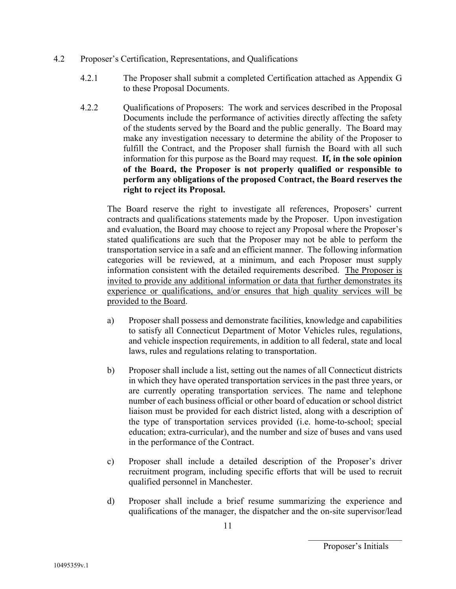- 4.2 Proposer's Certification, Representations, and Qualifications
	- 4.2.1 The Proposer shall submit a completed Certification attached as Appendix G to these Proposal Documents.
	- 4.2.2 Qualifications of Proposers: The work and services described in the Proposal Documents include the performance of activities directly affecting the safety of the students served by the Board and the public generally. The Board may make any investigation necessary to determine the ability of the Proposer to fulfill the Contract, and the Proposer shall furnish the Board with all such information for this purpose as the Board may request. **If, in the sole opinion of the Board, the Proposer is not properly qualified or responsible to perform any obligations of the proposed Contract, the Board reserves the right to reject its Proposal.**

The Board reserve the right to investigate all references, Proposers' current contracts and qualifications statements made by the Proposer. Upon investigation and evaluation, the Board may choose to reject any Proposal where the Proposer's stated qualifications are such that the Proposer may not be able to perform the transportation service in a safe and an efficient manner. The following information categories will be reviewed, at a minimum, and each Proposer must supply information consistent with the detailed requirements described. The Proposer is invited to provide any additional information or data that further demonstrates its experience or qualifications, and/or ensures that high quality services will be provided to the Board.

- a) Proposer shall possess and demonstrate facilities, knowledge and capabilities to satisfy all Connecticut Department of Motor Vehicles rules, regulations, and vehicle inspection requirements, in addition to all federal, state and local laws, rules and regulations relating to transportation.
- b) Proposer shall include a list, setting out the names of all Connecticut districts in which they have operated transportation services in the past three years, or are currently operating transportation services. The name and telephone number of each business official or other board of education or school district liaison must be provided for each district listed, along with a description of the type of transportation services provided (i.e. home-to-school; special education; extra-curricular), and the number and size of buses and vans used in the performance of the Contract.
- c) Proposer shall include a detailed description of the Proposer's driver recruitment program, including specific efforts that will be used to recruit qualified personnel in Manchester.
- d) Proposer shall include a brief resume summarizing the experience and qualifications of the manager, the dispatcher and the on-site supervisor/lead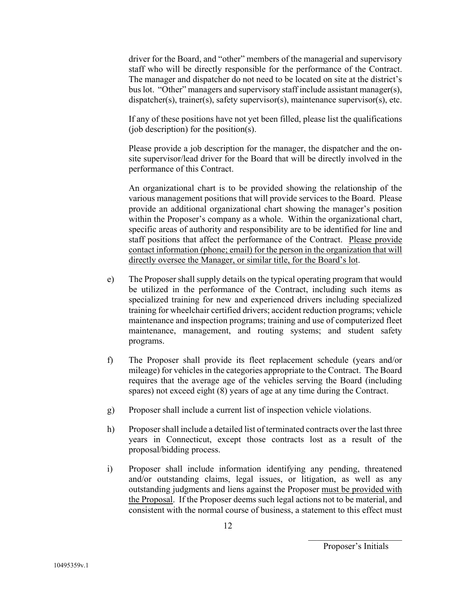driver for the Board, and "other" members of the managerial and supervisory staff who will be directly responsible for the performance of the Contract. The manager and dispatcher do not need to be located on site at the district's bus lot. "Other" managers and supervisory staff include assistant manager(s), dispatcher(s), trainer(s), safety supervisor(s), maintenance supervisor(s), etc.

If any of these positions have not yet been filled, please list the qualifications (job description) for the position(s).

Please provide a job description for the manager, the dispatcher and the onsite supervisor/lead driver for the Board that will be directly involved in the performance of this Contract.

An organizational chart is to be provided showing the relationship of the various management positions that will provide services to the Board. Please provide an additional organizational chart showing the manager's position within the Proposer's company as a whole. Within the organizational chart, specific areas of authority and responsibility are to be identified for line and staff positions that affect the performance of the Contract. Please provide contact information (phone; email) for the person in the organization that will directly oversee the Manager, or similar title, for the Board's lot.

- e) The Proposer shall supply details on the typical operating program that would be utilized in the performance of the Contract, including such items as specialized training for new and experienced drivers including specialized training for wheelchair certified drivers; accident reduction programs; vehicle maintenance and inspection programs; training and use of computerized fleet maintenance, management, and routing systems; and student safety programs.
- f) The Proposer shall provide its fleet replacement schedule (years and/or mileage) for vehicles in the categories appropriate to the Contract. The Board requires that the average age of the vehicles serving the Board (including spares) not exceed eight (8) years of age at any time during the Contract.
- g) Proposer shall include a current list of inspection vehicle violations.
- h) Proposer shall include a detailed list of terminated contracts over the last three years in Connecticut, except those contracts lost as a result of the proposal/bidding process.
- i) Proposer shall include information identifying any pending, threatened and/or outstanding claims, legal issues, or litigation, as well as any outstanding judgments and liens against the Proposer must be provided with the Proposal. If the Proposer deems such legal actions not to be material, and consistent with the normal course of business, a statement to this effect must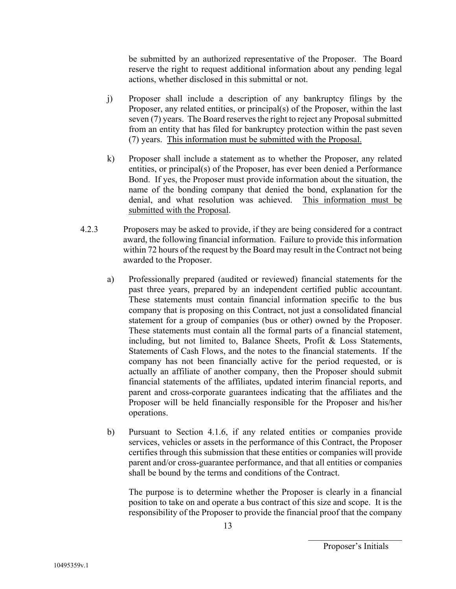be submitted by an authorized representative of the Proposer. The Board reserve the right to request additional information about any pending legal actions, whether disclosed in this submittal or not.

- j) Proposer shall include a description of any bankruptcy filings by the Proposer, any related entities, or principal(s) of the Proposer, within the last seven (7) years. The Board reserves the right to reject any Proposal submitted from an entity that has filed for bankruptcy protection within the past seven (7) years. This information must be submitted with the Proposal.
- k) Proposer shall include a statement as to whether the Proposer, any related entities, or principal(s) of the Proposer, has ever been denied a Performance Bond. If yes, the Proposer must provide information about the situation, the name of the bonding company that denied the bond, explanation for the denial, and what resolution was achieved. This information must be submitted with the Proposal.
- 4.2.3 Proposers may be asked to provide, if they are being considered for a contract award, the following financial information. Failure to provide this information within 72 hours of the request by the Board may result in the Contract not being awarded to the Proposer.
	- a) Professionally prepared (audited or reviewed) financial statements for the past three years, prepared by an independent certified public accountant. These statements must contain financial information specific to the bus company that is proposing on this Contract, not just a consolidated financial statement for a group of companies (bus or other) owned by the Proposer. These statements must contain all the formal parts of a financial statement, including, but not limited to, Balance Sheets, Profit & Loss Statements, Statements of Cash Flows, and the notes to the financial statements. If the company has not been financially active for the period requested, or is actually an affiliate of another company, then the Proposer should submit financial statements of the affiliates, updated interim financial reports, and parent and cross-corporate guarantees indicating that the affiliates and the Proposer will be held financially responsible for the Proposer and his/her operations.
	- b) Pursuant to Section 4.1.6, if any related entities or companies provide services, vehicles or assets in the performance of this Contract, the Proposer certifies through this submission that these entities or companies will provide parent and/or cross-guarantee performance, and that all entities or companies shall be bound by the terms and conditions of the Contract.

The purpose is to determine whether the Proposer is clearly in a financial position to take on and operate a bus contract of this size and scope. It is the responsibility of the Proposer to provide the financial proof that the company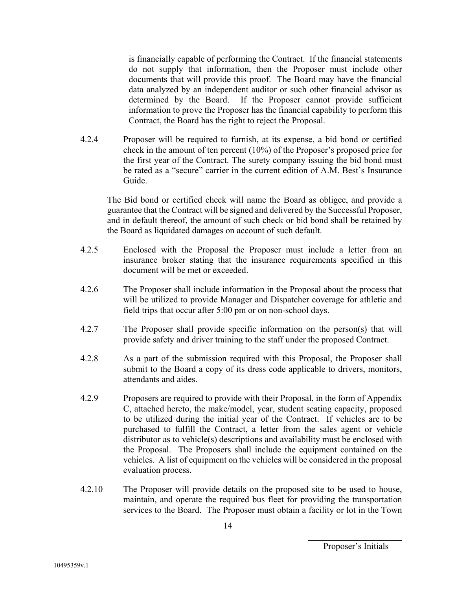is financially capable of performing the Contract. If the financial statements do not supply that information, then the Proposer must include other documents that will provide this proof. The Board may have the financial data analyzed by an independent auditor or such other financial advisor as determined by the Board. If the Proposer cannot provide sufficient information to prove the Proposer has the financial capability to perform this Contract, the Board has the right to reject the Proposal.

4.2.4 Proposer will be required to furnish, at its expense, a bid bond or certified check in the amount of ten percent (10%) of the Proposer's proposed price for the first year of the Contract. The surety company issuing the bid bond must be rated as a "secure" carrier in the current edition of A.M. Best's Insurance Guide.

The Bid bond or certified check will name the Board as obligee, and provide a guarantee that the Contract will be signed and delivered by the Successful Proposer, and in default thereof, the amount of such check or bid bond shall be retained by the Board as liquidated damages on account of such default.

- 4.2.5 Enclosed with the Proposal the Proposer must include a letter from an insurance broker stating that the insurance requirements specified in this document will be met or exceeded.
- 4.2.6 The Proposer shall include information in the Proposal about the process that will be utilized to provide Manager and Dispatcher coverage for athletic and field trips that occur after 5:00 pm or on non-school days.
- 4.2.7 The Proposer shall provide specific information on the person(s) that will provide safety and driver training to the staff under the proposed Contract.
- 4.2.8 As a part of the submission required with this Proposal, the Proposer shall submit to the Board a copy of its dress code applicable to drivers, monitors, attendants and aides.
- 4.2.9 Proposers are required to provide with their Proposal, in the form of Appendix C, attached hereto, the make/model, year, student seating capacity, proposed to be utilized during the initial year of the Contract. If vehicles are to be purchased to fulfill the Contract, a letter from the sales agent or vehicle distributor as to vehicle(s) descriptions and availability must be enclosed with the Proposal. The Proposers shall include the equipment contained on the vehicles. A list of equipment on the vehicles will be considered in the proposal evaluation process.
- 4.2.10 The Proposer will provide details on the proposed site to be used to house, maintain, and operate the required bus fleet for providing the transportation services to the Board. The Proposer must obtain a facility or lot in the Town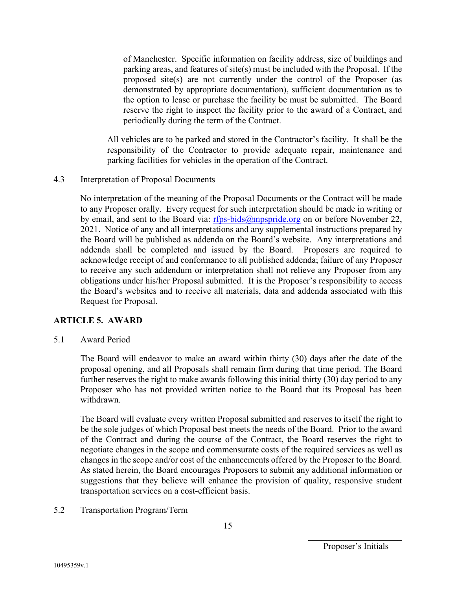of Manchester. Specific information on facility address, size of buildings and parking areas, and features of site(s) must be included with the Proposal. If the proposed site(s) are not currently under the control of the Proposer (as demonstrated by appropriate documentation), sufficient documentation as to the option to lease or purchase the facility be must be submitted. The Board reserve the right to inspect the facility prior to the award of a Contract, and periodically during the term of the Contract.

All vehicles are to be parked and stored in the Contractor's facility. It shall be the responsibility of the Contractor to provide adequate repair, maintenance and parking facilities for vehicles in the operation of the Contract.

4.3 Interpretation of Proposal Documents

No interpretation of the meaning of the Proposal Documents or the Contract will be made to any Proposer orally. Every request for such interpretation should be made in writing or by email, and sent to the Board via:  $rfrs-bids@mpspride.org$  on or before November 22, 2021. Notice of any and all interpretations and any supplemental instructions prepared by the Board will be published as addenda on the Board's website. Any interpretations and addenda shall be completed and issued by the Board. Proposers are required to acknowledge receipt of and conformance to all published addenda; failure of any Proposer to receive any such addendum or interpretation shall not relieve any Proposer from any obligations under his/her Proposal submitted. It is the Proposer's responsibility to access the Board's websites and to receive all materials, data and addenda associated with this Request for Proposal.

## **ARTICLE 5. AWARD**

5.1 Award Period

The Board will endeavor to make an award within thirty (30) days after the date of the proposal opening, and all Proposals shall remain firm during that time period. The Board further reserves the right to make awards following this initial thirty (30) day period to any Proposer who has not provided written notice to the Board that its Proposal has been withdrawn.

The Board will evaluate every written Proposal submitted and reserves to itself the right to be the sole judges of which Proposal best meets the needs of the Board. Prior to the award of the Contract and during the course of the Contract, the Board reserves the right to negotiate changes in the scope and commensurate costs of the required services as well as changes in the scope and/or cost of the enhancements offered by the Proposer to the Board. As stated herein, the Board encourages Proposers to submit any additional information or suggestions that they believe will enhance the provision of quality, responsive student transportation services on a cost-efficient basis.

5.2 Transportation Program/Term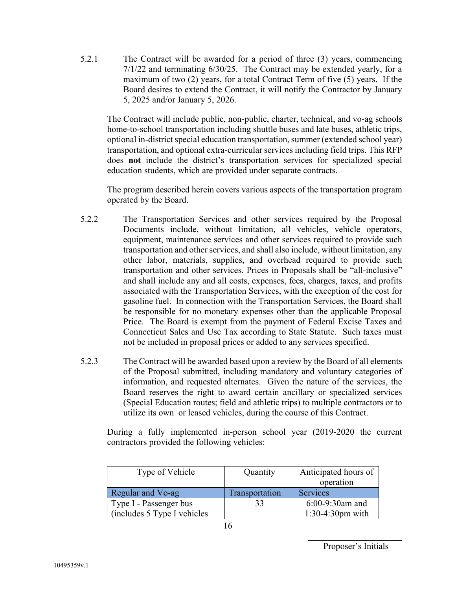5.2.1 The Contract will be awarded for a period of three (3) years, commencing 7/1/22 and terminating 6/30/25. The Contract may be extended yearly, for a maximum of two (2) years, for a total Contract Term of five (5) years. If the Board desires to extend the Contract, it will notify the Contractor by January 5, 2025 and/or January 5, 2026.

The Contract will include public, non-public, charter, technical, and vo-ag schools home-to-school transportation including shuttle buses and late buses, athletic trips, optional in-district special education transportation, summer (extended school year) transportation, and optional extra-curricular services including field trips. This RFP does **not** include the district's transportation services for specialized special education students, which are provided under separate contracts.

The program described herein covers various aspects of the transportation program operated by the Board.

- 5.2.2 The Transportation Services and other services required by the Proposal Documents include, without limitation, all vehicles, vehicle operators, equipment, maintenance services and other services required to provide such transportation and other services, and shall also include, without limitation, any other labor, materials, supplies, and overhead required to provide such transportation and other services. Prices in Proposals shall be "all-inclusive" and shall include any and all costs, expenses, fees, charges, taxes, and profits associated with the Transportation Services, with the exception of the cost for gasoline fuel. In connection with the Transportation Services, the Board shall be responsible for no monetary expenses other than the applicable Proposal Price. The Board is exempt from the payment of Federal Excise Taxes and Connecticut Sales and Use Tax according to State Statute. Such taxes must not be included in proposal prices or added to any services specified.
- 5.2.3 The Contract will be awarded based upon a review by the Board of all elements of the Proposal submitted, including mandatory and voluntary categories of information, and requested alternates. Given the nature of the services, the Board reserves the right to award certain ancillary or specialized services (Special Education routes; field and athletic trips) to multiple contractors or to utilize its own or leased vehicles, during the course of this Contract.

During a fully implemented in-person school year (2019-2020 the current contractors provided the following vehicles:

| Type of Vehicle              | Quantity       | Anticipated hours of |
|------------------------------|----------------|----------------------|
|                              |                | operation            |
| Regular and Vo-ag            | Transportation | <b>Services</b>      |
| Type I - Passenger bus       | 33             | $6:00-9:30$ am and   |
| (includes 5 Type I vehicles) |                | $1:30-4:30$ pm with  |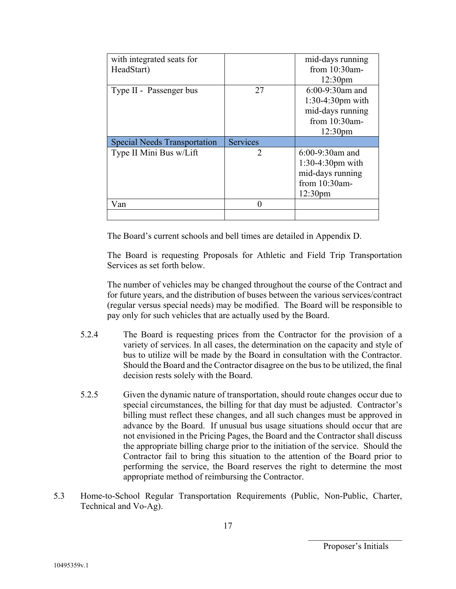| with integrated seats for           |                 | mid-days running    |
|-------------------------------------|-----------------|---------------------|
| HeadStart)                          |                 | from $10:30$ am-    |
|                                     |                 | 12:30 <sub>pm</sub> |
| Type II - Passenger bus             | 27              | $6:00-9:30$ am and  |
|                                     |                 | 1:30-4:30pm with    |
|                                     |                 | mid-days running    |
|                                     |                 | from $10:30$ am-    |
|                                     |                 | 12:30 <sub>pm</sub> |
|                                     |                 |                     |
| <b>Special Needs Transportation</b> | <b>Services</b> |                     |
| Type II Mini Bus w/Lift             | 2               | $6:00-9:30$ am and  |
|                                     |                 | 1:30-4:30pm with    |
|                                     |                 | mid-days running    |
|                                     |                 | from 10:30am-       |
|                                     |                 | 12:30 <sub>pm</sub> |
| Van                                 | 0               |                     |

The Board's current schools and bell times are detailed in Appendix D.

The Board is requesting Proposals for Athletic and Field Trip Transportation Services as set forth below.

The number of vehicles may be changed throughout the course of the Contract and for future years, and the distribution of buses between the various services/contract (regular versus special needs) may be modified. The Board will be responsible to pay only for such vehicles that are actually used by the Board.

- 5.2.4 The Board is requesting prices from the Contractor for the provision of a variety of services. In all cases, the determination on the capacity and style of bus to utilize will be made by the Board in consultation with the Contractor. Should the Board and the Contractor disagree on the bus to be utilized, the final decision rests solely with the Board.
- 5.2.5 Given the dynamic nature of transportation, should route changes occur due to special circumstances, the billing for that day must be adjusted. Contractor's billing must reflect these changes, and all such changes must be approved in advance by the Board. If unusual bus usage situations should occur that are not envisioned in the Pricing Pages, the Board and the Contractor shall discuss the appropriate billing charge prior to the initiation of the service. Should the Contractor fail to bring this situation to the attention of the Board prior to performing the service, the Board reserves the right to determine the most appropriate method of reimbursing the Contractor.
- 5.3 Home-to-School Regular Transportation Requirements (Public, Non-Public, Charter, Technical and Vo-Ag).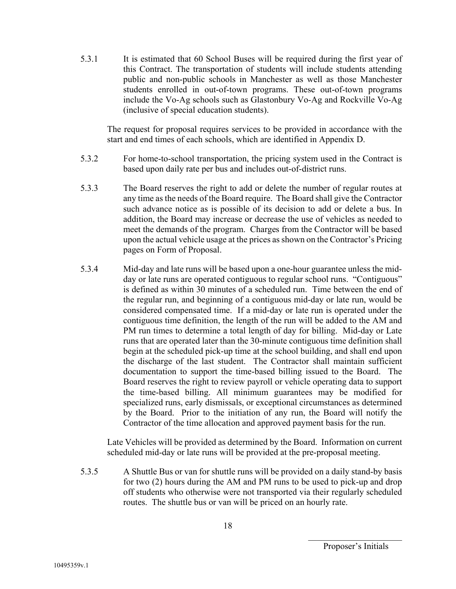5.3.1 It is estimated that 60 School Buses will be required during the first year of this Contract. The transportation of students will include students attending public and non-public schools in Manchester as well as those Manchester students enrolled in out-of-town programs. These out-of-town programs include the Vo-Ag schools such as Glastonbury Vo-Ag and Rockville Vo-Ag (inclusive of special education students).

The request for proposal requires services to be provided in accordance with the start and end times of each schools, which are identified in Appendix D.

- 5.3.2 For home-to-school transportation, the pricing system used in the Contract is based upon daily rate per bus and includes out-of-district runs.
- 5.3.3 The Board reserves the right to add or delete the number of regular routes at any time as the needs of the Board require. The Board shall give the Contractor such advance notice as is possible of its decision to add or delete a bus. In addition, the Board may increase or decrease the use of vehicles as needed to meet the demands of the program. Charges from the Contractor will be based upon the actual vehicle usage at the prices as shown on the Contractor's Pricing pages on Form of Proposal.
- 5.3.4 Mid-day and late runs will be based upon a one-hour guarantee unless the midday or late runs are operated contiguous to regular school runs. "Contiguous" is defined as within 30 minutes of a scheduled run. Time between the end of the regular run, and beginning of a contiguous mid-day or late run, would be considered compensated time. If a mid-day or late run is operated under the contiguous time definition, the length of the run will be added to the AM and PM run times to determine a total length of day for billing. Mid-day or Late runs that are operated later than the 30-minute contiguous time definition shall begin at the scheduled pick-up time at the school building, and shall end upon the discharge of the last student. The Contractor shall maintain sufficient documentation to support the time-based billing issued to the Board. The Board reserves the right to review payroll or vehicle operating data to support the time-based billing. All minimum guarantees may be modified for specialized runs, early dismissals, or exceptional circumstances as determined by the Board. Prior to the initiation of any run, the Board will notify the Contractor of the time allocation and approved payment basis for the run.

Late Vehicles will be provided as determined by the Board. Information on current scheduled mid-day or late runs will be provided at the pre-proposal meeting.

5.3.5 A Shuttle Bus or van for shuttle runs will be provided on a daily stand-by basis for two (2) hours during the AM and PM runs to be used to pick-up and drop off students who otherwise were not transported via their regularly scheduled routes. The shuttle bus or van will be priced on an hourly rate.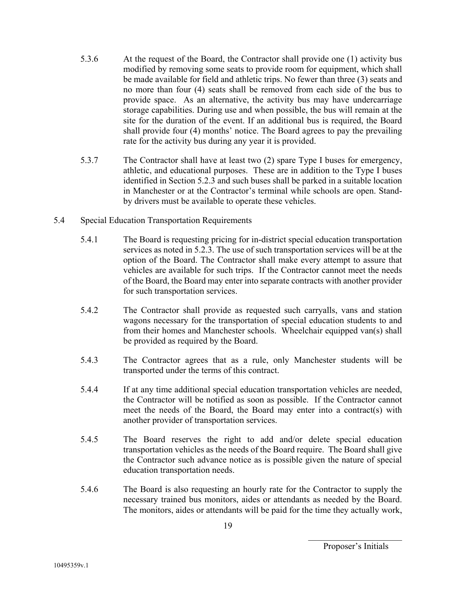- 5.3.6 At the request of the Board, the Contractor shall provide one (1) activity bus modified by removing some seats to provide room for equipment, which shall be made available for field and athletic trips. No fewer than three (3) seats and no more than four (4) seats shall be removed from each side of the bus to provide space. As an alternative, the activity bus may have undercarriage storage capabilities. During use and when possible, the bus will remain at the site for the duration of the event. If an additional bus is required, the Board shall provide four (4) months' notice. The Board agrees to pay the prevailing rate for the activity bus during any year it is provided.
- 5.3.7 The Contractor shall have at least two (2) spare Type I buses for emergency, athletic, and educational purposes. These are in addition to the Type I buses identified in Section 5.2.3 and such buses shall be parked in a suitable location in Manchester or at the Contractor's terminal while schools are open. Standby drivers must be available to operate these vehicles.
- 5.4 Special Education Transportation Requirements
	- 5.4.1 The Board is requesting pricing for in-district special education transportation services as noted in 5.2.3. The use of such transportation services will be at the option of the Board. The Contractor shall make every attempt to assure that vehicles are available for such trips. If the Contractor cannot meet the needs of the Board, the Board may enter into separate contracts with another provider for such transportation services.
	- 5.4.2 The Contractor shall provide as requested such carryalls, vans and station wagons necessary for the transportation of special education students to and from their homes and Manchester schools. Wheelchair equipped van(s) shall be provided as required by the Board.
	- 5.4.3 The Contractor agrees that as a rule, only Manchester students will be transported under the terms of this contract.
	- 5.4.4 If at any time additional special education transportation vehicles are needed, the Contractor will be notified as soon as possible. If the Contractor cannot meet the needs of the Board, the Board may enter into a contract(s) with another provider of transportation services.
	- 5.4.5 The Board reserves the right to add and/or delete special education transportation vehicles as the needs of the Board require. The Board shall give the Contractor such advance notice as is possible given the nature of special education transportation needs.
	- 5.4.6 The Board is also requesting an hourly rate for the Contractor to supply the necessary trained bus monitors, aides or attendants as needed by the Board. The monitors, aides or attendants will be paid for the time they actually work,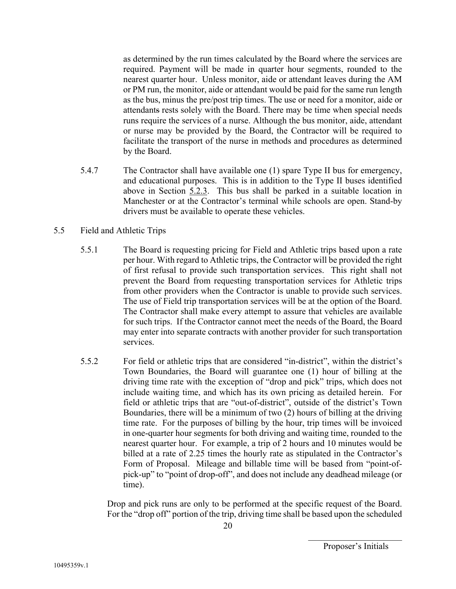as determined by the run times calculated by the Board where the services are required. Payment will be made in quarter hour segments, rounded to the nearest quarter hour. Unless monitor, aide or attendant leaves during the AM or PM run, the monitor, aide or attendant would be paid for the same run length as the bus, minus the pre/post trip times. The use or need for a monitor, aide or attendants rests solely with the Board. There may be time when special needs runs require the services of a nurse. Although the bus monitor, aide, attendant or nurse may be provided by the Board, the Contractor will be required to facilitate the transport of the nurse in methods and procedures as determined by the Board.

- 5.4.7 The Contractor shall have available one (1) spare Type II bus for emergency, and educational purposes. This is in addition to the Type II buses identified above in Section 5.2.3. This bus shall be parked in a suitable location in Manchester or at the Contractor's terminal while schools are open. Stand-by drivers must be available to operate these vehicles.
- 5.5 Field and Athletic Trips
	- 5.5.1 The Board is requesting pricing for Field and Athletic trips based upon a rate per hour. With regard to Athletic trips, the Contractor will be provided the right of first refusal to provide such transportation services. This right shall not prevent the Board from requesting transportation services for Athletic trips from other providers when the Contractor is unable to provide such services. The use of Field trip transportation services will be at the option of the Board. The Contractor shall make every attempt to assure that vehicles are available for such trips. If the Contractor cannot meet the needs of the Board, the Board may enter into separate contracts with another provider for such transportation services.
	- 5.5.2 For field or athletic trips that are considered "in-district", within the district's Town Boundaries, the Board will guarantee one (1) hour of billing at the driving time rate with the exception of "drop and pick" trips, which does not include waiting time, and which has its own pricing as detailed herein. For field or athletic trips that are "out-of-district", outside of the district's Town Boundaries, there will be a minimum of two (2) hours of billing at the driving time rate. For the purposes of billing by the hour, trip times will be invoiced in one-quarter hour segments for both driving and waiting time, rounded to the nearest quarter hour. For example, a trip of 2 hours and 10 minutes would be billed at a rate of 2.25 times the hourly rate as stipulated in the Contractor's Form of Proposal. Mileage and billable time will be based from "point-ofpick-up" to "point of drop-off", and does not include any deadhead mileage (or time).

Drop and pick runs are only to be performed at the specific request of the Board. For the "drop off" portion of the trip, driving time shall be based upon the scheduled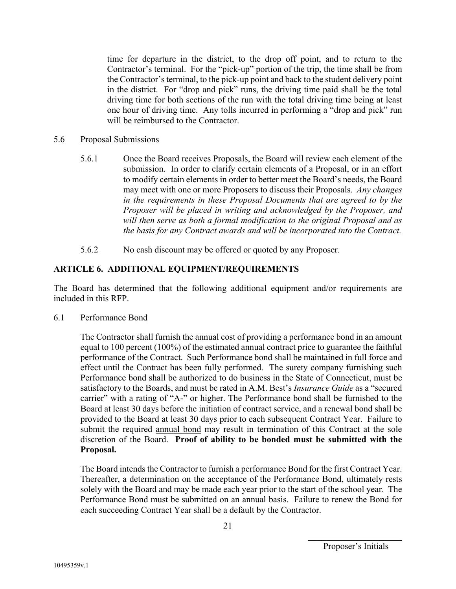time for departure in the district, to the drop off point, and to return to the Contractor's terminal. For the "pick-up" portion of the trip, the time shall be from the Contractor's terminal, to the pick-up point and back to the student delivery point in the district. For "drop and pick" runs, the driving time paid shall be the total driving time for both sections of the run with the total driving time being at least one hour of driving time. Any tolls incurred in performing a "drop and pick" run will be reimbursed to the Contractor.

- 5.6 Proposal Submissions
	- 5.6.1 Once the Board receives Proposals, the Board will review each element of the submission. In order to clarify certain elements of a Proposal, or in an effort to modify certain elements in order to better meet the Board's needs, the Board may meet with one or more Proposers to discuss their Proposals. *Any changes in the requirements in these Proposal Documents that are agreed to by the Proposer will be placed in writing and acknowledged by the Proposer, and will then serve as both a formal modification to the original Proposal and as the basis for any Contract awards and will be incorporated into the Contract.*
	- 5.6.2 No cash discount may be offered or quoted by any Proposer.

## **ARTICLE 6. ADDITIONAL EQUIPMENT/REQUIREMENTS**

The Board has determined that the following additional equipment and/or requirements are included in this RFP.

6.1 Performance Bond

The Contractor shall furnish the annual cost of providing a performance bond in an amount equal to 100 percent (100%) of the estimated annual contract price to guarantee the faithful performance of the Contract. Such Performance bond shall be maintained in full force and effect until the Contract has been fully performed. The surety company furnishing such Performance bond shall be authorized to do business in the State of Connecticut, must be satisfactory to the Boards, and must be rated in A.M. Best's *Insurance Guide* as a "secured carrier" with a rating of "A-" or higher. The Performance bond shall be furnished to the Board at least 30 days before the initiation of contract service, and a renewal bond shall be provided to the Board at least 30 days prior to each subsequent Contract Year. Failure to submit the required annual bond may result in termination of this Contract at the sole discretion of the Board. **Proof of ability to be bonded must be submitted with the Proposal.** 

The Board intends the Contractor to furnish a performance Bond for the first Contract Year. Thereafter, a determination on the acceptance of the Performance Bond, ultimately rests solely with the Board and may be made each year prior to the start of the school year. The Performance Bond must be submitted on an annual basis. Failure to renew the Bond for each succeeding Contract Year shall be a default by the Contractor.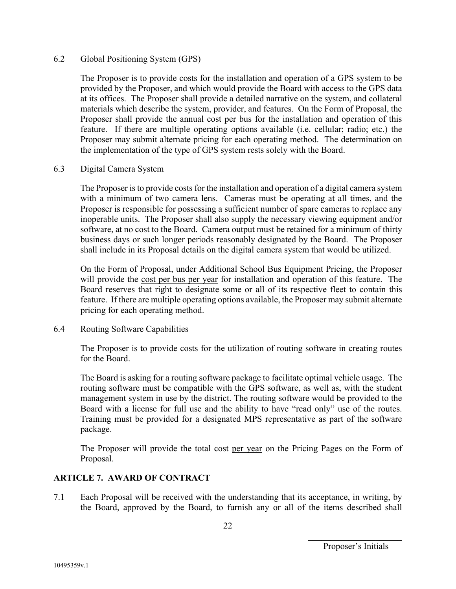#### 6.2 Global Positioning System (GPS)

The Proposer is to provide costs for the installation and operation of a GPS system to be provided by the Proposer, and which would provide the Board with access to the GPS data at its offices. The Proposer shall provide a detailed narrative on the system, and collateral materials which describe the system, provider, and features. On the Form of Proposal, the Proposer shall provide the annual cost per bus for the installation and operation of this feature. If there are multiple operating options available (i.e. cellular; radio; etc.) the Proposer may submit alternate pricing for each operating method. The determination on the implementation of the type of GPS system rests solely with the Board.

#### 6.3 Digital Camera System

The Proposer is to provide costs for the installation and operation of a digital camera system with a minimum of two camera lens. Cameras must be operating at all times, and the Proposer is responsible for possessing a sufficient number of spare cameras to replace any inoperable units. The Proposer shall also supply the necessary viewing equipment and/or software, at no cost to the Board. Camera output must be retained for a minimum of thirty business days or such longer periods reasonably designated by the Board. The Proposer shall include in its Proposal details on the digital camera system that would be utilized.

On the Form of Proposal, under Additional School Bus Equipment Pricing, the Proposer will provide the cost per bus per year for installation and operation of this feature. The Board reserves that right to designate some or all of its respective fleet to contain this feature. If there are multiple operating options available, the Proposer may submit alternate pricing for each operating method.

## 6.4 Routing Software Capabilities

The Proposer is to provide costs for the utilization of routing software in creating routes for the Board.

The Board is asking for a routing software package to facilitate optimal vehicle usage. The routing software must be compatible with the GPS software, as well as, with the student management system in use by the district. The routing software would be provided to the Board with a license for full use and the ability to have "read only" use of the routes. Training must be provided for a designated MPS representative as part of the software package.

The Proposer will provide the total cost per year on the Pricing Pages on the Form of Proposal.

## **ARTICLE 7. AWARD OF CONTRACT**

7.1 Each Proposal will be received with the understanding that its acceptance, in writing, by the Board, approved by the Board, to furnish any or all of the items described shall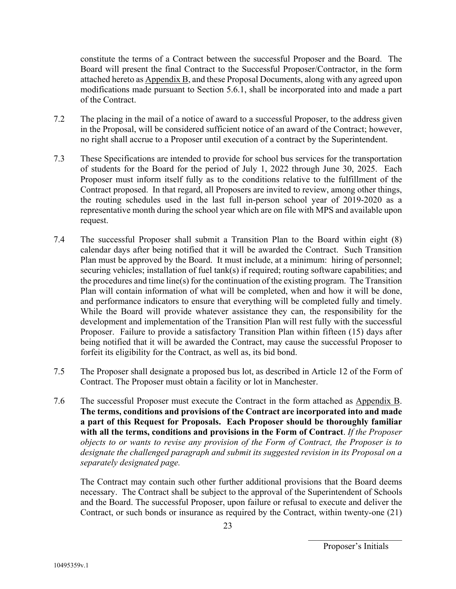constitute the terms of a Contract between the successful Proposer and the Board. The Board will present the final Contract to the Successful Proposer/Contractor, in the form attached hereto as Appendix B, and these Proposal Documents, along with any agreed upon modifications made pursuant to Section 5.6.1, shall be incorporated into and made a part of the Contract.

- 7.2 The placing in the mail of a notice of award to a successful Proposer, to the address given in the Proposal, will be considered sufficient notice of an award of the Contract; however, no right shall accrue to a Proposer until execution of a contract by the Superintendent.
- 7.3 These Specifications are intended to provide for school bus services for the transportation of students for the Board for the period of July 1, 2022 through June 30, 2025. Each Proposer must inform itself fully as to the conditions relative to the fulfillment of the Contract proposed. In that regard, all Proposers are invited to review, among other things, the routing schedules used in the last full in-person school year of 2019-2020 as a representative month during the school year which are on file with MPS and available upon request.
- 7.4 The successful Proposer shall submit a Transition Plan to the Board within eight (8) calendar days after being notified that it will be awarded the Contract. Such Transition Plan must be approved by the Board. It must include, at a minimum: hiring of personnel; securing vehicles; installation of fuel tank(s) if required; routing software capabilities; and the procedures and time line(s) for the continuation of the existing program. The Transition Plan will contain information of what will be completed, when and how it will be done, and performance indicators to ensure that everything will be completed fully and timely. While the Board will provide whatever assistance they can, the responsibility for the development and implementation of the Transition Plan will rest fully with the successful Proposer. Failure to provide a satisfactory Transition Plan within fifteen (15) days after being notified that it will be awarded the Contract, may cause the successful Proposer to forfeit its eligibility for the Contract, as well as, its bid bond.
- 7.5 The Proposer shall designate a proposed bus lot, as described in Article 12 of the Form of Contract. The Proposer must obtain a facility or lot in Manchester.
- 7.6 The successful Proposer must execute the Contract in the form attached as Appendix B. **The terms, conditions and provisions of the Contract are incorporated into and made a part of this Request for Proposals. Each Proposer should be thoroughly familiar with all the terms, conditions and provisions in the Form of Contract**. *If the Proposer objects to or wants to revise any provision of the Form of Contract, the Proposer is to designate the challenged paragraph and submit its suggested revision in its Proposal on a separately designated page.*

The Contract may contain such other further additional provisions that the Board deems necessary. The Contract shall be subject to the approval of the Superintendent of Schools and the Board. The successful Proposer, upon failure or refusal to execute and deliver the Contract, or such bonds or insurance as required by the Contract, within twenty-one (21)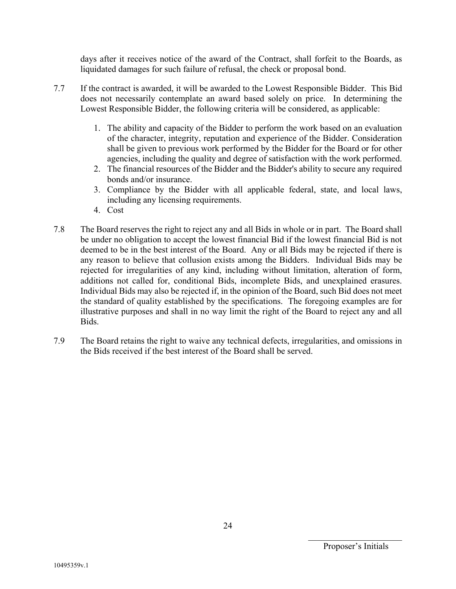days after it receives notice of the award of the Contract, shall forfeit to the Boards, as liquidated damages for such failure of refusal, the check or proposal bond.

- 7.7 If the contract is awarded, it will be awarded to the Lowest Responsible Bidder. This Bid does not necessarily contemplate an award based solely on price. In determining the Lowest Responsible Bidder, the following criteria will be considered, as applicable:
	- 1. The ability and capacity of the Bidder to perform the work based on an evaluation of the character, integrity, reputation and experience of the Bidder. Consideration shall be given to previous work performed by the Bidder for the Board or for other agencies, including the quality and degree of satisfaction with the work performed.
	- 2. The financial resources of the Bidder and the Bidder's ability to secure any required bonds and/or insurance.
	- 3. Compliance by the Bidder with all applicable federal, state, and local laws, including any licensing requirements.
	- 4. Cost
- 7.8 The Board reserves the right to reject any and all Bids in whole or in part. The Board shall be under no obligation to accept the lowest financial Bid if the lowest financial Bid is not deemed to be in the best interest of the Board. Any or all Bids may be rejected if there is any reason to believe that collusion exists among the Bidders. Individual Bids may be rejected for irregularities of any kind, including without limitation, alteration of form, additions not called for, conditional Bids, incomplete Bids, and unexplained erasures. Individual Bids may also be rejected if, in the opinion of the Board, such Bid does not meet the standard of quality established by the specifications. The foregoing examples are for illustrative purposes and shall in no way limit the right of the Board to reject any and all Bids.
- 7.9 The Board retains the right to waive any technical defects, irregularities, and omissions in the Bids received if the best interest of the Board shall be served.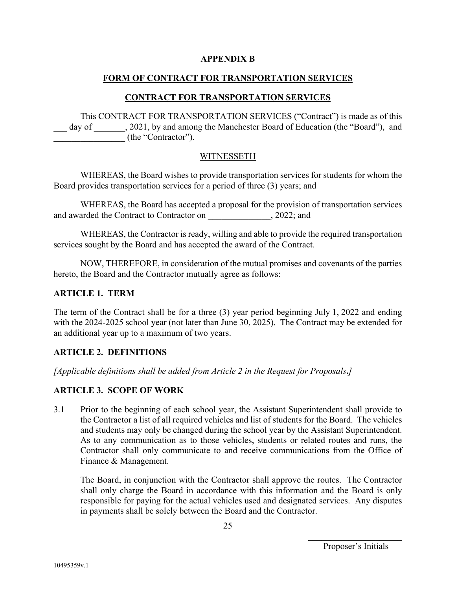#### **APPENDIX B**

### **FORM OF CONTRACT FOR TRANSPORTATION SERVICES**

#### **CONTRACT FOR TRANSPORTATION SERVICES**

This CONTRACT FOR TRANSPORTATION SERVICES ("Contract") is made as of this day of  $\qquad$ , 2021, by and among the Manchester Board of Education (the "Board"), and \_\_\_\_\_\_\_\_\_\_\_\_\_\_\_\_ (the "Contractor").

#### WITNESSETH

WHEREAS, the Board wishes to provide transportation services for students for whom the Board provides transportation services for a period of three (3) years; and

WHEREAS, the Board has accepted a proposal for the provision of transportation services and awarded the Contract to Contractor on  $, 2022;$  and

WHEREAS, the Contractor is ready, willing and able to provide the required transportation services sought by the Board and has accepted the award of the Contract.

NOW, THEREFORE, in consideration of the mutual promises and covenants of the parties hereto, the Board and the Contractor mutually agree as follows:

#### **ARTICLE 1. TERM**

The term of the Contract shall be for a three (3) year period beginning July 1, 2022 and ending with the 2024-2025 school year (not later than June 30, 2025). The Contract may be extended for an additional year up to a maximum of two years.

#### **ARTICLE 2. DEFINITIONS**

*[Applicable definitions shall be added from Article 2 in the Request for Proposals***.***]*

#### **ARTICLE 3. SCOPE OF WORK**

3.1 Prior to the beginning of each school year, the Assistant Superintendent shall provide to the Contractor a list of all required vehicles and list of students for the Board. The vehicles and students may only be changed during the school year by the Assistant Superintendent. As to any communication as to those vehicles, students or related routes and runs, the Contractor shall only communicate to and receive communications from the Office of Finance & Management.

The Board, in conjunction with the Contractor shall approve the routes. The Contractor shall only charge the Board in accordance with this information and the Board is only responsible for paying for the actual vehicles used and designated services. Any disputes in payments shall be solely between the Board and the Contractor.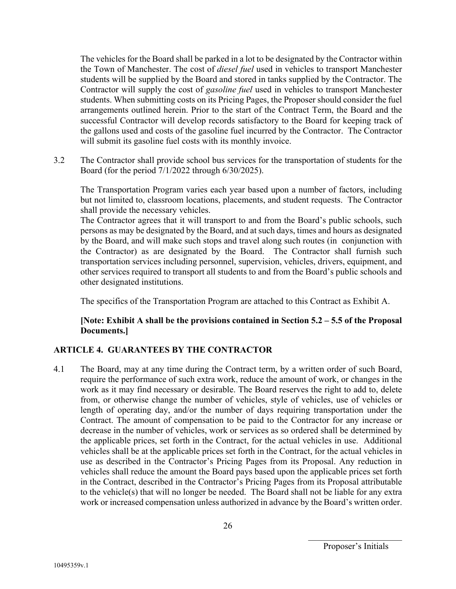The vehicles for the Board shall be parked in a lot to be designated by the Contractor within the Town of Manchester. The cost of *diesel fuel* used in vehicles to transport Manchester students will be supplied by the Board and stored in tanks supplied by the Contractor. The Contractor will supply the cost of *gasoline fuel* used in vehicles to transport Manchester students. When submitting costs on its Pricing Pages, the Proposer should consider the fuel arrangements outlined herein. Prior to the start of the Contract Term, the Board and the successful Contractor will develop records satisfactory to the Board for keeping track of the gallons used and costs of the gasoline fuel incurred by the Contractor. The Contractor will submit its gasoline fuel costs with its monthly invoice.

3.2 The Contractor shall provide school bus services for the transportation of students for the Board (for the period 7/1/2022 through 6/30/2025).

The Transportation Program varies each year based upon a number of factors, including but not limited to, classroom locations, placements, and student requests. The Contractor shall provide the necessary vehicles.

The Contractor agrees that it will transport to and from the Board's public schools, such persons as may be designated by the Board, and at such days, times and hours as designated by the Board, and will make such stops and travel along such routes (in conjunction with the Contractor) as are designated by the Board. The Contractor shall furnish such transportation services including personnel, supervision, vehicles, drivers, equipment, and other services required to transport all students to and from the Board's public schools and other designated institutions.

The specifics of the Transportation Program are attached to this Contract as Exhibit A.

## **[Note: Exhibit A shall be the provisions contained in Section 5.2 – 5.5 of the Proposal Documents.]**

# **ARTICLE 4. GUARANTEES BY THE CONTRACTOR**

4.1 The Board, may at any time during the Contract term, by a written order of such Board, require the performance of such extra work, reduce the amount of work, or changes in the work as it may find necessary or desirable. The Board reserves the right to add to, delete from, or otherwise change the number of vehicles, style of vehicles, use of vehicles or length of operating day, and/or the number of days requiring transportation under the Contract. The amount of compensation to be paid to the Contractor for any increase or decrease in the number of vehicles, work or services as so ordered shall be determined by the applicable prices, set forth in the Contract, for the actual vehicles in use. Additional vehicles shall be at the applicable prices set forth in the Contract, for the actual vehicles in use as described in the Contractor's Pricing Pages from its Proposal. Any reduction in vehicles shall reduce the amount the Board pays based upon the applicable prices set forth in the Contract, described in the Contractor's Pricing Pages from its Proposal attributable to the vehicle(s) that will no longer be needed. The Board shall not be liable for any extra work or increased compensation unless authorized in advance by the Board's written order.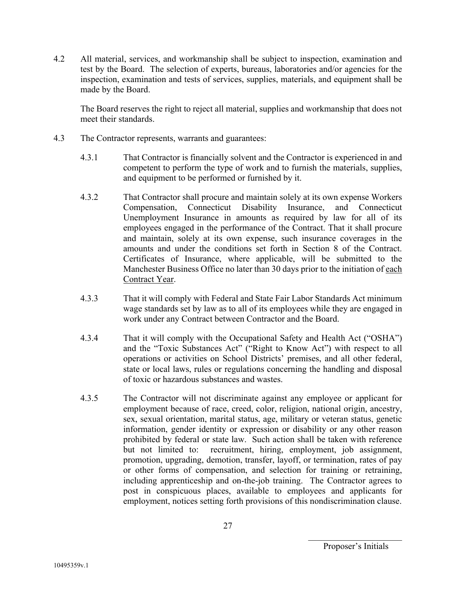4.2 All material, services, and workmanship shall be subject to inspection, examination and test by the Board. The selection of experts, bureaus, laboratories and/or agencies for the inspection, examination and tests of services, supplies, materials, and equipment shall be made by the Board.

The Board reserves the right to reject all material, supplies and workmanship that does not meet their standards.

- 4.3 The Contractor represents, warrants and guarantees:
	- 4.3.1 That Contractor is financially solvent and the Contractor is experienced in and competent to perform the type of work and to furnish the materials, supplies, and equipment to be performed or furnished by it.
	- 4.3.2 That Contractor shall procure and maintain solely at its own expense Workers Compensation, Connecticut Disability Insurance, and Connecticut Unemployment Insurance in amounts as required by law for all of its employees engaged in the performance of the Contract. That it shall procure and maintain, solely at its own expense, such insurance coverages in the amounts and under the conditions set forth in Section 8 of the Contract. Certificates of Insurance, where applicable, will be submitted to the Manchester Business Office no later than 30 days prior to the initiation of each Contract Year.
	- 4.3.3 That it will comply with Federal and State Fair Labor Standards Act minimum wage standards set by law as to all of its employees while they are engaged in work under any Contract between Contractor and the Board.
	- 4.3.4 That it will comply with the Occupational Safety and Health Act ("OSHA") and the "Toxic Substances Act" ("Right to Know Act") with respect to all operations or activities on School Districts' premises, and all other federal, state or local laws, rules or regulations concerning the handling and disposal of toxic or hazardous substances and wastes.
	- 4.3.5 The Contractor will not discriminate against any employee or applicant for employment because of race, creed, color, religion, national origin, ancestry, sex, sexual orientation, marital status, age, military or veteran status, genetic information, gender identity or expression or disability or any other reason prohibited by federal or state law. Such action shall be taken with reference but not limited to: recruitment, hiring, employment, job assignment, promotion, upgrading, demotion, transfer, layoff, or termination, rates of pay or other forms of compensation, and selection for training or retraining, including apprenticeship and on-the-job training. The Contractor agrees to post in conspicuous places, available to employees and applicants for employment, notices setting forth provisions of this nondiscrimination clause.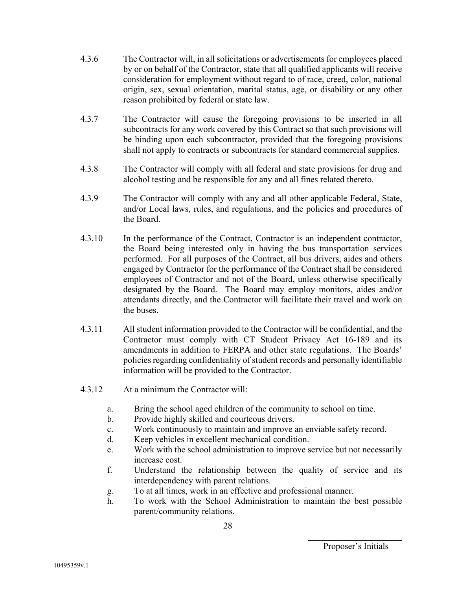- 4.3.6 The Contractor will, in all solicitations or advertisements for employees placed by or on behalf of the Contractor, state that all qualified applicants will receive consideration for employment without regard to of race, creed, color, national origin, sex, sexual orientation, marital status, age, or disability or any other reason prohibited by federal or state law.
- 4.3.7 The Contractor will cause the foregoing provisions to be inserted in all subcontracts for any work covered by this Contract so that such provisions will be binding upon each subcontractor, provided that the foregoing provisions shall not apply to contracts or subcontracts for standard commercial supplies.
- 4.3.8 The Contractor will comply with all federal and state provisions for drug and alcohol testing and be responsible for any and all fines related thereto.
- 4.3.9 The Contractor will comply with any and all other applicable Federal, State, and/or Local laws, rules, and regulations, and the policies and procedures of the Board.
- 4.3.10 In the performance of the Contract, Contractor is an independent contractor, the Board being interested only in having the bus transportation services performed. For all purposes of the Contract, all bus drivers, aides and others engaged by Contractor for the performance of the Contract shall be considered employees of Contractor and not of the Board, unless otherwise specifically designated by the Board. The Board may employ monitors, aides and/or attendants directly, and the Contractor will facilitate their travel and work on the buses.
- 4.3.11 All student information provided to the Contractor will be confidential, and the Contractor must comply with CT Student Privacy Act 16-189 and its amendments in addition to FERPA and other state regulations. The Boards' policies regarding confidentiality of student records and personally identifiable information will be provided to the Contractor.
- 4.3.12 At a minimum the Contractor will:
	- a. Bring the school aged children of the community to school on time.
	- b. Provide highly skilled and courteous drivers.
	- c. Work continuously to maintain and improve an enviable safety record.
	- d. Keep vehicles in excellent mechanical condition.
	- e. Work with the school administration to improve service but not necessarily increase cost.
	- f. Understand the relationship between the quality of service and its interdependency with parent relations.
	- g. To at all times, work in an effective and professional manner.
	- h. To work with the School Administration to maintain the best possible parent/community relations.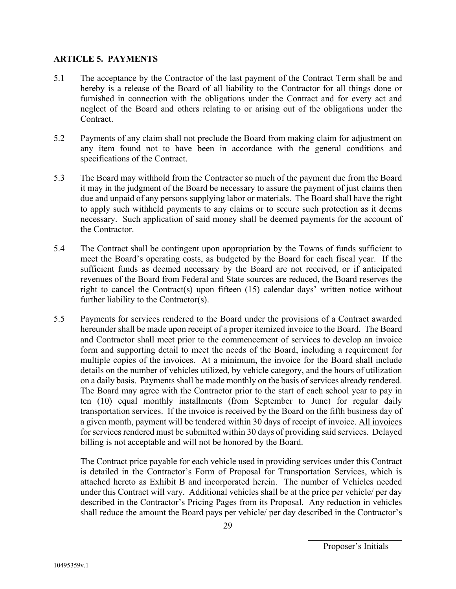## **ARTICLE 5. PAYMENTS**

- 5.1 The acceptance by the Contractor of the last payment of the Contract Term shall be and hereby is a release of the Board of all liability to the Contractor for all things done or furnished in connection with the obligations under the Contract and for every act and neglect of the Board and others relating to or arising out of the obligations under the Contract.
- 5.2 Payments of any claim shall not preclude the Board from making claim for adjustment on any item found not to have been in accordance with the general conditions and specifications of the Contract.
- 5.3 The Board may withhold from the Contractor so much of the payment due from the Board it may in the judgment of the Board be necessary to assure the payment of just claims then due and unpaid of any persons supplying labor or materials. The Board shall have the right to apply such withheld payments to any claims or to secure such protection as it deems necessary. Such application of said money shall be deemed payments for the account of the Contractor.
- 5.4 The Contract shall be contingent upon appropriation by the Towns of funds sufficient to meet the Board's operating costs, as budgeted by the Board for each fiscal year. If the sufficient funds as deemed necessary by the Board are not received, or if anticipated revenues of the Board from Federal and State sources are reduced, the Board reserves the right to cancel the Contract(s) upon fifteen (15) calendar days' written notice without further liability to the Contractor(s).
- 5.5 Payments for services rendered to the Board under the provisions of a Contract awarded hereunder shall be made upon receipt of a proper itemized invoice to the Board. The Board and Contractor shall meet prior to the commencement of services to develop an invoice form and supporting detail to meet the needs of the Board, including a requirement for multiple copies of the invoices. At a minimum, the invoice for the Board shall include details on the number of vehicles utilized, by vehicle category, and the hours of utilization on a daily basis. Payments shall be made monthly on the basis of services already rendered. The Board may agree with the Contractor prior to the start of each school year to pay in ten (10) equal monthly installments (from September to June) for regular daily transportation services. If the invoice is received by the Board on the fifth business day of a given month, payment will be tendered within 30 days of receipt of invoice. All invoices for services rendered must be submitted within 30 days of providing said services. Delayed billing is not acceptable and will not be honored by the Board.

The Contract price payable for each vehicle used in providing services under this Contract is detailed in the Contractor's Form of Proposal for Transportation Services, which is attached hereto as Exhibit B and incorporated herein. The number of Vehicles needed under this Contract will vary. Additional vehicles shall be at the price per vehicle/ per day described in the Contractor's Pricing Pages from its Proposal. Any reduction in vehicles shall reduce the amount the Board pays per vehicle/ per day described in the Contractor's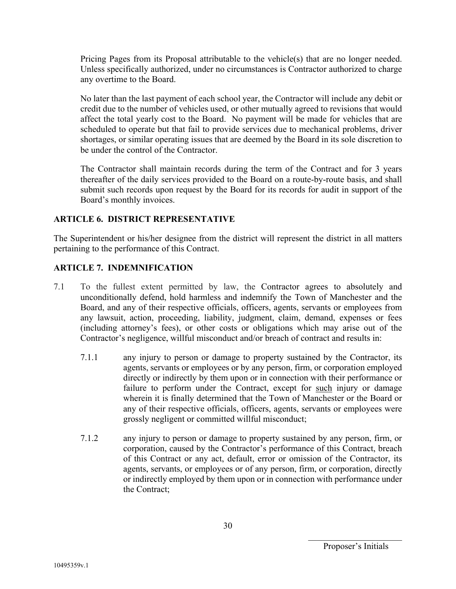Pricing Pages from its Proposal attributable to the vehicle(s) that are no longer needed. Unless specifically authorized, under no circumstances is Contractor authorized to charge any overtime to the Board.

No later than the last payment of each school year, the Contractor will include any debit or credit due to the number of vehicles used, or other mutually agreed to revisions that would affect the total yearly cost to the Board. No payment will be made for vehicles that are scheduled to operate but that fail to provide services due to mechanical problems, driver shortages, or similar operating issues that are deemed by the Board in its sole discretion to be under the control of the Contractor.

The Contractor shall maintain records during the term of the Contract and for 3 years thereafter of the daily services provided to the Board on a route-by-route basis, and shall submit such records upon request by the Board for its records for audit in support of the Board's monthly invoices.

## **ARTICLE 6. DISTRICT REPRESENTATIVE**

The Superintendent or his/her designee from the district will represent the district in all matters pertaining to the performance of this Contract.

## **ARTICLE 7. INDEMNIFICATION**

- 7.1 To the fullest extent permitted by law, the Contractor agrees to absolutely and unconditionally defend, hold harmless and indemnify the Town of Manchester and the Board, and any of their respective officials, officers, agents, servants or employees from any lawsuit, action, proceeding, liability, judgment, claim, demand, expenses or fees (including attorney's fees), or other costs or obligations which may arise out of the Contractor's negligence, willful misconduct and/or breach of contract and results in:
	- 7.1.1 any injury to person or damage to property sustained by the Contractor, its agents, servants or employees or by any person, firm, or corporation employed directly or indirectly by them upon or in connection with their performance or failure to perform under the Contract, except for such injury or damage wherein it is finally determined that the Town of Manchester or the Board or any of their respective officials, officers, agents, servants or employees were grossly negligent or committed willful misconduct;
	- 7.1.2 any injury to person or damage to property sustained by any person, firm, or corporation, caused by the Contractor's performance of this Contract, breach of this Contract or any act, default, error or omission of the Contractor, its agents, servants, or employees or of any person, firm, or corporation, directly or indirectly employed by them upon or in connection with performance under the Contract;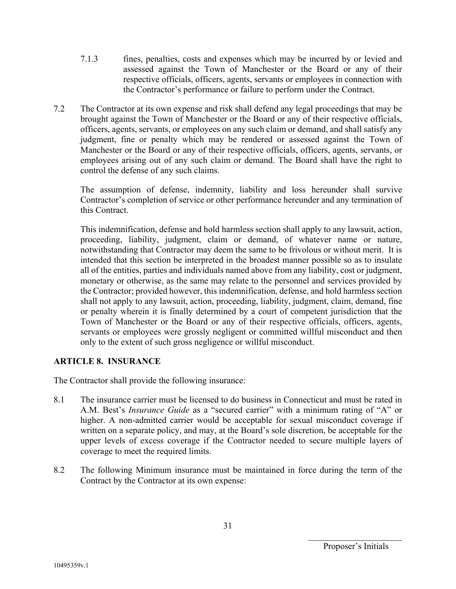- 7.1.3 fines, penalties, costs and expenses which may be incurred by or levied and assessed against the Town of Manchester or the Board or any of their respective officials, officers, agents, servants or employees in connection with the Contractor's performance or failure to perform under the Contract.
- 7.2 The Contractor at its own expense and risk shall defend any legal proceedings that may be brought against the Town of Manchester or the Board or any of their respective officials, officers, agents, servants, or employees on any such claim or demand, and shall satisfy any judgment, fine or penalty which may be rendered or assessed against the Town of Manchester or the Board or any of their respective officials, officers, agents, servants, or employees arising out of any such claim or demand. The Board shall have the right to control the defense of any such claims.

The assumption of defense, indemnity, liability and loss hereunder shall survive Contractor's completion of service or other performance hereunder and any termination of this Contract.

This indemnification, defense and hold harmless section shall apply to any lawsuit, action, proceeding, liability, judgment, claim or demand, of whatever name or nature, notwithstanding that Contractor may deem the same to be frivolous or without merit. It is intended that this section be interpreted in the broadest manner possible so as to insulate all of the entities, parties and individuals named above from any liability, cost or judgment, monetary or otherwise, as the same may relate to the personnel and services provided by the Contractor; provided however, this indemnification, defense, and hold harmless section shall not apply to any lawsuit, action, proceeding, liability, judgment, claim, demand, fine or penalty wherein it is finally determined by a court of competent jurisdiction that the Town of Manchester or the Board or any of their respective officials, officers, agents, servants or employees were grossly negligent or committed willful misconduct and then only to the extent of such gross negligence or willful misconduct.

# **ARTICLE 8. INSURANCE**

The Contractor shall provide the following insurance:

- 8.1 The insurance carrier must be licensed to do business in Connecticut and must be rated in A.M. Best's *Insurance Guide* as a "secured carrier" with a minimum rating of "A" or higher. A non-admitted carrier would be acceptable for sexual misconduct coverage if written on a separate policy, and may, at the Board's sole discretion, be acceptable for the upper levels of excess coverage if the Contractor needed to secure multiple layers of coverage to meet the required limits.
- 8.2 The following Minimum insurance must be maintained in force during the term of the Contract by the Contractor at its own expense: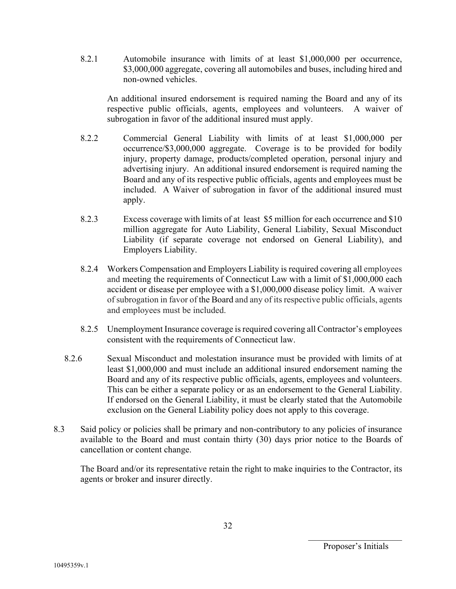8.2.1 Automobile insurance with limits of at least \$1,000,000 per occurrence, \$3,000,000 aggregate, covering all automobiles and buses, including hired and non-owned vehicles.

An additional insured endorsement is required naming the Board and any of its respective public officials, agents, employees and volunteers. A waiver of subrogation in favor of the additional insured must apply.

- 8.2.2 Commercial General Liability with limits of at least \$1,000,000 per occurrence/\$3,000,000 aggregate. Coverage is to be provided for bodily injury, property damage, products/completed operation, personal injury and advertising injury. An additional insured endorsement is required naming the Board and any of its respective public officials, agents and employees must be included. A Waiver of subrogation in favor of the additional insured must apply.
- 8.2.3 Excess coverage with limits of at least \$5 million for each occurrence and \$10 million aggregate for Auto Liability, General Liability, Sexual Misconduct Liability (if separate coverage not endorsed on General Liability), and Employers Liability.
- 8.2.4 Workers Compensation and Employers Liability is required covering all employees and meeting the requirements of Connecticut Law with a limit of \$1,000,000 each accident or disease per employee with a \$1,000,000 disease policy limit. A waiver of subrogation in favor of the Board and any of its respective public officials, agents and employees must be included.
- 8.2.5 Unemployment Insurance coverage is required covering all Contractor's employees consistent with the requirements of Connecticut law.
- 8.2.6 Sexual Misconduct and molestation insurance must be provided with limits of at least \$1,000,000 and must include an additional insured endorsement naming the Board and any of its respective public officials, agents, employees and volunteers. This can be either a separate policy or as an endorsement to the General Liability. If endorsed on the General Liability, it must be clearly stated that the Automobile exclusion on the General Liability policy does not apply to this coverage.
- 8.3 Said policy or policies shall be primary and non-contributory to any policies of insurance available to the Board and must contain thirty (30) days prior notice to the Boards of cancellation or content change.

The Board and/or its representative retain the right to make inquiries to the Contractor, its agents or broker and insurer directly.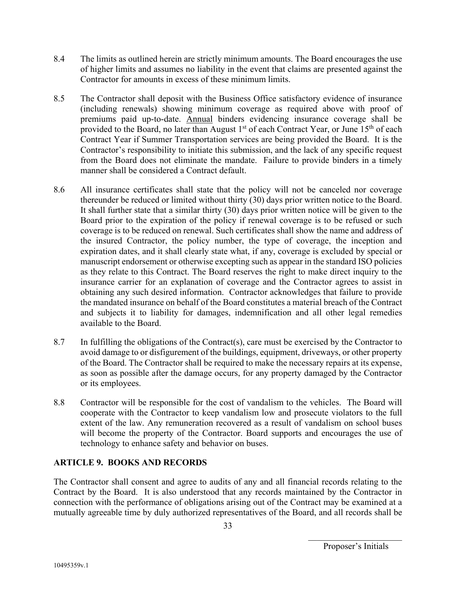- 8.4 The limits as outlined herein are strictly minimum amounts. The Board encourages the use of higher limits and assumes no liability in the event that claims are presented against the Contractor for amounts in excess of these minimum limits.
- 8.5 The Contractor shall deposit with the Business Office satisfactory evidence of insurance (including renewals) showing minimum coverage as required above with proof of premiums paid up-to-date. Annual binders evidencing insurance coverage shall be provided to the Board, no later than August 1<sup>st</sup> of each Contract Year, or June 15<sup>th</sup> of each Contract Year if Summer Transportation services are being provided the Board. It is the Contractor's responsibility to initiate this submission, and the lack of any specific request from the Board does not eliminate the mandate. Failure to provide binders in a timely manner shall be considered a Contract default.
- 8.6 All insurance certificates shall state that the policy will not be canceled nor coverage thereunder be reduced or limited without thirty (30) days prior written notice to the Board. It shall further state that a similar thirty (30) days prior written notice will be given to the Board prior to the expiration of the policy if renewal coverage is to be refused or such coverage is to be reduced on renewal. Such certificates shall show the name and address of the insured Contractor, the policy number, the type of coverage, the inception and expiration dates, and it shall clearly state what, if any, coverage is excluded by special or manuscript endorsement or otherwise excepting such as appear in the standard ISO policies as they relate to this Contract. The Board reserves the right to make direct inquiry to the insurance carrier for an explanation of coverage and the Contractor agrees to assist in obtaining any such desired information. Contractor acknowledges that failure to provide the mandated insurance on behalf of the Board constitutes a material breach of the Contract and subjects it to liability for damages, indemnification and all other legal remedies available to the Board.
- 8.7 In fulfilling the obligations of the Contract(s), care must be exercised by the Contractor to avoid damage to or disfigurement of the buildings, equipment, driveways, or other property of the Board. The Contractor shall be required to make the necessary repairs at its expense, as soon as possible after the damage occurs, for any property damaged by the Contractor or its employees.
- 8.8 Contractor will be responsible for the cost of vandalism to the vehicles. The Board will cooperate with the Contractor to keep vandalism low and prosecute violators to the full extent of the law. Any remuneration recovered as a result of vandalism on school buses will become the property of the Contractor. Board supports and encourages the use of technology to enhance safety and behavior on buses.

# **ARTICLE 9. BOOKS AND RECORDS**

The Contractor shall consent and agree to audits of any and all financial records relating to the Contract by the Board. It is also understood that any records maintained by the Contractor in connection with the performance of obligations arising out of the Contract may be examined at a mutually agreeable time by duly authorized representatives of the Board, and all records shall be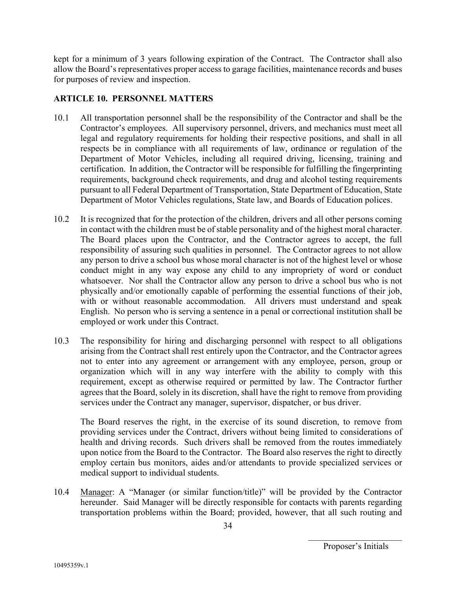kept for a minimum of 3 years following expiration of the Contract. The Contractor shall also allow the Board's representatives proper access to garage facilities, maintenance records and buses for purposes of review and inspection.

#### **ARTICLE 10. PERSONNEL MATTERS**

- 10.1 All transportation personnel shall be the responsibility of the Contractor and shall be the Contractor's employees. All supervisory personnel, drivers, and mechanics must meet all legal and regulatory requirements for holding their respective positions, and shall in all respects be in compliance with all requirements of law, ordinance or regulation of the Department of Motor Vehicles, including all required driving, licensing, training and certification. In addition, the Contractor will be responsible for fulfilling the fingerprinting requirements, background check requirements, and drug and alcohol testing requirements pursuant to all Federal Department of Transportation, State Department of Education, State Department of Motor Vehicles regulations, State law, and Boards of Education polices.
- 10.2 It is recognized that for the protection of the children, drivers and all other persons coming in contact with the children must be of stable personality and of the highest moral character. The Board places upon the Contractor, and the Contractor agrees to accept, the full responsibility of assuring such qualities in personnel. The Contractor agrees to not allow any person to drive a school bus whose moral character is not of the highest level or whose conduct might in any way expose any child to any impropriety of word or conduct whatsoever. Nor shall the Contractor allow any person to drive a school bus who is not physically and/or emotionally capable of performing the essential functions of their job, with or without reasonable accommodation. All drivers must understand and speak English. No person who is serving a sentence in a penal or correctional institution shall be employed or work under this Contract.
- 10.3 The responsibility for hiring and discharging personnel with respect to all obligations arising from the Contract shall rest entirely upon the Contractor, and the Contractor agrees not to enter into any agreement or arrangement with any employee, person, group or organization which will in any way interfere with the ability to comply with this requirement, except as otherwise required or permitted by law. The Contractor further agrees that the Board, solely in its discretion, shall have the right to remove from providing services under the Contract any manager, supervisor, dispatcher, or bus driver.

The Board reserves the right, in the exercise of its sound discretion, to remove from providing services under the Contract, drivers without being limited to considerations of health and driving records. Such drivers shall be removed from the routes immediately upon notice from the Board to the Contractor. The Board also reserves the right to directly employ certain bus monitors, aides and/or attendants to provide specialized services or medical support to individual students.

10.4 Manager: A "Manager (or similar function/title)" will be provided by the Contractor hereunder. Said Manager will be directly responsible for contacts with parents regarding transportation problems within the Board; provided, however, that all such routing and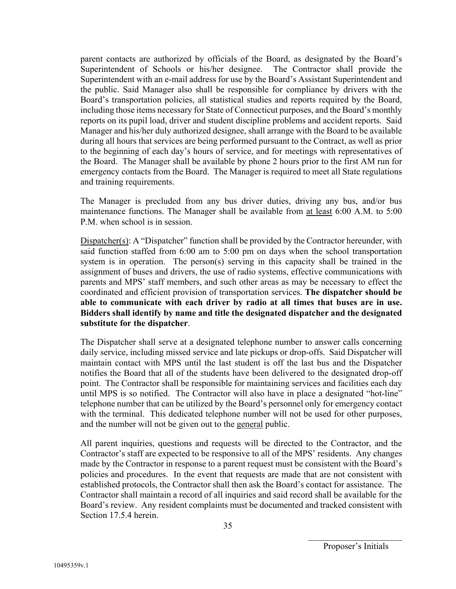parent contacts are authorized by officials of the Board, as designated by the Board's Superintendent of Schools or his/her designee. The Contractor shall provide the Superintendent with an e-mail address for use by the Board's Assistant Superintendent and the public. Said Manager also shall be responsible for compliance by drivers with the Board's transportation policies, all statistical studies and reports required by the Board, including those items necessary for State of Connecticut purposes, and the Board's monthly reports on its pupil load, driver and student discipline problems and accident reports. Said Manager and his/her duly authorized designee, shall arrange with the Board to be available during all hours that services are being performed pursuant to the Contract, as well as prior to the beginning of each day's hours of service, and for meetings with representatives of the Board. The Manager shall be available by phone 2 hours prior to the first AM run for emergency contacts from the Board. The Manager is required to meet all State regulations and training requirements.

The Manager is precluded from any bus driver duties, driving any bus, and/or bus maintenance functions. The Manager shall be available from at least 6:00 A.M. to 5:00 P.M. when school is in session.

Dispatcher(s): A "Dispatcher" function shall be provided by the Contractor hereunder, with said function staffed from 6:00 am to 5:00 pm on days when the school transportation system is in operation. The person(s) serving in this capacity shall be trained in the assignment of buses and drivers, the use of radio systems, effective communications with parents and MPS' staff members, and such other areas as may be necessary to effect the coordinated and efficient provision of transportation services. **The dispatcher should be able to communicate with each driver by radio at all times that buses are in use. Bidders shall identify by name and title the designated dispatcher and the designated substitute for the dispatcher**.

The Dispatcher shall serve at a designated telephone number to answer calls concerning daily service, including missed service and late pickups or drop-offs. Said Dispatcher will maintain contact with MPS until the last student is off the last bus and the Dispatcher notifies the Board that all of the students have been delivered to the designated drop-off point. The Contractor shall be responsible for maintaining services and facilities each day until MPS is so notified. The Contractor will also have in place a designated "hot-line" telephone number that can be utilized by the Board's personnel only for emergency contact with the terminal. This dedicated telephone number will not be used for other purposes, and the number will not be given out to the general public.

All parent inquiries, questions and requests will be directed to the Contractor, and the Contractor's staff are expected to be responsive to all of the MPS' residents. Any changes made by the Contractor in response to a parent request must be consistent with the Board's policies and procedures. In the event that requests are made that are not consistent with established protocols, the Contractor shall then ask the Board's contact for assistance. The Contractor shall maintain a record of all inquiries and said record shall be available for the Board's review. Any resident complaints must be documented and tracked consistent with Section 17.5.4 herein.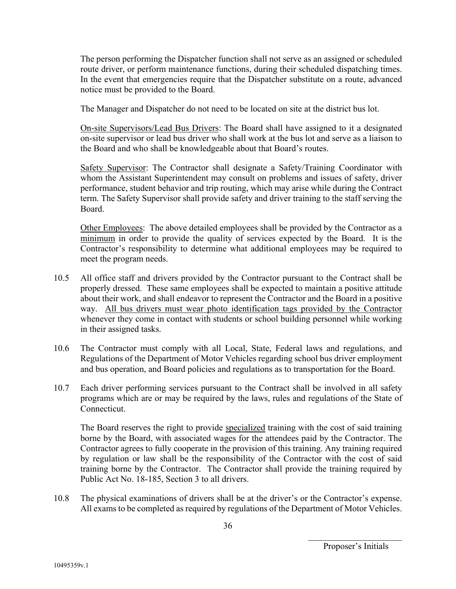The person performing the Dispatcher function shall not serve as an assigned or scheduled route driver, or perform maintenance functions, during their scheduled dispatching times. In the event that emergencies require that the Dispatcher substitute on a route, advanced notice must be provided to the Board.

The Manager and Dispatcher do not need to be located on site at the district bus lot.

On-site Supervisors/Lead Bus Drivers: The Board shall have assigned to it a designated on-site supervisor or lead bus driver who shall work at the bus lot and serve as a liaison to the Board and who shall be knowledgeable about that Board's routes.

Safety Supervisor: The Contractor shall designate a Safety/Training Coordinator with whom the Assistant Superintendent may consult on problems and issues of safety, driver performance, student behavior and trip routing, which may arise while during the Contract term. The Safety Supervisor shall provide safety and driver training to the staff serving the Board.

Other Employees: The above detailed employees shall be provided by the Contractor as a minimum in order to provide the quality of services expected by the Board. It is the Contractor's responsibility to determine what additional employees may be required to meet the program needs.

- 10.5 All office staff and drivers provided by the Contractor pursuant to the Contract shall be properly dressed. These same employees shall be expected to maintain a positive attitude about their work, and shall endeavor to represent the Contractor and the Board in a positive way. All bus drivers must wear photo identification tags provided by the Contractor whenever they come in contact with students or school building personnel while working in their assigned tasks.
- 10.6 The Contractor must comply with all Local, State, Federal laws and regulations, and Regulations of the Department of Motor Vehicles regarding school bus driver employment and bus operation, and Board policies and regulations as to transportation for the Board.
- 10.7 Each driver performing services pursuant to the Contract shall be involved in all safety programs which are or may be required by the laws, rules and regulations of the State of Connecticut.

The Board reserves the right to provide specialized training with the cost of said training borne by the Board, with associated wages for the attendees paid by the Contractor. The Contractor agrees to fully cooperate in the provision of this training. Any training required by regulation or law shall be the responsibility of the Contractor with the cost of said training borne by the Contractor. The Contractor shall provide the training required by Public Act No. 18-185, Section 3 to all drivers.

10.8 The physical examinations of drivers shall be at the driver's or the Contractor's expense. All exams to be completed as required by regulations of the Department of Motor Vehicles.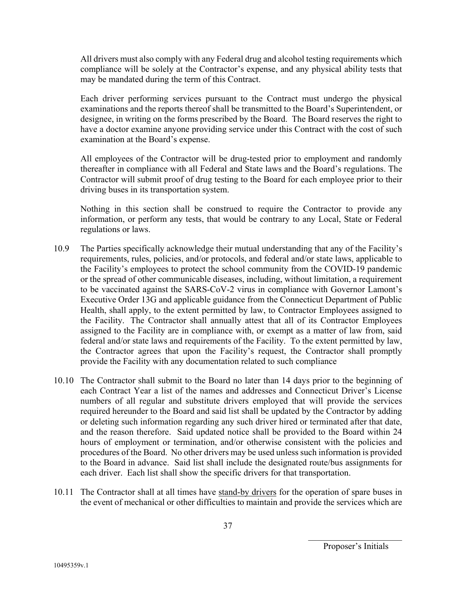All drivers must also comply with any Federal drug and alcohol testing requirements which compliance will be solely at the Contractor's expense, and any physical ability tests that may be mandated during the term of this Contract.

Each driver performing services pursuant to the Contract must undergo the physical examinations and the reports thereof shall be transmitted to the Board's Superintendent, or designee, in writing on the forms prescribed by the Board. The Board reserves the right to have a doctor examine anyone providing service under this Contract with the cost of such examination at the Board's expense.

All employees of the Contractor will be drug-tested prior to employment and randomly thereafter in compliance with all Federal and State laws and the Board's regulations. The Contractor will submit proof of drug testing to the Board for each employee prior to their driving buses in its transportation system.

Nothing in this section shall be construed to require the Contractor to provide any information, or perform any tests, that would be contrary to any Local, State or Federal regulations or laws.

- 10.9 The Parties specifically acknowledge their mutual understanding that any of the Facility's requirements, rules, policies, and/or protocols, and federal and/or state laws, applicable to the Facility's employees to protect the school community from the COVID-19 pandemic or the spread of other communicable diseases, including, without limitation, a requirement to be vaccinated against the SARS-CoV-2 virus in compliance with Governor Lamont's Executive Order 13G and applicable guidance from the Connecticut Department of Public Health, shall apply, to the extent permitted by law, to Contractor Employees assigned to the Facility. The Contractor shall annually attest that all of its Contractor Employees assigned to the Facility are in compliance with, or exempt as a matter of law from, said federal and/or state laws and requirements of the Facility. To the extent permitted by law, the Contractor agrees that upon the Facility's request, the Contractor shall promptly provide the Facility with any documentation related to such compliance
- 10.10 The Contractor shall submit to the Board no later than 14 days prior to the beginning of each Contract Year a list of the names and addresses and Connecticut Driver's License numbers of all regular and substitute drivers employed that will provide the services required hereunder to the Board and said list shall be updated by the Contractor by adding or deleting such information regarding any such driver hired or terminated after that date, and the reason therefore. Said updated notice shall be provided to the Board within 24 hours of employment or termination, and/or otherwise consistent with the policies and procedures of the Board. No other drivers may be used unless such information is provided to the Board in advance. Said list shall include the designated route/bus assignments for each driver. Each list shall show the specific drivers for that transportation.
- 10.11 The Contractor shall at all times have stand-by drivers for the operation of spare buses in the event of mechanical or other difficulties to maintain and provide the services which are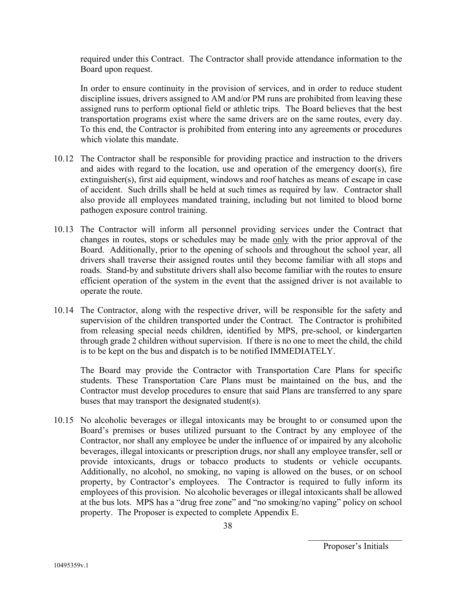required under this Contract. The Contractor shall provide attendance information to the Board upon request.

In order to ensure continuity in the provision of services, and in order to reduce student discipline issues, drivers assigned to AM and/or PM runs are prohibited from leaving these assigned runs to perform optional field or athletic trips. The Board believes that the best transportation programs exist where the same drivers are on the same routes, every day. To this end, the Contractor is prohibited from entering into any agreements or procedures which violate this mandate.

- 10.12 The Contractor shall be responsible for providing practice and instruction to the drivers and aides with regard to the location, use and operation of the emergency door(s), fire extinguisher(s), first aid equipment, windows and roof hatches as means of escape in case of accident. Such drills shall be held at such times as required by law. Contractor shall also provide all employees mandated training, including but not limited to blood borne pathogen exposure control training.
- 10.13 The Contractor will inform all personnel providing services under the Contract that changes in routes, stops or schedules may be made only with the prior approval of the Board. Additionally, prior to the opening of schools and throughout the school year, all drivers shall traverse their assigned routes until they become familiar with all stops and roads. Stand-by and substitute drivers shall also become familiar with the routes to ensure efficient operation of the system in the event that the assigned driver is not available to operate the route.
- 10.14 The Contractor, along with the respective driver, will be responsible for the safety and supervision of the children transported under the Contract. The Contractor is prohibited from releasing special needs children, identified by MPS, pre-school, or kindergarten through grade 2 children without supervision. If there is no one to meet the child, the child is to be kept on the bus and dispatch is to be notified IMMEDIATELY.

The Board may provide the Contractor with Transportation Care Plans for specific students. These Transportation Care Plans must be maintained on the bus, and the Contractor must develop procedures to ensure that said Plans are transferred to any spare buses that may transport the designated student(s).

10.15 No alcoholic beverages or illegal intoxicants may be brought to or consumed upon the Board's premises or buses utilized pursuant to the Contract by any employee of the Contractor, nor shall any employee be under the influence of or impaired by any alcoholic beverages, illegal intoxicants or prescription drugs, nor shall any employee transfer, sell or provide intoxicants, drugs or tobacco products to students or vehicle occupants. Additionally, no alcohol, no smoking, no vaping is allowed on the buses, or on school property, by Contractor's employees. The Contractor is required to fully inform its employees of this provision. No alcoholic beverages or illegal intoxicants shall be allowed at the bus lots. MPS has a "drug free zone" and "no smoking/no vaping" policy on school property. The Proposer is expected to complete Appendix E.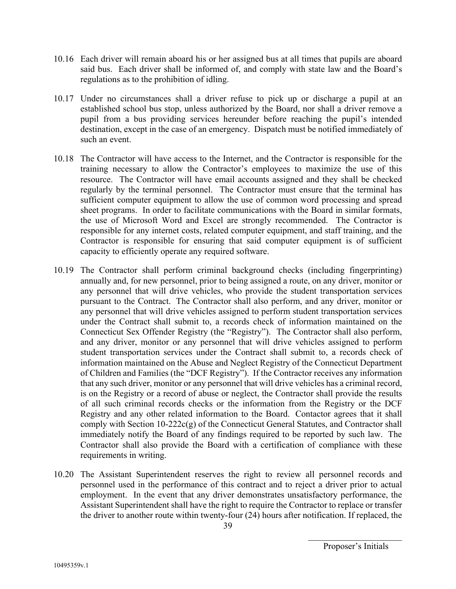- 10.16 Each driver will remain aboard his or her assigned bus at all times that pupils are aboard said bus. Each driver shall be informed of, and comply with state law and the Board's regulations as to the prohibition of idling.
- 10.17 Under no circumstances shall a driver refuse to pick up or discharge a pupil at an established school bus stop, unless authorized by the Board, nor shall a driver remove a pupil from a bus providing services hereunder before reaching the pupil's intended destination, except in the case of an emergency. Dispatch must be notified immediately of such an event.
- 10.18 The Contractor will have access to the Internet, and the Contractor is responsible for the training necessary to allow the Contractor's employees to maximize the use of this resource. The Contractor will have email accounts assigned and they shall be checked regularly by the terminal personnel. The Contractor must ensure that the terminal has sufficient computer equipment to allow the use of common word processing and spread sheet programs. In order to facilitate communications with the Board in similar formats, the use of Microsoft Word and Excel are strongly recommended. The Contractor is responsible for any internet costs, related computer equipment, and staff training, and the Contractor is responsible for ensuring that said computer equipment is of sufficient capacity to efficiently operate any required software.
- 10.19 The Contractor shall perform criminal background checks (including fingerprinting) annually and, for new personnel, prior to being assigned a route, on any driver, monitor or any personnel that will drive vehicles, who provide the student transportation services pursuant to the Contract. The Contractor shall also perform, and any driver, monitor or any personnel that will drive vehicles assigned to perform student transportation services under the Contract shall submit to, a records check of information maintained on the Connecticut Sex Offender Registry (the "Registry"). The Contractor shall also perform, and any driver, monitor or any personnel that will drive vehicles assigned to perform student transportation services under the Contract shall submit to, a records check of information maintained on the Abuse and Neglect Registry of the Connecticut Department of Children and Families (the "DCF Registry"). If the Contractor receives any information that any such driver, monitor or any personnel that will drive vehicles has a criminal record, is on the Registry or a record of abuse or neglect, the Contractor shall provide the results of all such criminal records checks or the information from the Registry or the DCF Registry and any other related information to the Board. Contactor agrees that it shall comply with Section 10-222c(g) of the Connecticut General Statutes, and Contractor shall immediately notify the Board of any findings required to be reported by such law. The Contractor shall also provide the Board with a certification of compliance with these requirements in writing.
- 10.20 The Assistant Superintendent reserves the right to review all personnel records and personnel used in the performance of this contract and to reject a driver prior to actual employment. In the event that any driver demonstrates unsatisfactory performance, the Assistant Superintendent shall have the right to require the Contractor to replace or transfer the driver to another route within twenty-four (24) hours after notification. If replaced, the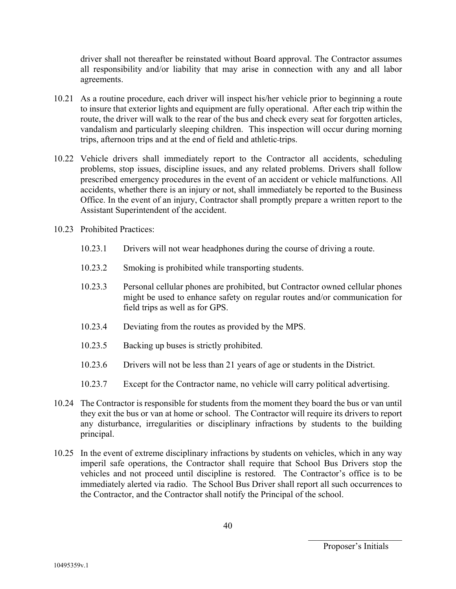driver shall not thereafter be reinstated without Board approval. The Contractor assumes all responsibility and/or liability that may arise in connection with any and all labor agreements.

- 10.21 As a routine procedure, each driver will inspect his/her vehicle prior to beginning a route to insure that exterior lights and equipment are fully operational. After each trip within the route, the driver will walk to the rear of the bus and check every seat for forgotten articles, vandalism and particularly sleeping children. This inspection will occur during morning trips, afternoon trips and at the end of field and athletic trips.
- 10.22 Vehicle drivers shall immediately report to the Contractor all accidents, scheduling problems, stop issues, discipline issues, and any related problems. Drivers shall follow prescribed emergency procedures in the event of an accident or vehicle malfunctions. All accidents, whether there is an injury or not, shall immediately be reported to the Business Office. In the event of an injury, Contractor shall promptly prepare a written report to the Assistant Superintendent of the accident.
- 10.23 Prohibited Practices:
	- 10.23.1 Drivers will not wear headphones during the course of driving a route.
	- 10.23.2 Smoking is prohibited while transporting students.
	- 10.23.3 Personal cellular phones are prohibited, but Contractor owned cellular phones might be used to enhance safety on regular routes and/or communication for field trips as well as for GPS.
	- 10.23.4 Deviating from the routes as provided by the MPS.
	- 10.23.5 Backing up buses is strictly prohibited.
	- 10.23.6 Drivers will not be less than 21 years of age or students in the District.
	- 10.23.7 Except for the Contractor name, no vehicle will carry political advertising.
- 10.24 The Contractor is responsible for students from the moment they board the bus or van until they exit the bus or van at home or school. The Contractor will require its drivers to report any disturbance, irregularities or disciplinary infractions by students to the building principal.
- 10.25 In the event of extreme disciplinary infractions by students on vehicles, which in any way imperil safe operations, the Contractor shall require that School Bus Drivers stop the vehicles and not proceed until discipline is restored. The Contractor's office is to be immediately alerted via radio. The School Bus Driver shall report all such occurrences to the Contractor, and the Contractor shall notify the Principal of the school.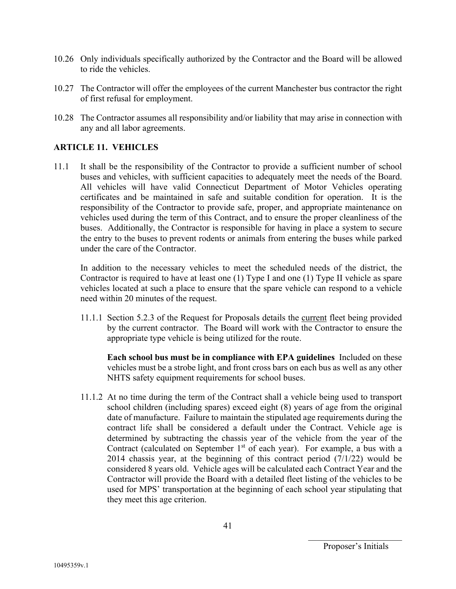- 10.26 Only individuals specifically authorized by the Contractor and the Board will be allowed to ride the vehicles.
- 10.27 The Contractor will offer the employees of the current Manchester bus contractor the right of first refusal for employment.
- 10.28 The Contractor assumes all responsibility and/or liability that may arise in connection with any and all labor agreements.

#### **ARTICLE 11. VEHICLES**

11.1 It shall be the responsibility of the Contractor to provide a sufficient number of school buses and vehicles, with sufficient capacities to adequately meet the needs of the Board. All vehicles will have valid Connecticut Department of Motor Vehicles operating certificates and be maintained in safe and suitable condition for operation. It is the responsibility of the Contractor to provide safe, proper, and appropriate maintenance on vehicles used during the term of this Contract, and to ensure the proper cleanliness of the buses. Additionally, the Contractor is responsible for having in place a system to secure the entry to the buses to prevent rodents or animals from entering the buses while parked under the care of the Contractor.

In addition to the necessary vehicles to meet the scheduled needs of the district, the Contractor is required to have at least one (1) Type I and one (1) Type II vehicle as spare vehicles located at such a place to ensure that the spare vehicle can respond to a vehicle need within 20 minutes of the request.

11.1.1 Section 5.2.3 of the Request for Proposals details the current fleet being provided by the current contractor. The Board will work with the Contractor to ensure the appropriate type vehicle is being utilized for the route.

**Each school bus must be in compliance with EPA guidelines** Included on these vehicles must be a strobe light, and front cross bars on each bus as well as any other NHTS safety equipment requirements for school buses.

11.1.2 At no time during the term of the Contract shall a vehicle being used to transport school children (including spares) exceed eight (8) years of age from the original date of manufacture. Failure to maintain the stipulated age requirements during the contract life shall be considered a default under the Contract. Vehicle age is determined by subtracting the chassis year of the vehicle from the year of the Contract (calculated on September  $1<sup>st</sup>$  of each year). For example, a bus with a 2014 chassis year, at the beginning of this contract period (7/1/22) would be considered 8 years old. Vehicle ages will be calculated each Contract Year and the Contractor will provide the Board with a detailed fleet listing of the vehicles to be used for MPS' transportation at the beginning of each school year stipulating that they meet this age criterion.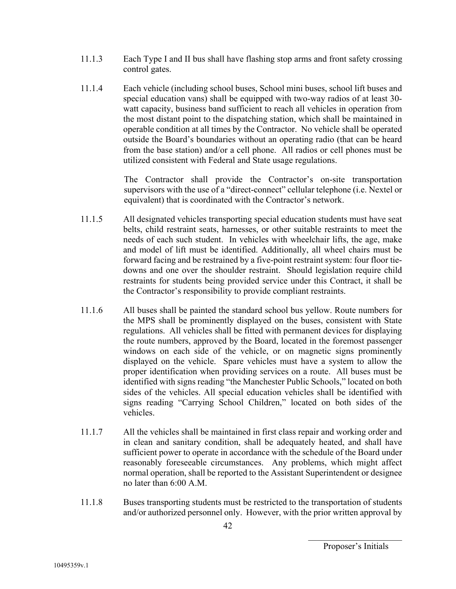- 11.1.3 Each Type I and II bus shall have flashing stop arms and front safety crossing control gates.
- 11.1.4 Each vehicle (including school buses, School mini buses, school lift buses and special education vans) shall be equipped with two-way radios of at least 30 watt capacity, business band sufficient to reach all vehicles in operation from the most distant point to the dispatching station, which shall be maintained in operable condition at all times by the Contractor. No vehicle shall be operated outside the Board's boundaries without an operating radio (that can be heard from the base station) and/or a cell phone. All radios or cell phones must be utilized consistent with Federal and State usage regulations.

The Contractor shall provide the Contractor's on-site transportation supervisors with the use of a "direct-connect" cellular telephone (i.e. Nextel or equivalent) that is coordinated with the Contractor's network.

- 11.1.5 All designated vehicles transporting special education students must have seat belts, child restraint seats, harnesses, or other suitable restraints to meet the needs of each such student. In vehicles with wheelchair lifts, the age, make and model of lift must be identified. Additionally, all wheel chairs must be forward facing and be restrained by a five-point restraint system: four floor tiedowns and one over the shoulder restraint. Should legislation require child restraints for students being provided service under this Contract, it shall be the Contractor's responsibility to provide compliant restraints.
- 11.1.6 All buses shall be painted the standard school bus yellow. Route numbers for the MPS shall be prominently displayed on the buses, consistent with State regulations. All vehicles shall be fitted with permanent devices for displaying the route numbers, approved by the Board, located in the foremost passenger windows on each side of the vehicle, or on magnetic signs prominently displayed on the vehicle. Spare vehicles must have a system to allow the proper identification when providing services on a route. All buses must be identified with signs reading "the Manchester Public Schools," located on both sides of the vehicles. All special education vehicles shall be identified with signs reading "Carrying School Children," located on both sides of the vehicles.
- 11.1.7 All the vehicles shall be maintained in first class repair and working order and in clean and sanitary condition, shall be adequately heated, and shall have sufficient power to operate in accordance with the schedule of the Board under reasonably foreseeable circumstances. Any problems, which might affect normal operation, shall be reported to the Assistant Superintendent or designee no later than 6:00 A.M.
- 11.1.8 Buses transporting students must be restricted to the transportation of students and/or authorized personnel only. However, with the prior written approval by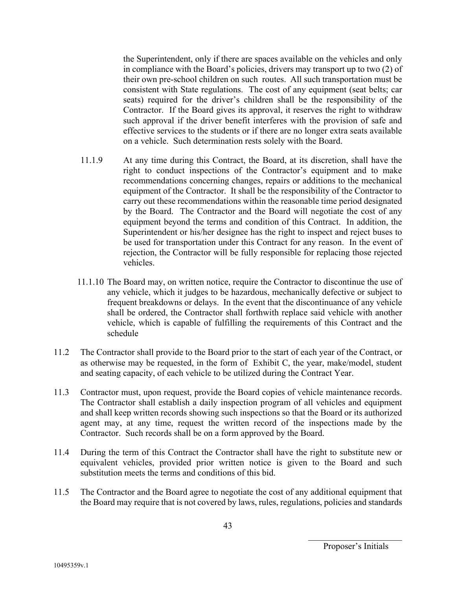the Superintendent, only if there are spaces available on the vehicles and only in compliance with the Board's policies, drivers may transport up to two (2) of their own pre-school children on such routes. All such transportation must be consistent with State regulations. The cost of any equipment (seat belts; car seats) required for the driver's children shall be the responsibility of the Contractor. If the Board gives its approval, it reserves the right to withdraw such approval if the driver benefit interferes with the provision of safe and effective services to the students or if there are no longer extra seats available on a vehicle. Such determination rests solely with the Board.

- 11.1.9 At any time during this Contract, the Board, at its discretion, shall have the right to conduct inspections of the Contractor's equipment and to make recommendations concerning changes, repairs or additions to the mechanical equipment of the Contractor. It shall be the responsibility of the Contractor to carry out these recommendations within the reasonable time period designated by the Board. The Contractor and the Board will negotiate the cost of any equipment beyond the terms and condition of this Contract. In addition, the Superintendent or his/her designee has the right to inspect and reject buses to be used for transportation under this Contract for any reason. In the event of rejection, the Contractor will be fully responsible for replacing those rejected vehicles.
- 11.1.10 The Board may, on written notice, require the Contractor to discontinue the use of any vehicle, which it judges to be hazardous, mechanically defective or subject to frequent breakdowns or delays. In the event that the discontinuance of any vehicle shall be ordered, the Contractor shall forthwith replace said vehicle with another vehicle, which is capable of fulfilling the requirements of this Contract and the schedule
- 11.2 The Contractor shall provide to the Board prior to the start of each year of the Contract, or as otherwise may be requested, in the form of Exhibit C, the year, make/model, student and seating capacity, of each vehicle to be utilized during the Contract Year.
- 11.3 Contractor must, upon request, provide the Board copies of vehicle maintenance records. The Contractor shall establish a daily inspection program of all vehicles and equipment and shall keep written records showing such inspections so that the Board or its authorized agent may, at any time, request the written record of the inspections made by the Contractor. Such records shall be on a form approved by the Board.
- 11.4 During the term of this Contract the Contractor shall have the right to substitute new or equivalent vehicles, provided prior written notice is given to the Board and such substitution meets the terms and conditions of this bid.
- 11.5 The Contractor and the Board agree to negotiate the cost of any additional equipment that the Board may require that is not covered by laws, rules, regulations, policies and standards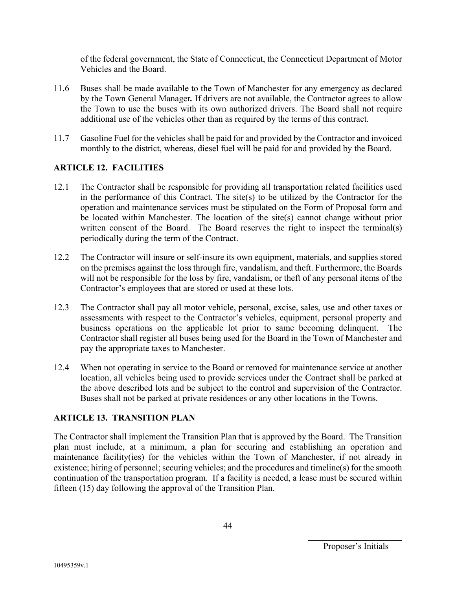of the federal government, the State of Connecticut, the Connecticut Department of Motor Vehicles and the Board.

- 11.6 Buses shall be made available to the Town of Manchester for any emergency as declared by the Town General Manager*.* If drivers are not available, the Contractor agrees to allow the Town to use the buses with its own authorized drivers. The Board shall not require additional use of the vehicles other than as required by the terms of this contract.
- 11.7 Gasoline Fuel for the vehicles shall be paid for and provided by the Contractor and invoiced monthly to the district, whereas, diesel fuel will be paid for and provided by the Board.

#### **ARTICLE 12. FACILITIES**

- 12.1 The Contractor shall be responsible for providing all transportation related facilities used in the performance of this Contract. The site(s) to be utilized by the Contractor for the operation and maintenance services must be stipulated on the Form of Proposal form and be located within Manchester. The location of the site(s) cannot change without prior written consent of the Board. The Board reserves the right to inspect the terminal(s) periodically during the term of the Contract.
- 12.2 The Contractor will insure or self-insure its own equipment, materials, and supplies stored on the premises against the loss through fire, vandalism, and theft. Furthermore, the Boards will not be responsible for the loss by fire, vandalism, or theft of any personal items of the Contractor's employees that are stored or used at these lots.
- 12.3 The Contractor shall pay all motor vehicle, personal, excise, sales, use and other taxes or assessments with respect to the Contractor's vehicles, equipment, personal property and business operations on the applicable lot prior to same becoming delinquent. The Contractor shall register all buses being used for the Board in the Town of Manchester and pay the appropriate taxes to Manchester.
- 12.4 When not operating in service to the Board or removed for maintenance service at another location, all vehicles being used to provide services under the Contract shall be parked at the above described lots and be subject to the control and supervision of the Contractor. Buses shall not be parked at private residences or any other locations in the Towns.

#### **ARTICLE 13. TRANSITION PLAN**

The Contractor shall implement the Transition Plan that is approved by the Board. The Transition plan must include, at a minimum, a plan for securing and establishing an operation and maintenance facility(ies) for the vehicles within the Town of Manchester, if not already in existence; hiring of personnel; securing vehicles; and the procedures and timeline(s) for the smooth continuation of the transportation program. If a facility is needed, a lease must be secured within fifteen (15) day following the approval of the Transition Plan.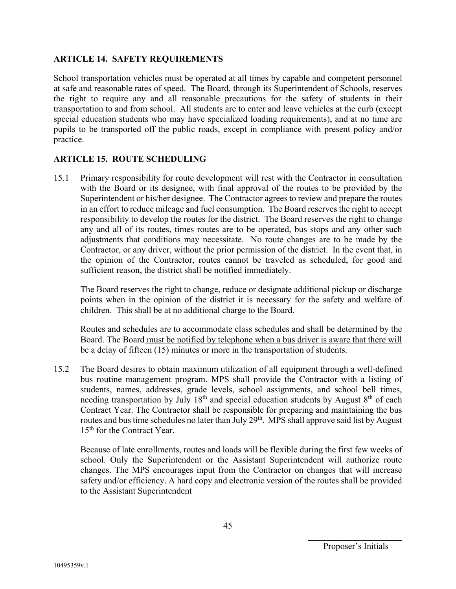#### **ARTICLE 14. SAFETY REQUIREMENTS**

School transportation vehicles must be operated at all times by capable and competent personnel at safe and reasonable rates of speed. The Board, through its Superintendent of Schools, reserves the right to require any and all reasonable precautions for the safety of students in their transportation to and from school. All students are to enter and leave vehicles at the curb (except special education students who may have specialized loading requirements), and at no time are pupils to be transported off the public roads, except in compliance with present policy and/or practice.

#### **ARTICLE 15. ROUTE SCHEDULING**

15.1 Primary responsibility for route development will rest with the Contractor in consultation with the Board or its designee, with final approval of the routes to be provided by the Superintendent or his/her designee. The Contractor agrees to review and prepare the routes in an effort to reduce mileage and fuel consumption. The Board reserves the right to accept responsibility to develop the routes for the district. The Board reserves the right to change any and all of its routes, times routes are to be operated, bus stops and any other such adjustments that conditions may necessitate. No route changes are to be made by the Contractor, or any driver, without the prior permission of the district. In the event that, in the opinion of the Contractor, routes cannot be traveled as scheduled, for good and sufficient reason, the district shall be notified immediately.

The Board reserves the right to change, reduce or designate additional pickup or discharge points when in the opinion of the district it is necessary for the safety and welfare of children. This shall be at no additional charge to the Board.

Routes and schedules are to accommodate class schedules and shall be determined by the Board. The Board must be notified by telephone when a bus driver is aware that there will be a delay of fifteen (15) minutes or more in the transportation of students.

15.2 The Board desires to obtain maximum utilization of all equipment through a well-defined bus routine management program. MPS shall provide the Contractor with a listing of students, names, addresses, grade levels, school assignments, and school bell times, needing transportation by July  $18<sup>th</sup>$  and special education students by August  $8<sup>th</sup>$  of each Contract Year. The Contractor shall be responsible for preparing and maintaining the bus routes and bus time schedules no later than July 29<sup>th</sup>. MPS shall approve said list by August 15<sup>th</sup> for the Contract Year.

Because of late enrollments, routes and loads will be flexible during the first few weeks of school. Only the Superintendent or the Assistant Superintendent will authorize route changes. The MPS encourages input from the Contractor on changes that will increase safety and/or efficiency. A hard copy and electronic version of the routes shall be provided to the Assistant Superintendent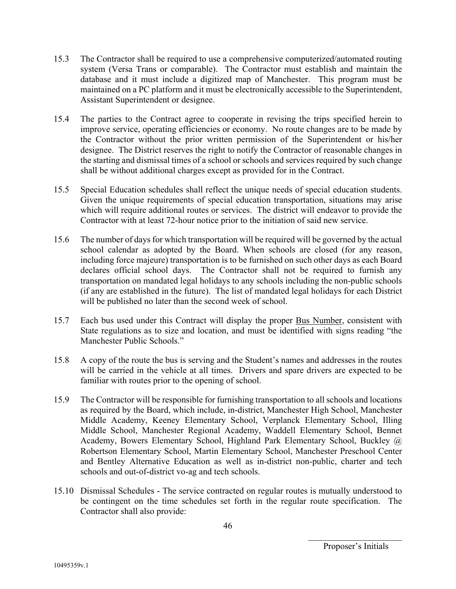- 15.3 The Contractor shall be required to use a comprehensive computerized/automated routing system (Versa Trans or comparable). The Contractor must establish and maintain the database and it must include a digitized map of Manchester. This program must be maintained on a PC platform and it must be electronically accessible to the Superintendent, Assistant Superintendent or designee.
- 15.4 The parties to the Contract agree to cooperate in revising the trips specified herein to improve service, operating efficiencies or economy. No route changes are to be made by the Contractor without the prior written permission of the Superintendent or his/her designee. The District reserves the right to notify the Contractor of reasonable changes in the starting and dismissal times of a school or schools and services required by such change shall be without additional charges except as provided for in the Contract.
- 15.5 Special Education schedules shall reflect the unique needs of special education students. Given the unique requirements of special education transportation, situations may arise which will require additional routes or services. The district will endeavor to provide the Contractor with at least 72-hour notice prior to the initiation of said new service.
- 15.6 The number of days for which transportation will be required will be governed by the actual school calendar as adopted by the Board. When schools are closed (for any reason, including force majeure) transportation is to be furnished on such other days as each Board declares official school days. The Contractor shall not be required to furnish any transportation on mandated legal holidays to any schools including the non-public schools (if any are established in the future). The list of mandated legal holidays for each District will be published no later than the second week of school.
- 15.7 Each bus used under this Contract will display the proper Bus Number, consistent with State regulations as to size and location, and must be identified with signs reading "the Manchester Public Schools."
- 15.8 A copy of the route the bus is serving and the Student's names and addresses in the routes will be carried in the vehicle at all times. Drivers and spare drivers are expected to be familiar with routes prior to the opening of school.
- 15.9 The Contractor will be responsible for furnishing transportation to all schools and locations as required by the Board, which include, in-district, Manchester High School, Manchester Middle Academy, Keeney Elementary School, Verplanck Elementary School, Illing Middle School, Manchester Regional Academy, Waddell Elementary School, Bennet Academy, Bowers Elementary School, Highland Park Elementary School, Buckley @ Robertson Elementary School, Martin Elementary School, Manchester Preschool Center and Bentley Alternative Education as well as in-district non-public, charter and tech schools and out-of-district vo-ag and tech schools.
- 15.10 Dismissal Schedules The service contracted on regular routes is mutually understood to be contingent on the time schedules set forth in the regular route specification. The Contractor shall also provide: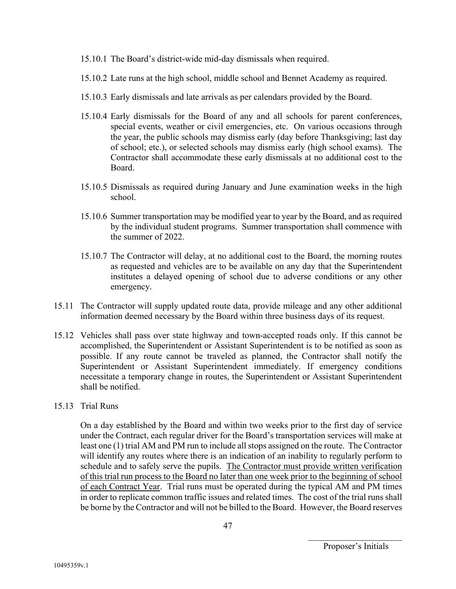- 15.10.1 The Board's district-wide mid-day dismissals when required.
- 15.10.2 Late runs at the high school, middle school and Bennet Academy as required.
- 15.10.3 Early dismissals and late arrivals as per calendars provided by the Board.
- 15.10.4 Early dismissals for the Board of any and all schools for parent conferences, special events, weather or civil emergencies, etc. On various occasions through the year, the public schools may dismiss early (day before Thanksgiving; last day of school; etc.), or selected schools may dismiss early (high school exams). The Contractor shall accommodate these early dismissals at no additional cost to the Board.
- 15.10.5 Dismissals as required during January and June examination weeks in the high school.
- 15.10.6 Summer transportation may be modified year to year by the Board, and as required by the individual student programs. Summer transportation shall commence with the summer of 2022.
- 15.10.7 The Contractor will delay, at no additional cost to the Board, the morning routes as requested and vehicles are to be available on any day that the Superintendent institutes a delayed opening of school due to adverse conditions or any other emergency.
- 15.11 The Contractor will supply updated route data, provide mileage and any other additional information deemed necessary by the Board within three business days of its request.
- 15.12 Vehicles shall pass over state highway and town-accepted roads only. If this cannot be accomplished, the Superintendent or Assistant Superintendent is to be notified as soon as possible. If any route cannot be traveled as planned, the Contractor shall notify the Superintendent or Assistant Superintendent immediately. If emergency conditions necessitate a temporary change in routes, the Superintendent or Assistant Superintendent shall be notified.

#### 15.13 Trial Runs

On a day established by the Board and within two weeks prior to the first day of service under the Contract, each regular driver for the Board's transportation services will make at least one (1) trial AM and PM run to include all stops assigned on the route. The Contractor will identify any routes where there is an indication of an inability to regularly perform to schedule and to safely serve the pupils. The Contractor must provide written verification of this trial run process to the Board no later than one week prior to the beginning of school of each Contract Year. Trial runs must be operated during the typical AM and PM times in order to replicate common traffic issues and related times. The cost of the trial runs shall be borne by the Contractor and will not be billed to the Board. However, the Board reserves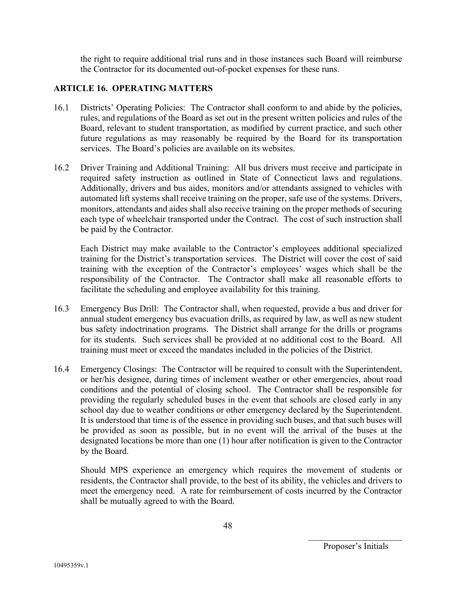the right to require additional trial runs and in those instances such Board will reimburse the Contractor for its documented out-of-pocket expenses for these runs.

#### **ARTICLE 16. OPERATING MATTERS**

- 16.1 Districts' Operating Policies: The Contractor shall conform to and abide by the policies, rules, and regulations of the Board as set out in the present written policies and rules of the Board, relevant to student transportation, as modified by current practice, and such other future regulations as may reasonably be required by the Board for its transportation services. The Board's policies are available on its websites.
- 16.2 Driver Training and Additional Training: All bus drivers must receive and participate in required safety instruction as outlined in State of Connecticut laws and regulations. Additionally, drivers and bus aides, monitors and/or attendants assigned to vehicles with automated lift systems shall receive training on the proper, safe use of the systems. Drivers, monitors, attendants and aides shall also receive training on the proper methods of securing each type of wheelchair transported under the Contract. The cost of such instruction shall be paid by the Contractor.

Each District may make available to the Contractor's employees additional specialized training for the District's transportation services. The District will cover the cost of said training with the exception of the Contractor's employees' wages which shall be the responsibility of the Contractor. The Contractor shall make all reasonable efforts to facilitate the scheduling and employee availability for this training.

- 16.3 Emergency Bus Drill: The Contractor shall, when requested, provide a bus and driver for annual student emergency bus evacuation drills, as required by law, as well as new student bus safety indoctrination programs. The District shall arrange for the drills or programs for its students. Such services shall be provided at no additional cost to the Board. All training must meet or exceed the mandates included in the policies of the District.
- 16.4 Emergency Closings: The Contractor will be required to consult with the Superintendent, or her/his designee, during times of inclement weather or other emergencies, about road conditions and the potential of closing school. The Contractor shall be responsible for providing the regularly scheduled buses in the event that schools are closed early in any school day due to weather conditions or other emergency declared by the Superintendent. It is understood that time is of the essence in providing such buses, and that such buses will be provided as soon as possible, but in no event will the arrival of the buses at the designated locations be more than one (1) hour after notification is given to the Contractor by the Board.

Should MPS experience an emergency which requires the movement of students or residents, the Contractor shall provide, to the best of its ability, the vehicles and drivers to meet the emergency need. A rate for reimbursement of costs incurred by the Contractor shall be mutually agreed to with the Board.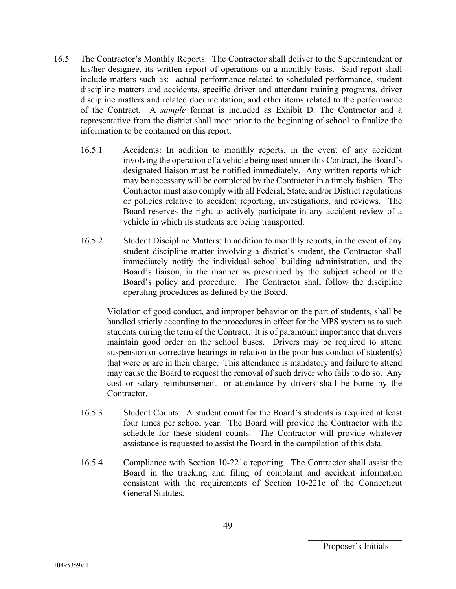- 16.5 The Contractor's Monthly Reports: The Contractor shall deliver to the Superintendent or his/her designee, its written report of operations on a monthly basis. Said report shall include matters such as: actual performance related to scheduled performance, student discipline matters and accidents, specific driver and attendant training programs, driver discipline matters and related documentation, and other items related to the performance of the Contract. A *sample* format is included as Exhibit D. The Contractor and a representative from the district shall meet prior to the beginning of school to finalize the information to be contained on this report.
	- 16.5.1 Accidents: In addition to monthly reports, in the event of any accident involving the operation of a vehicle being used under this Contract, the Board's designated liaison must be notified immediately. Any written reports which may be necessary will be completed by the Contractor in a timely fashion. The Contractor must also comply with all Federal, State, and/or District regulations or policies relative to accident reporting, investigations, and reviews. The Board reserves the right to actively participate in any accident review of a vehicle in which its students are being transported.
	- 16.5.2 Student Discipline Matters: In addition to monthly reports, in the event of any student discipline matter involving a district's student, the Contractor shall immediately notify the individual school building administration, and the Board's liaison, in the manner as prescribed by the subject school or the Board's policy and procedure. The Contractor shall follow the discipline operating procedures as defined by the Board.

Violation of good conduct, and improper behavior on the part of students, shall be handled strictly according to the procedures in effect for the MPS system as to such students during the term of the Contract. It is of paramount importance that drivers maintain good order on the school buses. Drivers may be required to attend suspension or corrective hearings in relation to the poor bus conduct of student(s) that were or are in their charge. This attendance is mandatory and failure to attend may cause the Board to request the removal of such driver who fails to do so. Any cost or salary reimbursement for attendance by drivers shall be borne by the Contractor.

- 16.5.3 Student Counts: A student count for the Board's students is required at least four times per school year. The Board will provide the Contractor with the schedule for these student counts. The Contractor will provide whatever assistance is requested to assist the Board in the compilation of this data.
- 16.5.4 Compliance with Section 10-221c reporting. The Contractor shall assist the Board in the tracking and filing of complaint and accident information consistent with the requirements of Section 10-221c of the Connecticut General Statutes.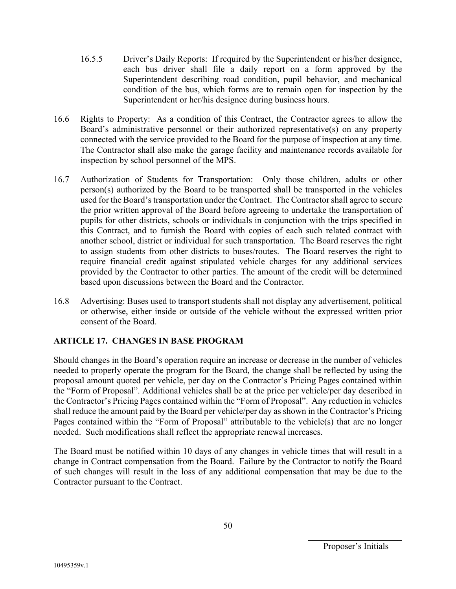- 16.5.5 Driver's Daily Reports: If required by the Superintendent or his/her designee, each bus driver shall file a daily report on a form approved by the Superintendent describing road condition, pupil behavior, and mechanical condition of the bus, which forms are to remain open for inspection by the Superintendent or her/his designee during business hours.
- 16.6 Rights to Property: As a condition of this Contract, the Contractor agrees to allow the Board's administrative personnel or their authorized representative(s) on any property connected with the service provided to the Board for the purpose of inspection at any time. The Contractor shall also make the garage facility and maintenance records available for inspection by school personnel of the MPS.
- 16.7 Authorization of Students for Transportation: Only those children, adults or other person(s) authorized by the Board to be transported shall be transported in the vehicles used for the Board's transportation under the Contract. The Contractor shall agree to secure the prior written approval of the Board before agreeing to undertake the transportation of pupils for other districts, schools or individuals in conjunction with the trips specified in this Contract, and to furnish the Board with copies of each such related contract with another school, district or individual for such transportation. The Board reserves the right to assign students from other districts to buses/routes. The Board reserves the right to require financial credit against stipulated vehicle charges for any additional services provided by the Contractor to other parties. The amount of the credit will be determined based upon discussions between the Board and the Contractor.
- 16.8 Advertising: Buses used to transport students shall not display any advertisement, political or otherwise, either inside or outside of the vehicle without the expressed written prior consent of the Board.

## **ARTICLE 17. CHANGES IN BASE PROGRAM**

Should changes in the Board's operation require an increase or decrease in the number of vehicles needed to properly operate the program for the Board, the change shall be reflected by using the proposal amount quoted per vehicle, per day on the Contractor's Pricing Pages contained within the "Form of Proposal". Additional vehicles shall be at the price per vehicle/per day described in the Contractor's Pricing Pages contained within the "Form of Proposal". Any reduction in vehicles shall reduce the amount paid by the Board per vehicle/per day as shown in the Contractor's Pricing Pages contained within the "Form of Proposal" attributable to the vehicle(s) that are no longer needed. Such modifications shall reflect the appropriate renewal increases.

The Board must be notified within 10 days of any changes in vehicle times that will result in a change in Contract compensation from the Board. Failure by the Contractor to notify the Board of such changes will result in the loss of any additional compensation that may be due to the Contractor pursuant to the Contract.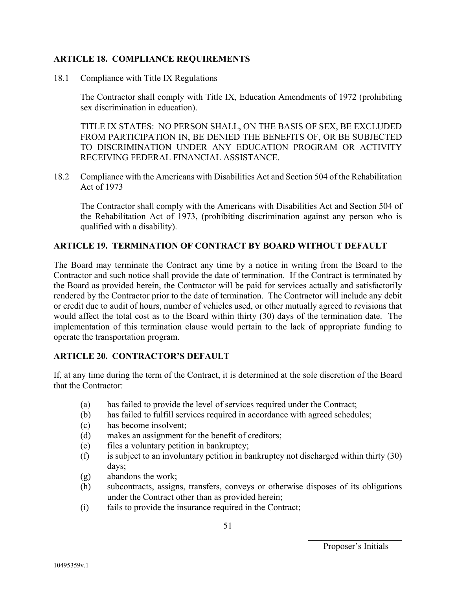#### **ARTICLE 18. COMPLIANCE REQUIREMENTS**

18.1 Compliance with Title IX Regulations

The Contractor shall comply with Title IX, Education Amendments of 1972 (prohibiting sex discrimination in education).

TITLE IX STATES: NO PERSON SHALL, ON THE BASIS OF SEX, BE EXCLUDED FROM PARTICIPATION IN, BE DENIED THE BENEFITS OF, OR BE SUBJECTED TO DISCRIMINATION UNDER ANY EDUCATION PROGRAM OR ACTIVITY RECEIVING FEDERAL FINANCIAL ASSISTANCE.

18.2 Compliance with the Americans with Disabilities Act and Section 504 of the Rehabilitation Act of 1973

The Contractor shall comply with the Americans with Disabilities Act and Section 504 of the Rehabilitation Act of 1973, (prohibiting discrimination against any person who is qualified with a disability).

#### **ARTICLE 19. TERMINATION OF CONTRACT BY BOARD WITHOUT DEFAULT**

The Board may terminate the Contract any time by a notice in writing from the Board to the Contractor and such notice shall provide the date of termination. If the Contract is terminated by the Board as provided herein, the Contractor will be paid for services actually and satisfactorily rendered by the Contractor prior to the date of termination. The Contractor will include any debit or credit due to audit of hours, number of vehicles used, or other mutually agreed to revisions that would affect the total cost as to the Board within thirty (30) days of the termination date. The implementation of this termination clause would pertain to the lack of appropriate funding to operate the transportation program.

#### **ARTICLE 20. CONTRACTOR'S DEFAULT**

If, at any time during the term of the Contract, it is determined at the sole discretion of the Board that the Contractor:

- (a) has failed to provide the level of services required under the Contract;
- (b) has failed to fulfill services required in accordance with agreed schedules;
- (c) has become insolvent;
- (d) makes an assignment for the benefit of creditors;
- (e) files a voluntary petition in bankruptcy;
- (f) is subject to an involuntary petition in bankruptcy not discharged within thirty (30) days;
- (g) abandons the work;
- (h) subcontracts, assigns, transfers, conveys or otherwise disposes of its obligations under the Contract other than as provided herein;
- (i) fails to provide the insurance required in the Contract;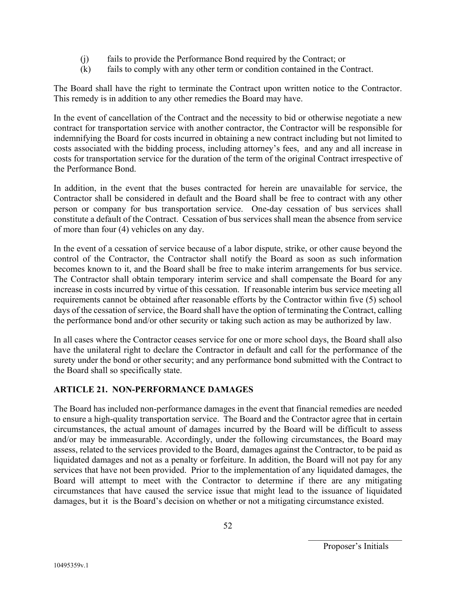- (j) fails to provide the Performance Bond required by the Contract; or
- (k) fails to comply with any other term or condition contained in the Contract.

The Board shall have the right to terminate the Contract upon written notice to the Contractor. This remedy is in addition to any other remedies the Board may have.

In the event of cancellation of the Contract and the necessity to bid or otherwise negotiate a new contract for transportation service with another contractor, the Contractor will be responsible for indemnifying the Board for costs incurred in obtaining a new contract including but not limited to costs associated with the bidding process, including attorney's fees, and any and all increase in costs for transportation service for the duration of the term of the original Contract irrespective of the Performance Bond.

In addition, in the event that the buses contracted for herein are unavailable for service, the Contractor shall be considered in default and the Board shall be free to contract with any other person or company for bus transportation service. One-day cessation of bus services shall constitute a default of the Contract. Cessation of bus services shall mean the absence from service of more than four (4) vehicles on any day.

In the event of a cessation of service because of a labor dispute, strike, or other cause beyond the control of the Contractor, the Contractor shall notify the Board as soon as such information becomes known to it, and the Board shall be free to make interim arrangements for bus service. The Contractor shall obtain temporary interim service and shall compensate the Board for any increase in costs incurred by virtue of this cessation. If reasonable interim bus service meeting all requirements cannot be obtained after reasonable efforts by the Contractor within five (5) school days of the cessation of service, the Board shall have the option of terminating the Contract, calling the performance bond and/or other security or taking such action as may be authorized by law.

In all cases where the Contractor ceases service for one or more school days, the Board shall also have the unilateral right to declare the Contractor in default and call for the performance of the surety under the bond or other security; and any performance bond submitted with the Contract to the Board shall so specifically state.

## **ARTICLE 21. NON-PERFORMANCE DAMAGES**

The Board has included non-performance damages in the event that financial remedies are needed to ensure a high-quality transportation service. The Board and the Contractor agree that in certain circumstances, the actual amount of damages incurred by the Board will be difficult to assess and/or may be immeasurable. Accordingly, under the following circumstances, the Board may assess, related to the services provided to the Board, damages against the Contractor, to be paid as liquidated damages and not as a penalty or forfeiture. In addition, the Board will not pay for any services that have not been provided. Prior to the implementation of any liquidated damages, the Board will attempt to meet with the Contractor to determine if there are any mitigating circumstances that have caused the service issue that might lead to the issuance of liquidated damages, but it is the Board's decision on whether or not a mitigating circumstance existed.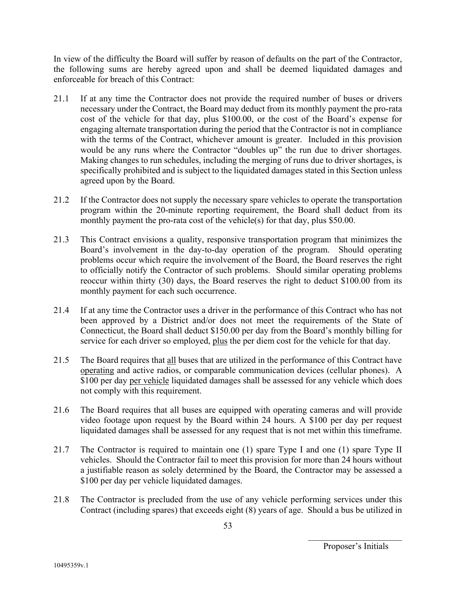In view of the difficulty the Board will suffer by reason of defaults on the part of the Contractor, the following sums are hereby agreed upon and shall be deemed liquidated damages and enforceable for breach of this Contract:

- 21.1 If at any time the Contractor does not provide the required number of buses or drivers necessary under the Contract, the Board may deduct from its monthly payment the pro-rata cost of the vehicle for that day, plus \$100.00, or the cost of the Board's expense for engaging alternate transportation during the period that the Contractor is not in compliance with the terms of the Contract, whichever amount is greater. Included in this provision would be any runs where the Contractor "doubles up" the run due to driver shortages. Making changes to run schedules, including the merging of runs due to driver shortages, is specifically prohibited and is subject to the liquidated damages stated in this Section unless agreed upon by the Board.
- 21.2 If the Contractor does not supply the necessary spare vehicles to operate the transportation program within the 20-minute reporting requirement, the Board shall deduct from its monthly payment the pro-rata cost of the vehicle(s) for that day, plus \$50.00.
- 21.3 This Contract envisions a quality, responsive transportation program that minimizes the Board's involvement in the day-to-day operation of the program. Should operating problems occur which require the involvement of the Board, the Board reserves the right to officially notify the Contractor of such problems. Should similar operating problems reoccur within thirty (30) days, the Board reserves the right to deduct \$100.00 from its monthly payment for each such occurrence.
- 21.4 If at any time the Contractor uses a driver in the performance of this Contract who has not been approved by a District and/or does not meet the requirements of the State of Connecticut, the Board shall deduct \$150.00 per day from the Board's monthly billing for service for each driver so employed, plus the per diem cost for the vehicle for that day.
- 21.5 The Board requires that all buses that are utilized in the performance of this Contract have operating and active radios, or comparable communication devices (cellular phones). A \$100 per day per vehicle liquidated damages shall be assessed for any vehicle which does not comply with this requirement.
- 21.6 The Board requires that all buses are equipped with operating cameras and will provide video footage upon request by the Board within 24 hours. A \$100 per day per request liquidated damages shall be assessed for any request that is not met within this timeframe.
- 21.7 The Contractor is required to maintain one (1) spare Type I and one (1) spare Type II vehicles. Should the Contractor fail to meet this provision for more than 24 hours without a justifiable reason as solely determined by the Board, the Contractor may be assessed a \$100 per day per vehicle liquidated damages.
- 21.8 The Contractor is precluded from the use of any vehicle performing services under this Contract (including spares) that exceeds eight (8) years of age. Should a bus be utilized in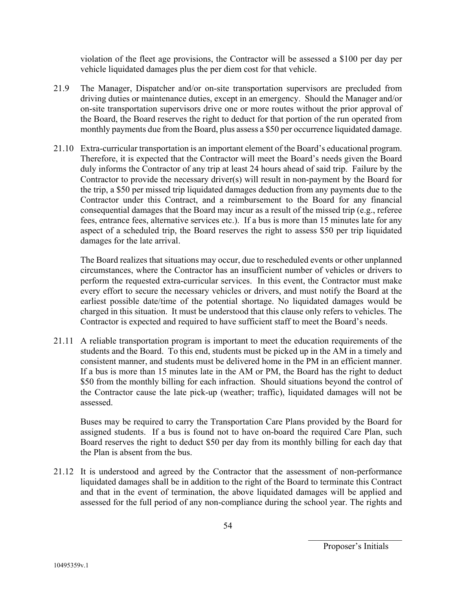violation of the fleet age provisions, the Contractor will be assessed a \$100 per day per vehicle liquidated damages plus the per diem cost for that vehicle.

- 21.9 The Manager, Dispatcher and/or on-site transportation supervisors are precluded from driving duties or maintenance duties, except in an emergency. Should the Manager and/or on-site transportation supervisors drive one or more routes without the prior approval of the Board, the Board reserves the right to deduct for that portion of the run operated from monthly payments due from the Board, plus assess a \$50 per occurrence liquidated damage.
- 21.10 Extra-curricular transportation is an important element of the Board's educational program. Therefore, it is expected that the Contractor will meet the Board's needs given the Board duly informs the Contractor of any trip at least 24 hours ahead of said trip. Failure by the Contractor to provide the necessary driver(s) will result in non-payment by the Board for the trip, a \$50 per missed trip liquidated damages deduction from any payments due to the Contractor under this Contract, and a reimbursement to the Board for any financial consequential damages that the Board may incur as a result of the missed trip (e.g., referee fees, entrance fees, alternative services etc.). If a bus is more than 15 minutes late for any aspect of a scheduled trip, the Board reserves the right to assess \$50 per trip liquidated damages for the late arrival.

The Board realizes that situations may occur, due to rescheduled events or other unplanned circumstances, where the Contractor has an insufficient number of vehicles or drivers to perform the requested extra-curricular services. In this event, the Contractor must make every effort to secure the necessary vehicles or drivers, and must notify the Board at the earliest possible date/time of the potential shortage. No liquidated damages would be charged in this situation. It must be understood that this clause only refers to vehicles. The Contractor is expected and required to have sufficient staff to meet the Board's needs.

21.11 A reliable transportation program is important to meet the education requirements of the students and the Board. To this end, students must be picked up in the AM in a timely and consistent manner, and students must be delivered home in the PM in an efficient manner. If a bus is more than 15 minutes late in the AM or PM, the Board has the right to deduct \$50 from the monthly billing for each infraction. Should situations beyond the control of the Contractor cause the late pick-up (weather; traffic), liquidated damages will not be assessed.

Buses may be required to carry the Transportation Care Plans provided by the Board for assigned students. If a bus is found not to have on-board the required Care Plan, such Board reserves the right to deduct \$50 per day from its monthly billing for each day that the Plan is absent from the bus.

21.12 It is understood and agreed by the Contractor that the assessment of non-performance liquidated damages shall be in addition to the right of the Board to terminate this Contract and that in the event of termination, the above liquidated damages will be applied and assessed for the full period of any non-compliance during the school year. The rights and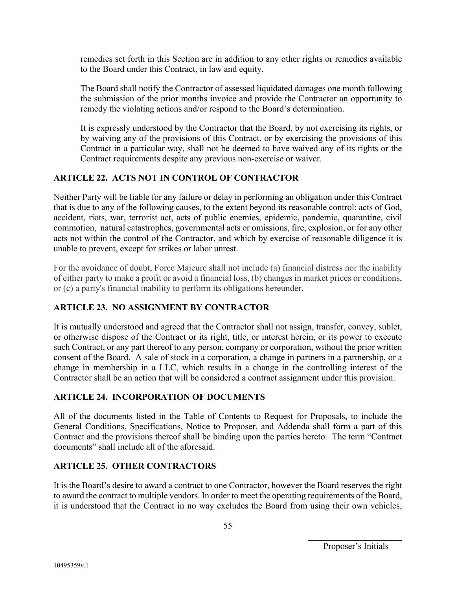remedies set forth in this Section are in addition to any other rights or remedies available to the Board under this Contract, in law and equity.

The Board shall notify the Contractor of assessed liquidated damages one month following the submission of the prior months invoice and provide the Contractor an opportunity to remedy the violating actions and/or respond to the Board's determination.

It is expressly understood by the Contractor that the Board, by not exercising its rights, or by waiving any of the provisions of this Contract, or by exercising the provisions of this Contract in a particular way, shall not be deemed to have waived any of its rights or the Contract requirements despite any previous non-exercise or waiver.

## **ARTICLE 22. ACTS NOT IN CONTROL OF CONTRACTOR**

Neither Party will be liable for any failure or delay in performing an obligation under this Contract that is due to any of the following causes, to the extent beyond its reasonable control: acts of God, accident, riots, war, terrorist act, acts of public enemies, epidemic, pandemic, quarantine, civil commotion, natural catastrophes, governmental acts or omissions, fire, explosion, or for any other acts not within the control of the Contractor, and which by exercise of reasonable diligence it is unable to prevent, except for strikes or labor unrest.

For the avoidance of doubt, Force Majeure shall not include (a) financial distress nor the inability of either party to make a profit or avoid a financial loss, (b) changes in market prices or conditions, or (c) a party's financial inability to perform its obligations hereunder.

## **ARTICLE 23. NO ASSIGNMENT BY CONTRACTOR**

It is mutually understood and agreed that the Contractor shall not assign, transfer, convey, sublet, or otherwise dispose of the Contract or its right, title, or interest herein, or its power to execute such Contract, or any part thereof to any person, company or corporation, without the prior written consent of the Board. A sale of stock in a corporation, a change in partners in a partnership, or a change in membership in a LLC, which results in a change in the controlling interest of the Contractor shall be an action that will be considered a contract assignment under this provision.

## **ARTICLE 24. INCORPORATION OF DOCUMENTS**

All of the documents listed in the Table of Contents to Request for Proposals, to include the General Conditions, Specifications, Notice to Proposer, and Addenda shall form a part of this Contract and the provisions thereof shall be binding upon the parties hereto. The term "Contract documents" shall include all of the aforesaid.

## **ARTICLE 25. OTHER CONTRACTORS**

It is the Board's desire to award a contract to one Contractor, however the Board reserves the right to award the contract to multiple vendors. In order to meet the operating requirements of the Board, it is understood that the Contract in no way excludes the Board from using their own vehicles,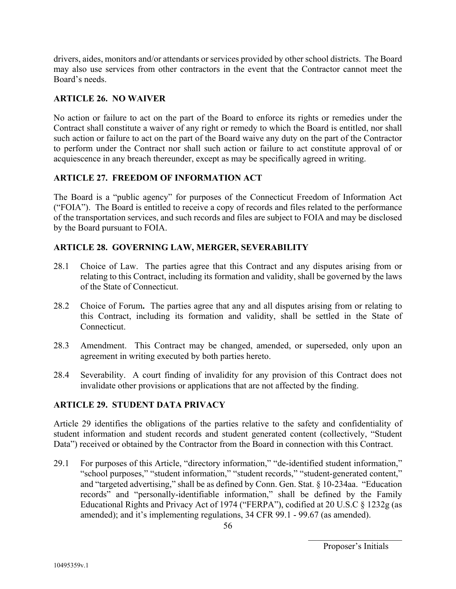drivers, aides, monitors and/or attendants or services provided by other school districts. The Board may also use services from other contractors in the event that the Contractor cannot meet the Board's needs.

#### **ARTICLE 26. NO WAIVER**

No action or failure to act on the part of the Board to enforce its rights or remedies under the Contract shall constitute a waiver of any right or remedy to which the Board is entitled, nor shall such action or failure to act on the part of the Board waive any duty on the part of the Contractor to perform under the Contract nor shall such action or failure to act constitute approval of or acquiescence in any breach thereunder, except as may be specifically agreed in writing.

## **ARTICLE 27. FREEDOM OF INFORMATION ACT**

The Board is a "public agency" for purposes of the Connecticut Freedom of Information Act ("FOIA"). The Board is entitled to receive a copy of records and files related to the performance of the transportation services, and such records and files are subject to FOIA and may be disclosed by the Board pursuant to FOIA.

#### **ARTICLE 28. GOVERNING LAW, MERGER, SEVERABILITY**

- 28.1 Choice of Law.The parties agree that this Contract and any disputes arising from or relating to this Contract, including its formation and validity, shall be governed by the laws of the State of Connecticut.
- 28.2 Choice of Forum**.** The parties agree that any and all disputes arising from or relating to this Contract, including its formation and validity, shall be settled in the State of Connecticut.
- 28.3 Amendment. This Contract may be changed, amended, or superseded, only upon an agreement in writing executed by both parties hereto.
- 28.4 Severability. A court finding of invalidity for any provision of this Contract does not invalidate other provisions or applications that are not affected by the finding.

#### **ARTICLE 29. STUDENT DATA PRIVACY**

Article 29 identifies the obligations of the parties relative to the safety and confidentiality of student information and student records and student generated content (collectively, "Student Data") received or obtained by the Contractor from the Board in connection with this Contract.

29.1 For purposes of this Article, "directory information," "de-identified student information," "school purposes," "student information," "student records," "student-generated content," and "targeted advertising," shall be as defined by Conn. Gen. Stat. § 10-234aa. "Education records" and "personally-identifiable information," shall be defined by the Family Educational Rights and Privacy Act of 1974 ("FERPA"), codified at 20 U.S.C § 1232g (as amended); and it's implementing regulations, 34 CFR 99.1 - 99.67 (as amended).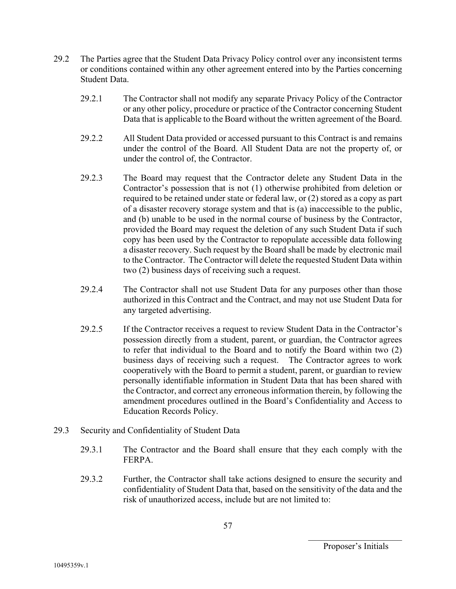- 29.2 The Parties agree that the Student Data Privacy Policy control over any inconsistent terms or conditions contained within any other agreement entered into by the Parties concerning Student Data.
	- 29.2.1 The Contractor shall not modify any separate Privacy Policy of the Contractor or any other policy, procedure or practice of the Contractor concerning Student Data that is applicable to the Board without the written agreement of the Board.
	- 29.2.2 All Student Data provided or accessed pursuant to this Contract is and remains under the control of the Board. All Student Data are not the property of, or under the control of, the Contractor.
	- 29.2.3 The Board may request that the Contractor delete any Student Data in the Contractor's possession that is not (1) otherwise prohibited from deletion or required to be retained under state or federal law, or (2) stored as a copy as part of a disaster recovery storage system and that is (a) inaccessible to the public, and (b) unable to be used in the normal course of business by the Contractor, provided the Board may request the deletion of any such Student Data if such copy has been used by the Contractor to repopulate accessible data following a disaster recovery. Such request by the Board shall be made by electronic mail to the Contractor. The Contractor will delete the requested Student Data within two (2) business days of receiving such a request.
	- 29.2.4 The Contractor shall not use Student Data for any purposes other than those authorized in this Contract and the Contract, and may not use Student Data for any targeted advertising.
	- 29.2.5 If the Contractor receives a request to review Student Data in the Contractor's possession directly from a student, parent, or guardian, the Contractor agrees to refer that individual to the Board and to notify the Board within two (2) business days of receiving such a request. The Contractor agrees to work cooperatively with the Board to permit a student, parent, or guardian to review personally identifiable information in Student Data that has been shared with the Contractor, and correct any erroneous information therein, by following the amendment procedures outlined in the Board's Confidentiality and Access to Education Records Policy.
- 29.3 Security and Confidentiality of Student Data
	- 29.3.1 The Contractor and the Board shall ensure that they each comply with the FERPA.
	- 29.3.2 Further, the Contractor shall take actions designed to ensure the security and confidentiality of Student Data that, based on the sensitivity of the data and the risk of unauthorized access, include but are not limited to: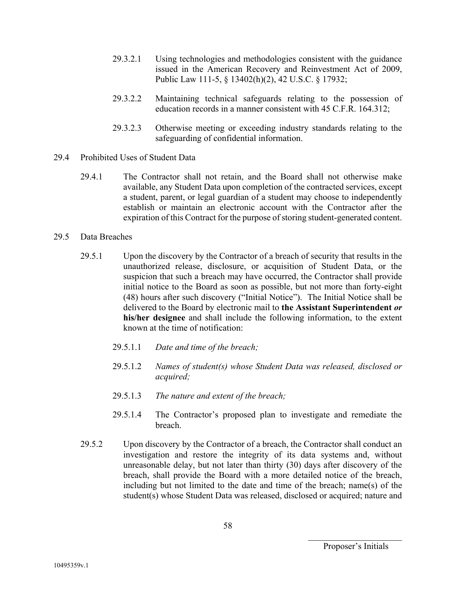- 29.3.2.1 Using technologies and methodologies consistent with the guidance issued in the American Recovery and Reinvestment Act of 2009, Public Law 111-5, § 13402(h)(2), 42 U.S.C. § 17932;
- 29.3.2.2 Maintaining technical safeguards relating to the possession of education records in a manner consistent with 45 C.F.R. 164.312;
- 29.3.2.3 Otherwise meeting or exceeding industry standards relating to the safeguarding of confidential information.
- 29.4 Prohibited Uses of Student Data
	- 29.4.1 The Contractor shall not retain, and the Board shall not otherwise make available, any Student Data upon completion of the contracted services, except a student, parent, or legal guardian of a student may choose to independently establish or maintain an electronic account with the Contractor after the expiration of this Contract for the purpose of storing student-generated content.
- 29.5 Data Breaches
	- 29.5.1 Upon the discovery by the Contractor of a breach of security that results in the unauthorized release, disclosure, or acquisition of Student Data, or the suspicion that such a breach may have occurred, the Contractor shall provide initial notice to the Board as soon as possible, but not more than forty-eight (48) hours after such discovery ("Initial Notice"). The Initial Notice shall be delivered to the Board by electronic mail to **the Assistant Superintendent** *or*  **his/her designee** and shall include the following information, to the extent known at the time of notification:
		- 29.5.1.1 *Date and time of the breach;*
		- 29.5.1.2 *Names of student(s) whose Student Data was released, disclosed or acquired;*
		- 29.5.1.3 *The nature and extent of the breach;*
		- 29.5.1.4 The Contractor's proposed plan to investigate and remediate the breach.
	- 29.5.2 Upon discovery by the Contractor of a breach, the Contractor shall conduct an investigation and restore the integrity of its data systems and, without unreasonable delay, but not later than thirty (30) days after discovery of the breach, shall provide the Board with a more detailed notice of the breach, including but not limited to the date and time of the breach; name(s) of the student(s) whose Student Data was released, disclosed or acquired; nature and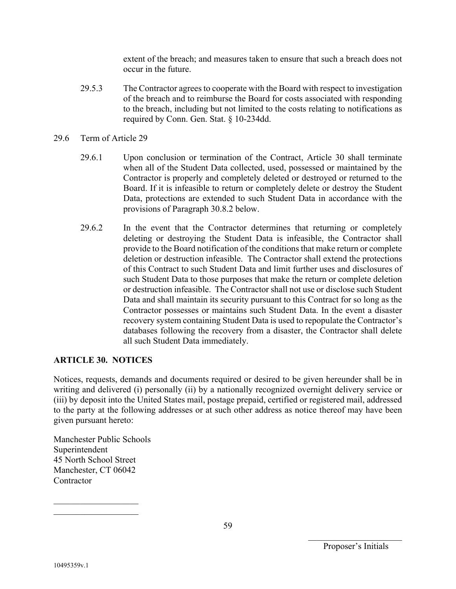extent of the breach; and measures taken to ensure that such a breach does not occur in the future.

- 29.5.3 The Contractor agrees to cooperate with the Board with respect to investigation of the breach and to reimburse the Board for costs associated with responding to the breach, including but not limited to the costs relating to notifications as required by Conn. Gen. Stat. § 10-234dd.
- 29.6 Term of Article 29
	- 29.6.1 Upon conclusion or termination of the Contract, Article 30 shall terminate when all of the Student Data collected, used, possessed or maintained by the Contractor is properly and completely deleted or destroyed or returned to the Board. If it is infeasible to return or completely delete or destroy the Student Data, protections are extended to such Student Data in accordance with the provisions of Paragraph 30.8.2 below.
	- 29.6.2 In the event that the Contractor determines that returning or completely deleting or destroying the Student Data is infeasible, the Contractor shall provide to the Board notification of the conditions that make return or complete deletion or destruction infeasible. The Contractor shall extend the protections of this Contract to such Student Data and limit further uses and disclosures of such Student Data to those purposes that make the return or complete deletion or destruction infeasible. The Contractor shall not use or disclose such Student Data and shall maintain its security pursuant to this Contract for so long as the Contractor possesses or maintains such Student Data. In the event a disaster recovery system containing Student Data is used to repopulate the Contractor's databases following the recovery from a disaster, the Contractor shall delete all such Student Data immediately.

#### **ARTICLE 30. NOTICES**

Notices, requests, demands and documents required or desired to be given hereunder shall be in writing and delivered (i) personally (ii) by a nationally recognized overnight delivery service or (iii) by deposit into the United States mail, postage prepaid, certified or registered mail, addressed to the party at the following addresses or at such other address as notice thereof may have been given pursuant hereto:

Manchester Public Schools Superintendent 45 North School Street Manchester, CT 06042 Contractor

 $\mathcal{L}=\mathcal{L}^{\mathcal{L}}$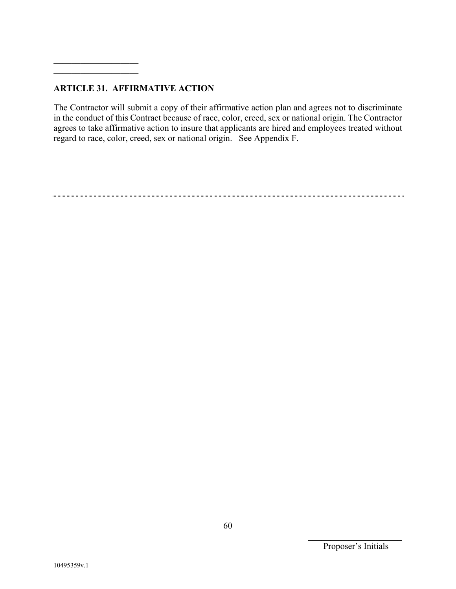#### **ARTICLE 31. AFFIRMATIVE ACTION**

The Contractor will submit a copy of their affirmative action plan and agrees not to discriminate in the conduct of this Contract because of race, color, creed, sex or national origin. The Contractor agrees to take affirmative action to insure that applicants are hired and employees treated without regard to race, color, creed, sex or national origin. See Appendix F.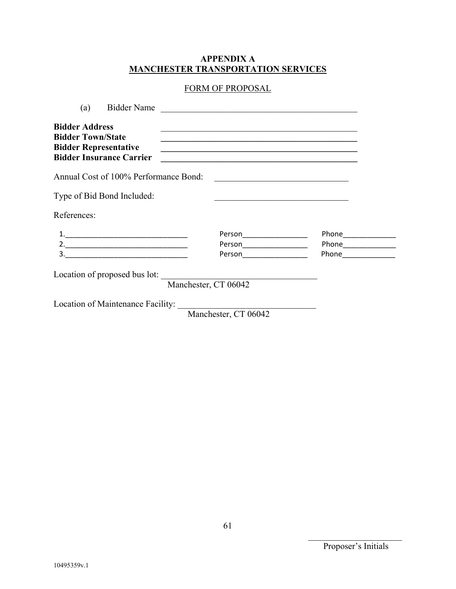#### **APPENDIX A MANCHESTER TRANSPORTATION SERVICES**

## FORM OF PROPOSAL

| (a)                                                                               | <b>Bidder Name</b>                    | <u> 1980 - John Stein, Amerikaansk politiker (</u>                                                                                                                                                                                                                                                             |                                     |  |
|-----------------------------------------------------------------------------------|---------------------------------------|----------------------------------------------------------------------------------------------------------------------------------------------------------------------------------------------------------------------------------------------------------------------------------------------------------------|-------------------------------------|--|
| <b>Bidder Address</b><br><b>Bidder Town/State</b><br><b>Bidder Representative</b> | <b>Bidder Insurance Carrier</b>       | <u> 1989 - Johann Stoff, amerikansk politiker (d. 1989)</u><br><u> 1989 - Jan James James Barnett, amerikan bestein den soldat in den stad in den stad in den soldat in den sold</u><br><u> 1989 - Johann Stoff, deutscher Stoffen und der Stoffen und der Stoffen und der Stoffen und der Stoffen und der</u> |                                     |  |
|                                                                                   | Annual Cost of 100% Performance Bond: | <u> Alexandria de la contrada de la contrada de la contrada de la contrada de la contrada de la contrada de la c</u>                                                                                                                                                                                           |                                     |  |
|                                                                                   | Type of Bid Bond Included:            |                                                                                                                                                                                                                                                                                                                |                                     |  |
| References:                                                                       |                                       |                                                                                                                                                                                                                                                                                                                |                                     |  |
|                                                                                   |                                       | Person_____________________<br>Person___________________<br>Person _________________                                                                                                                                                                                                                           | Phone_______________<br>Phone Phone |  |
|                                                                                   | Location of proposed bus lot:         | Manchester, CT 06042                                                                                                                                                                                                                                                                                           |                                     |  |
|                                                                                   | Location of Maintenance Facility:     |                                                                                                                                                                                                                                                                                                                |                                     |  |

Manchester, CT 06042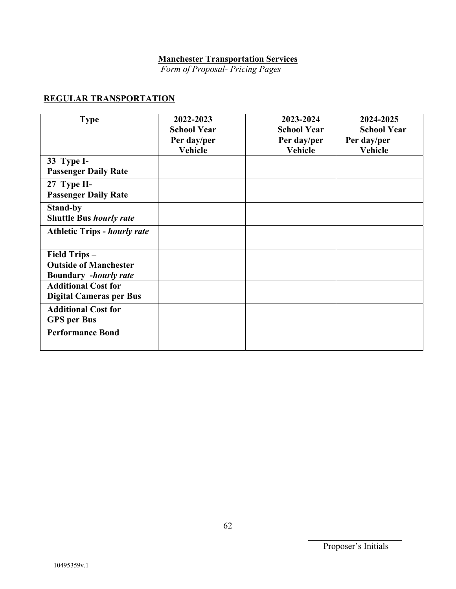# **Manchester Transportation Services**

 *Form of Proposal- Pricing Pages* 

## **REGULAR TRANSPORTATION**

| <b>Type</b>                                                                  | 2022-2023<br><b>School Year</b><br>Per day/per<br><b>Vehicle</b> | 2023-2024<br><b>School Year</b><br>Per day/per<br><b>Vehicle</b> | 2024-2025<br><b>School Year</b><br>Per day/per<br><b>Vehicle</b> |
|------------------------------------------------------------------------------|------------------------------------------------------------------|------------------------------------------------------------------|------------------------------------------------------------------|
| 33 Type I-<br><b>Passenger Daily Rate</b>                                    |                                                                  |                                                                  |                                                                  |
| 27 Type II-<br><b>Passenger Daily Rate</b>                                   |                                                                  |                                                                  |                                                                  |
| <b>Stand-by</b><br><b>Shuttle Bus hourly rate</b>                            |                                                                  |                                                                  |                                                                  |
| <b>Athletic Trips - hourly rate</b>                                          |                                                                  |                                                                  |                                                                  |
| Field Trips-<br><b>Outside of Manchester</b><br><b>Boundary</b> -hourly rate |                                                                  |                                                                  |                                                                  |
| <b>Additional Cost for</b><br><b>Digital Cameras per Bus</b>                 |                                                                  |                                                                  |                                                                  |
| <b>Additional Cost for</b><br><b>GPS</b> per Bus                             |                                                                  |                                                                  |                                                                  |
| <b>Performance Bond</b>                                                      |                                                                  |                                                                  |                                                                  |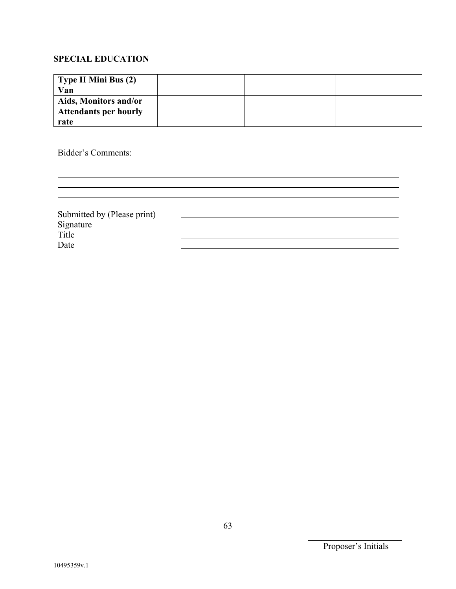## **SPECIAL EDUCATION**

| Type II Mini Bus (2)         |  |  |
|------------------------------|--|--|
| Van                          |  |  |
| Aids, Monitors and/or        |  |  |
| <b>Attendants per hourly</b> |  |  |
| rate                         |  |  |

Bidder's Comments:

| Submitted by (Please print) |  |
|-----------------------------|--|
|                             |  |
| Signature<br>Title          |  |
| Date                        |  |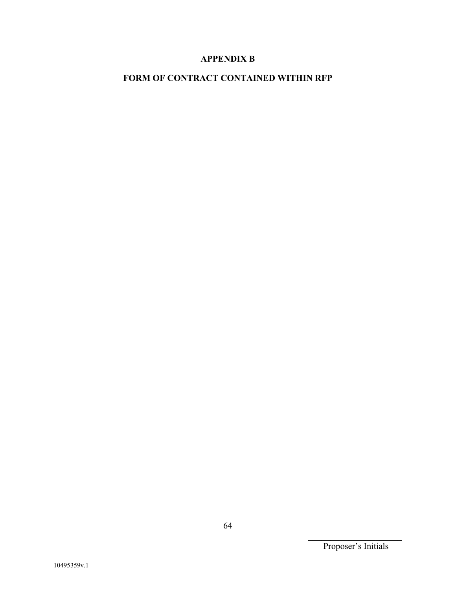## **APPENDIX B**

## **FORM OF CONTRACT CONTAINED WITHIN RFP**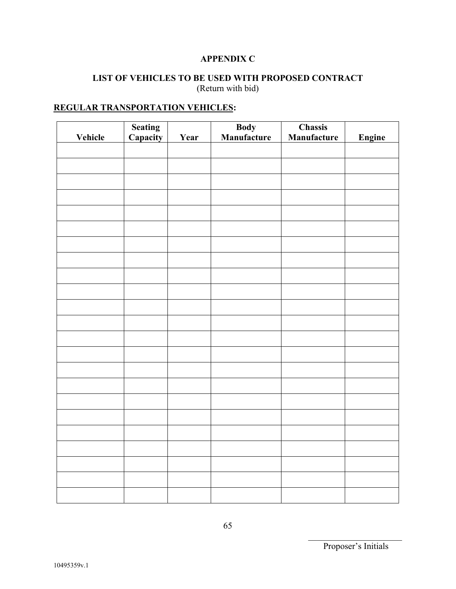## **APPENDIX C**

#### **LIST OF VEHICLES TO BE USED WITH PROPOSED CONTRACT** (Return with bid)

## **REGULAR TRANSPORTATION VEHICLES:**

| Vehicle | <b>Seating<br/>Capacity</b> | Year | <b>Body</b><br>Manufacture | <b>Chassis</b><br>Manufacture | Engine |
|---------|-----------------------------|------|----------------------------|-------------------------------|--------|
|         |                             |      |                            |                               |        |
|         |                             |      |                            |                               |        |
|         |                             |      |                            |                               |        |
|         |                             |      |                            |                               |        |
|         |                             |      |                            |                               |        |
|         |                             |      |                            |                               |        |
|         |                             |      |                            |                               |        |
|         |                             |      |                            |                               |        |
|         |                             |      |                            |                               |        |
|         |                             |      |                            |                               |        |
|         |                             |      |                            |                               |        |
|         |                             |      |                            |                               |        |
|         |                             |      |                            |                               |        |
|         |                             |      |                            |                               |        |
|         |                             |      |                            |                               |        |
|         |                             |      |                            |                               |        |
|         |                             |      |                            |                               |        |
|         |                             |      |                            |                               |        |
|         |                             |      |                            |                               |        |
|         |                             |      |                            |                               |        |
|         |                             |      |                            |                               |        |
|         |                             |      |                            |                               |        |
|         |                             |      |                            |                               |        |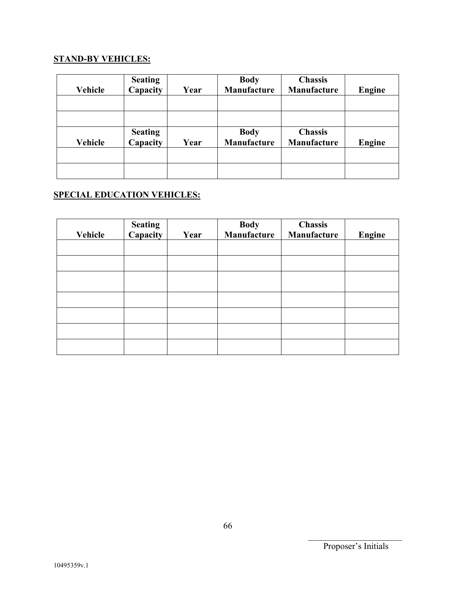## **STAND-BY VEHICLES:**

| Vehicle | <b>Seating</b><br>Capacity | Year | <b>Body</b><br>Manufacture | <b>Chassis</b><br>Manufacture | <b>Engine</b> |
|---------|----------------------------|------|----------------------------|-------------------------------|---------------|
|         |                            |      |                            |                               |               |
|         |                            |      |                            |                               |               |
| Vehicle | <b>Seating</b><br>Capacity | Year | <b>Body</b><br>Manufacture | <b>Chassis</b><br>Manufacture | <b>Engine</b> |
|         |                            |      |                            |                               |               |
|         |                            |      |                            |                               |               |

# **SPECIAL EDUCATION VEHICLES:**

| Vehicle | Seating<br>Capacity | Year | <b>Body</b><br>Manufacture | Chassis<br>Manufacture | <b>Engine</b> |
|---------|---------------------|------|----------------------------|------------------------|---------------|
|         |                     |      |                            |                        |               |
|         |                     |      |                            |                        |               |
|         |                     |      |                            |                        |               |
|         |                     |      |                            |                        |               |
|         |                     |      |                            |                        |               |
|         |                     |      |                            |                        |               |
|         |                     |      |                            |                        |               |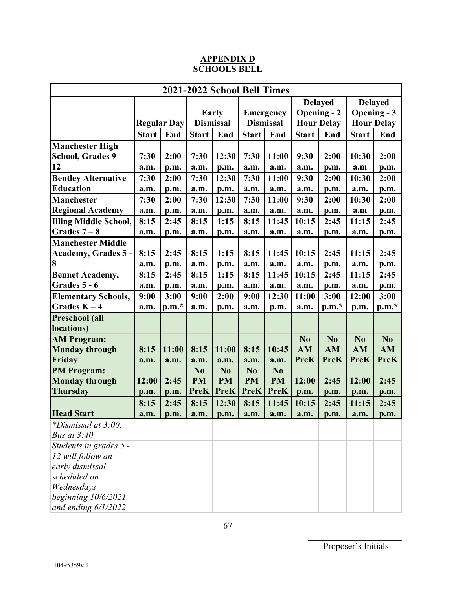#### **APPENDIX D SCHOOLS BELL**

| 2021-2022 School Bell Times                                                                                                                                                                                                                                                                                           |               |                       |                                                            |                                                              |                                                    |                                                              |                                       |                                     |                        |                    |
|-----------------------------------------------------------------------------------------------------------------------------------------------------------------------------------------------------------------------------------------------------------------------------------------------------------------------|---------------|-----------------------|------------------------------------------------------------|--------------------------------------------------------------|----------------------------------------------------|--------------------------------------------------------------|---------------------------------------|-------------------------------------|------------------------|--------------------|
|                                                                                                                                                                                                                                                                                                                       |               |                       |                                                            |                                                              |                                                    |                                                              | <b>Delayed</b>                        |                                     | <b>Delayed</b>         |                    |
|                                                                                                                                                                                                                                                                                                                       |               |                       | <b>Early</b>                                               |                                                              | <b>Emergency</b>                                   |                                                              | <b>Opening - 2</b>                    |                                     | <b>Opening - 3</b>     |                    |
|                                                                                                                                                                                                                                                                                                                       |               | <b>Regular Day</b>    | <b>Dismissal</b>                                           |                                                              | <b>Dismissal</b>                                   |                                                              |                                       | <b>Hour Delay</b>                   |                        | <b>Hour Delay</b>  |
|                                                                                                                                                                                                                                                                                                                       | <b>Start</b>  | End                   | Start                                                      | End                                                          | <b>Start</b>                                       | End                                                          | <b>Start</b>                          | End                                 | <b>Start</b>           | End                |
| <b>Manchester High</b>                                                                                                                                                                                                                                                                                                |               |                       |                                                            |                                                              |                                                    |                                                              |                                       |                                     |                        |                    |
| School, Grades 9-                                                                                                                                                                                                                                                                                                     | 7:30          | 2:00                  | 7:30                                                       | 12:30                                                        | 7:30                                               | 11:00                                                        | 9:30                                  | 2:00                                | 10:30                  | 2:00               |
| 12                                                                                                                                                                                                                                                                                                                    | a.m.          | p.m.                  | a.m.                                                       | p.m.                                                         | a.m.                                               | a.m.                                                         | a.m.                                  | p.m.                                | a.m                    | p.m.               |
| <b>Bentley Alternative</b>                                                                                                                                                                                                                                                                                            | 7:30          | 2:00                  | 7:30                                                       | 12:30                                                        | 7:30                                               | 11:00                                                        | 9:30                                  | 2:00                                | 10:30                  | 2:00               |
| <b>Education</b>                                                                                                                                                                                                                                                                                                      | a.m.          | p.m.                  | a.m.                                                       | p.m.                                                         | a.m.                                               | a.m.                                                         | a.m.                                  | p.m.                                | a.m.                   | p.m.               |
| <b>Manchester</b>                                                                                                                                                                                                                                                                                                     | 7:30          | 2:00                  | 7:30                                                       | 12:30                                                        | 7:30                                               | 11:00                                                        | 9:30                                  | 2:00                                | 10:30                  | 2:00               |
| <b>Regional Academy</b>                                                                                                                                                                                                                                                                                               | a.m.          | p.m.                  | a.m.                                                       | p.m.                                                         | a.m.                                               | a.m.                                                         | a.m.                                  | p.m.                                | a.m                    | p.m.               |
| <b>Illing Middle School,</b>                                                                                                                                                                                                                                                                                          | 8:15          | 2:45                  | 8:15                                                       | 1:15                                                         | 8:15                                               | 11:45                                                        | 10:15                                 | 2:45                                | 11:15                  | 2:45               |
| Grades $7-8$                                                                                                                                                                                                                                                                                                          | a.m.          | p.m.                  | a.m.                                                       | p.m.                                                         | a.m.                                               | a.m.                                                         | a.m.                                  | p.m.                                | a.m.                   | p.m.               |
| <b>Manchester Middle</b>                                                                                                                                                                                                                                                                                              |               |                       |                                                            |                                                              |                                                    |                                                              |                                       |                                     |                        |                    |
| Academy, Grades 5 -                                                                                                                                                                                                                                                                                                   | 8:15          | 2:45                  | 8:15                                                       | 1:15                                                         | 8:15                                               | 11:45                                                        | 10:15                                 | 2:45                                | 11:15                  | 2:45               |
| 8                                                                                                                                                                                                                                                                                                                     | a.m.          | p.m.                  | a.m.                                                       | p.m.                                                         | a.m.                                               | a.m.                                                         | a.m.                                  | p.m.                                | a.m.                   | p.m.               |
| <b>Bennet Academy,</b>                                                                                                                                                                                                                                                                                                | 8:15          | 2:45                  | 8:15                                                       | 1:15                                                         | 8:15                                               | 11:45                                                        | 10:15                                 | 2:45                                | 11:15                  | 2:45               |
| Grades 5 - 6                                                                                                                                                                                                                                                                                                          | a.m.          | p.m.                  | a.m.                                                       | p.m.                                                         | a.m.                                               | a.m.                                                         | a.m.                                  | p.m.                                | a.m.                   | p.m.               |
| <b>Elementary Schools,</b>                                                                                                                                                                                                                                                                                            | 9:00          | 3:00                  | 9:00                                                       | 2:00                                                         | 9:00                                               | 12:30                                                        | 11:00                                 | 3:00                                | 12:00                  | 3:00               |
| Grades $K - 4$                                                                                                                                                                                                                                                                                                        | a.m.          | $p.m.*$               | a.m.                                                       | p.m.                                                         | a.m.                                               | p.m.                                                         | a.m.                                  | $p.m.*$                             | p.m.                   | $p.m.*$            |
| Preschool (all                                                                                                                                                                                                                                                                                                        |               |                       |                                                            |                                                              |                                                    |                                                              |                                       |                                     |                        |                    |
| locations)                                                                                                                                                                                                                                                                                                            |               |                       |                                                            |                                                              |                                                    |                                                              |                                       |                                     |                        |                    |
| <b>AM Program:</b>                                                                                                                                                                                                                                                                                                    |               |                       |                                                            |                                                              |                                                    |                                                              | N <sub>0</sub>                        | N <sub>0</sub>                      | N <sub>o</sub>         | N <sub>0</sub>     |
|                                                                                                                                                                                                                                                                                                                       | 8:15          |                       |                                                            |                                                              | 8:15                                               |                                                              | AM                                    | AM                                  | AM                     |                    |
|                                                                                                                                                                                                                                                                                                                       | a.m.          | a.m.                  | a.m.                                                       | a.m.                                                         | a.m.                                               | a.m.                                                         |                                       |                                     |                        | <b>PreK</b>        |
|                                                                                                                                                                                                                                                                                                                       |               |                       |                                                            |                                                              |                                                    |                                                              |                                       |                                     |                        |                    |
|                                                                                                                                                                                                                                                                                                                       |               |                       |                                                            |                                                              |                                                    |                                                              |                                       |                                     |                        |                    |
|                                                                                                                                                                                                                                                                                                                       | p.m.          | p.m.                  |                                                            |                                                              |                                                    |                                                              |                                       |                                     | p.m.                   | p.m.               |
|                                                                                                                                                                                                                                                                                                                       |               |                       |                                                            |                                                              |                                                    |                                                              |                                       |                                     |                        |                    |
|                                                                                                                                                                                                                                                                                                                       | a.m.          | p.m.                  | a.m.                                                       | p.m.                                                         | a.m.                                               | a.m.                                                         | a.m.                                  | p.m.                                | a.m.                   | p.m.               |
|                                                                                                                                                                                                                                                                                                                       |               |                       |                                                            |                                                              |                                                    |                                                              |                                       |                                     |                        |                    |
|                                                                                                                                                                                                                                                                                                                       |               |                       |                                                            |                                                              |                                                    |                                                              |                                       |                                     |                        |                    |
|                                                                                                                                                                                                                                                                                                                       |               |                       |                                                            |                                                              |                                                    |                                                              |                                       |                                     |                        |                    |
|                                                                                                                                                                                                                                                                                                                       |               |                       |                                                            |                                                              |                                                    |                                                              |                                       |                                     |                        |                    |
|                                                                                                                                                                                                                                                                                                                       |               |                       |                                                            |                                                              |                                                    |                                                              |                                       |                                     |                        |                    |
|                                                                                                                                                                                                                                                                                                                       |               |                       |                                                            |                                                              |                                                    |                                                              |                                       |                                     |                        |                    |
|                                                                                                                                                                                                                                                                                                                       |               |                       |                                                            |                                                              |                                                    |                                                              |                                       |                                     |                        |                    |
|                                                                                                                                                                                                                                                                                                                       |               |                       |                                                            |                                                              |                                                    |                                                              |                                       |                                     |                        |                    |
| <b>Monday through</b><br>Friday<br><b>PM Program:</b><br><b>Monday through</b><br><b>Thursday</b><br><b>Head Start</b><br>*Dismissal at 3:00;<br><b>Bus at 3:40</b><br>Students in grades 5 -<br>12 will follow an<br>early dismissal<br>scheduled on<br>Wednesdays<br>beginning $10/6/2021$<br>and ending $6/1/2022$ | 12:00<br>8:15 | 11:00<br>2:45<br>2:45 | 8:15<br>N <sub>0</sub><br><b>PM</b><br><b>PreK</b><br>8:15 | 11:00<br>N <sub>0</sub><br><b>PM</b><br><b>PreK</b><br>12:30 | N <sub>0</sub><br><b>PM</b><br><b>PreK</b><br>8:15 | 10:45<br>N <sub>0</sub><br><b>PM</b><br><b>PreK</b><br>11:45 | <b>PreK</b><br>12:00<br>p.m.<br>10:15 | <b>PreK</b><br>2:45<br>p.m.<br>2:45 | PreK<br>12:00<br>11:15 | AM<br>2:45<br>2:45 |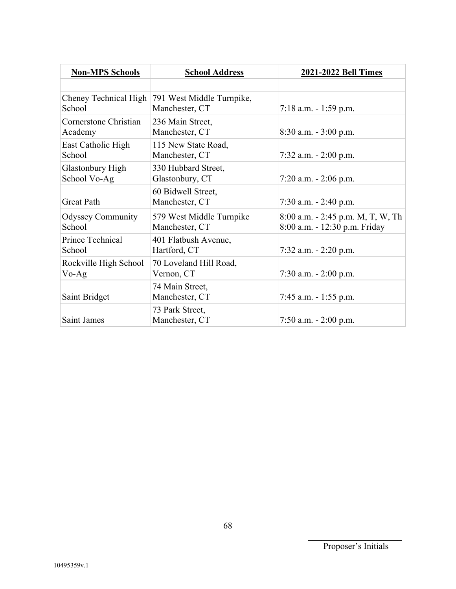| <b>Non-MPS Schools</b>                  | <b>School Address</b>                       | 2021-2022 Bell Times                                               |
|-----------------------------------------|---------------------------------------------|--------------------------------------------------------------------|
|                                         |                                             |                                                                    |
| Cheney Technical High<br>School         | 791 West Middle Turnpike,<br>Manchester, CT | $7:18$ a.m. $-1:59$ p.m.                                           |
| Cornerstone Christian<br>Academy        | 236 Main Street,<br>Manchester, CT          | 8:30 a.m. - 3:00 p.m.                                              |
| East Catholic High<br>School            | 115 New State Road,<br>Manchester, CT       | 7:32 a.m. $- 2:00$ p.m.                                            |
| <b>Glastonbury High</b><br>School Vo-Ag | 330 Hubbard Street,<br>Glastonbury, CT      | $7:20$ a.m. $-2:06$ p.m.                                           |
| <b>Great Path</b>                       | 60 Bidwell Street,<br>Manchester, CT        | $7:30$ a.m. $-2:40$ p.m.                                           |
| <b>Odyssey Community</b><br>School      | 579 West Middle Turnpike<br>Manchester, CT  | 8:00 a.m. - 2:45 p.m. M, T, W, Th<br>8:00 a.m. - 12:30 p.m. Friday |
| Prince Technical<br>School              | 401 Flatbush Avenue,<br>Hartford, CT        | 7:32 a.m. $- 2:20$ p.m.                                            |
| Rockville High School<br>Vo-Ag          | 70 Loveland Hill Road,<br>Vernon, CT        | 7:30 a.m. - 2:00 p.m.                                              |
| Saint Bridget                           | 74 Main Street,<br>Manchester, CT           | 7:45 a.m. $-1:55$ p.m.                                             |
| Saint James                             | 73 Park Street,<br>Manchester, CT           | 7:50 a.m. $- 2:00$ p.m.                                            |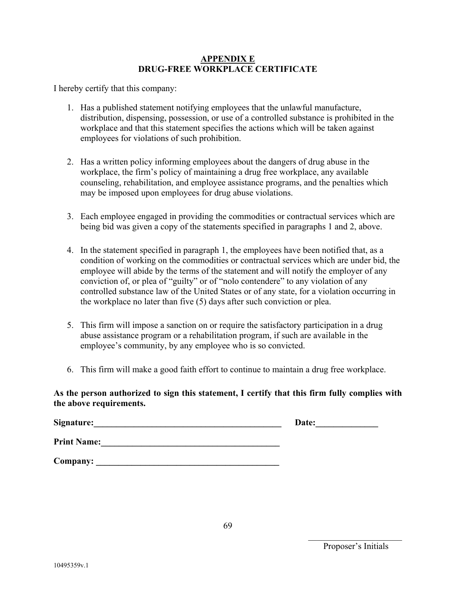#### **APPENDIX E DRUG-FREE WORKPLACE CERTIFICATE**

I hereby certify that this company:

- 1. Has a published statement notifying employees that the unlawful manufacture, distribution, dispensing, possession, or use of a controlled substance is prohibited in the workplace and that this statement specifies the actions which will be taken against employees for violations of such prohibition.
- 2. Has a written policy informing employees about the dangers of drug abuse in the workplace, the firm's policy of maintaining a drug free workplace, any available counseling, rehabilitation, and employee assistance programs, and the penalties which may be imposed upon employees for drug abuse violations.
- 3. Each employee engaged in providing the commodities or contractual services which are being bid was given a copy of the statements specified in paragraphs 1 and 2, above.
- 4. In the statement specified in paragraph 1, the employees have been notified that, as a condition of working on the commodities or contractual services which are under bid, the employee will abide by the terms of the statement and will notify the employer of any conviction of, or plea of "guilty" or of "nolo contendere" to any violation of any controlled substance law of the United States or of any state, for a violation occurring in the workplace no later than five (5) days after such conviction or plea.
- 5. This firm will impose a sanction on or require the satisfactory participation in a drug abuse assistance program or a rehabilitation program, if such are available in the employee's community, by any employee who is so convicted.
- 6. This firm will make a good faith effort to continue to maintain a drug free workplace.

#### **As the person authorized to sign this statement, I certify that this firm fully complies with the above requirements.**

| Signature:         | Date: |
|--------------------|-------|
| <b>Print Name:</b> |       |
| Company:           |       |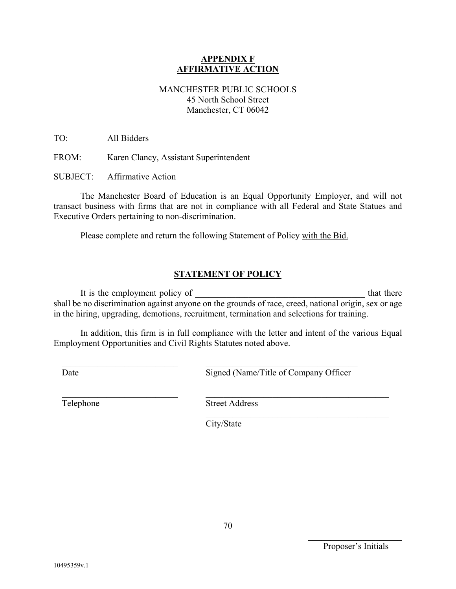#### **APPENDIX F AFFIRMATIVE ACTION**

## MANCHESTER PUBLIC SCHOOLS 45 North School Street Manchester, CT 06042

TO: All Bidders

FROM: Karen Clancy, Assistant Superintendent

SUBJECT: Affirmative Action

The Manchester Board of Education is an Equal Opportunity Employer, and will not transact business with firms that are not in compliance with all Federal and State Statues and Executive Orders pertaining to non-discrimination.

Please complete and return the following Statement of Policy with the Bid.

## **STATEMENT OF POLICY**

It is the employment policy of that there shall be no discrimination against anyone on the grounds of race, creed, national origin, sex or age in the hiring, upgrading, demotions, recruitment, termination and selections for training.

In addition, this firm is in full compliance with the letter and intent of the various Equal Employment Opportunities and Civil Rights Statutes noted above.

Date

Signed (Name/Title of Company Officer

Telephone

Street Address

City/State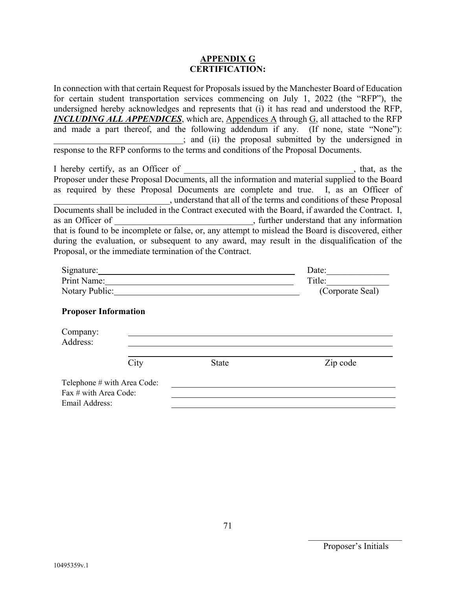#### **APPENDIX G CERTIFICATION:**

In connection with that certain Request for Proposals issued by the Manchester Board of Education for certain student transportation services commencing on July 1, 2022 (the "RFP"), the undersigned hereby acknowledges and represents that (i) it has read and understood the RFP, *INCLUDING ALL APPENDICES*, which are, Appendices A through G, all attached to the RFP and made a part thereof, and the following addendum if any. (If none, state "None"): \_\_\_\_\_\_\_\_\_\_\_\_\_\_\_\_\_\_\_\_\_\_\_\_\_\_\_\_\_; and (ii) the proposal submitted by the undersigned in response to the RFP conforms to the terms and conditions of the Proposal Documents.

| I hereby certify, as an Officer of                                                                  | , that, as the                                                      |
|-----------------------------------------------------------------------------------------------------|---------------------------------------------------------------------|
| Proposer under these Proposal Documents, all the information and material supplied to the Board     |                                                                     |
| as required by these Proposal Documents are complete and true. I, as an Officer of                  |                                                                     |
|                                                                                                     | , understand that all of the terms and conditions of these Proposal |
| Documents shall be included in the Contract executed with the Board, if awarded the Contract. I,    |                                                                     |
| as an Officer of                                                                                    | , further understand that any information                           |
| that is found to be incomplete or false, or, any attempt to mislead the Board is discovered, either |                                                                     |
| during the evaluation, or subsequent to any award, may result in the disqualification of the        |                                                                     |
| Proposal, or the immediate termination of the Contract.                                             |                                                                     |

| Signature:                  | Date:            |  |
|-----------------------------|------------------|--|
| Print Name:                 | Title:           |  |
| Notary Public:              | (Corporate Seal) |  |
| <b>Proposer Information</b> |                  |  |
| Company:                    |                  |  |
| $A$ ddross.                 |                  |  |

| Address:              |                             |              |          |
|-----------------------|-----------------------------|--------------|----------|
|                       | City                        | <b>State</b> | Zip code |
|                       | Telephone # with Area Code: |              |          |
| Fax # with Area Code: |                             |              |          |
| Email Address:        |                             |              |          |